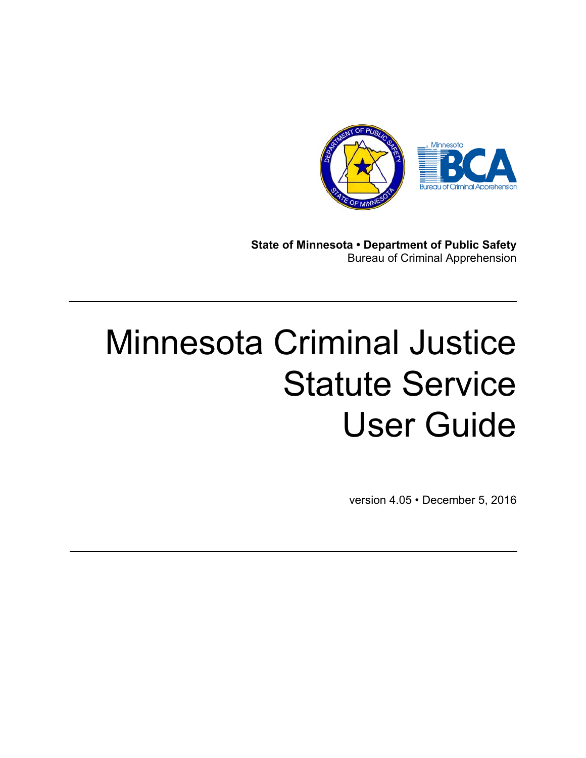

**State of Minnesota • Department of Public Safety** Bureau of Criminal Apprehension

# Minnesota Criminal Justice Statute Service User Guide

version 4.05 • December 5, 2016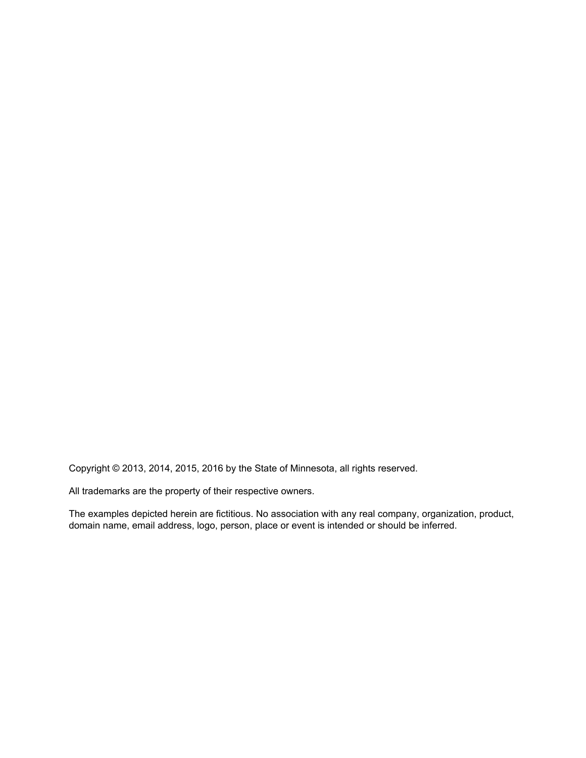Copyright © 2013, 2014, 2015, 2016 by the State of Minnesota, all rights reserved.

All trademarks are the property of their respective owners.

The examples depicted herein are fictitious. No association with any real company, organization, product, domain name, email address, logo, person, place or event is intended or should be inferred.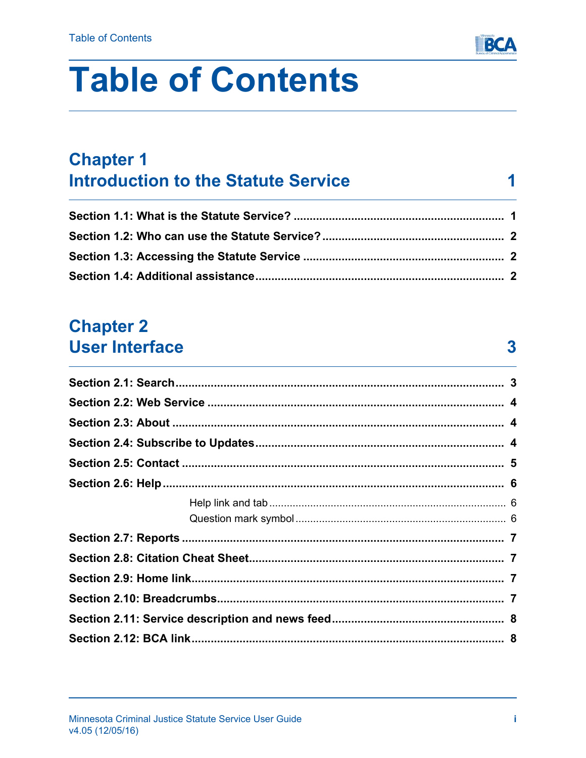

1

 $\overline{\mathbf{3}}$ 

# **Table of Contents**

#### **Chapter 1 Introduction to the Statute Service**

#### **Chapter 2 User Interface**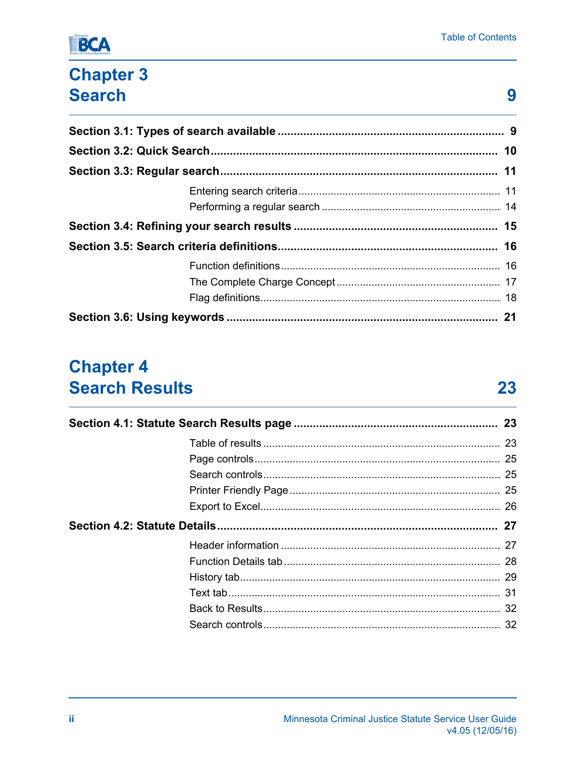9

23



### **Chapter 3 Search**

#### **Chapter 4 Search Results**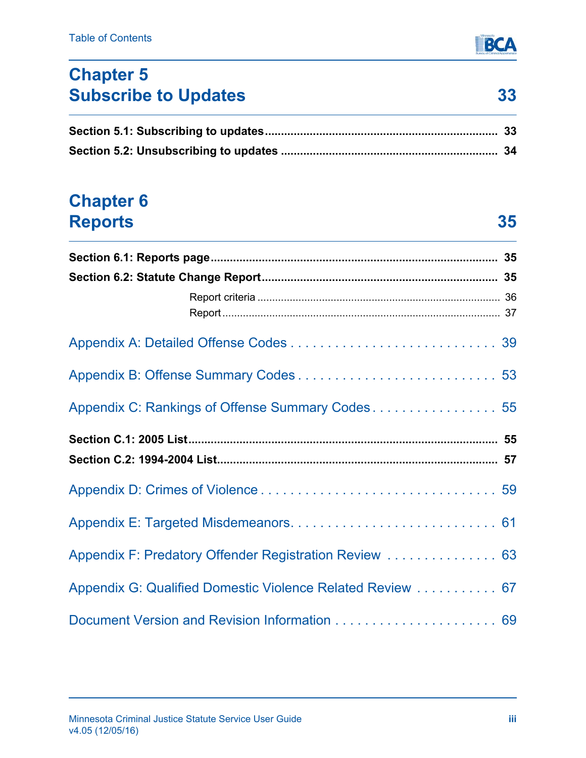#### **Chapter 5 [Subscribe to Updates 33](#page-38-0)**

#### **Chapter 6 Reports**

| Appendix F: Predatory Offender Registration Review 63     |  |  |  |  |  |  |  |
|-----------------------------------------------------------|--|--|--|--|--|--|--|
| Appendix G: Qualified Domestic Violence Related Review 67 |  |  |  |  |  |  |  |
|                                                           |  |  |  |  |  |  |  |

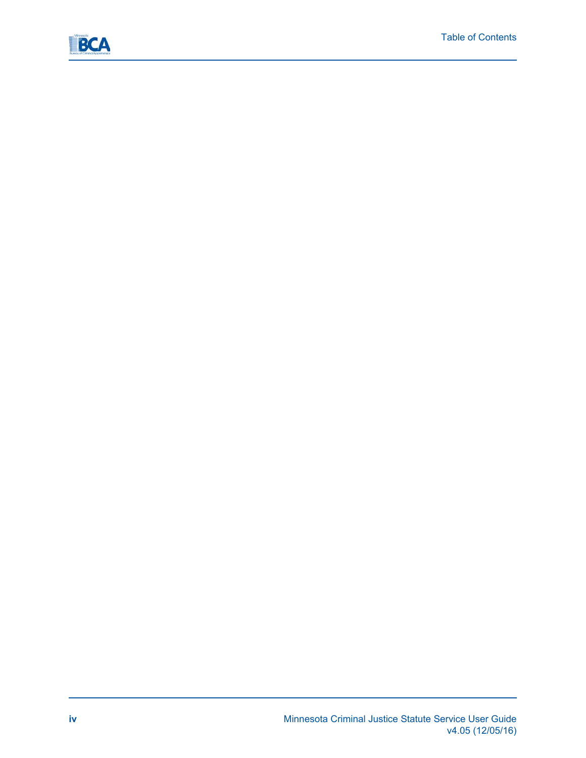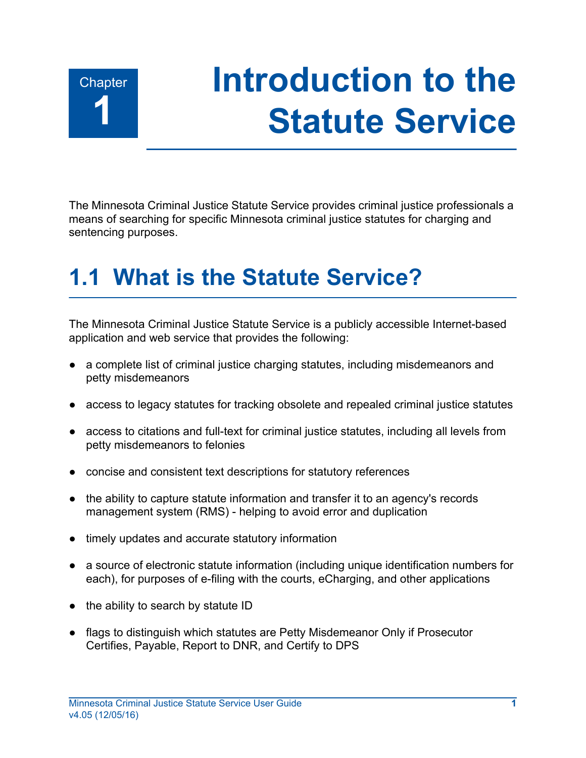<span id="page-6-0"></span>

# **Introduction to the Statute Service**

The Minnesota Criminal Justice Statute Service provides criminal justice professionals a means of searching for specific Minnesota criminal justice statutes for charging and sentencing purposes.

# <span id="page-6-1"></span>**1.1 What is the Statute Service?**

The Minnesota Criminal Justice Statute Service is a publicly accessible Internet-based application and web service that provides the following:

- a complete list of criminal justice charging statutes, including misdemeanors and petty misdemeanors
- access to legacy statutes for tracking obsolete and repealed criminal justice statutes
- access to citations and full-text for criminal justice statutes, including all levels from petty misdemeanors to felonies
- concise and consistent text descriptions for statutory references
- the ability to capture statute information and transfer it to an agency's records management system (RMS) - helping to avoid error and duplication
- timely updates and accurate statutory information
- a source of electronic statute information (including unique identification numbers for each), for purposes of e-filing with the courts, eCharging, and other applications
- the ability to search by statute ID
- flags to distinguish which statutes are Petty Misdemeanor Only if Prosecutor Certifies, Payable, Report to DNR, and Certify to DPS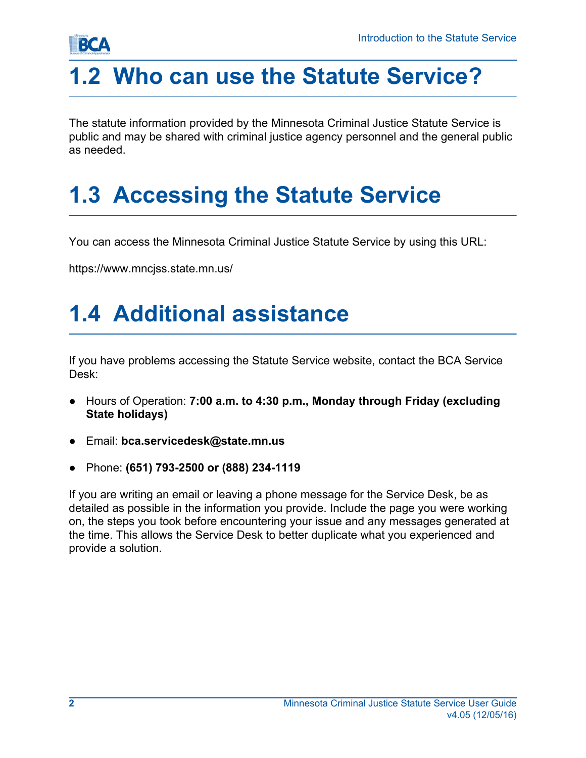

# <span id="page-7-0"></span>**1.2 Who can use the Statute Service?**

The statute information provided by the Minnesota Criminal Justice Statute Service is public and may be shared with criminal justice agency personnel and the general public as needed.

# <span id="page-7-1"></span>**1.3 Accessing the Statute Service**

You can access the Minnesota Criminal Justice Statute Service by using this URL:

<https://www.mncjss.state.mn.us/>

# <span id="page-7-2"></span>**1.4 Additional assistance**

If you have problems accessing the Statute Service website, contact the BCA Service Desk:

- Hours of Operation: **7:00 a.m. to 4:30 p.m., Monday through Friday (excluding State holidays)**
- Email: **bca.servicedesk@state.mn.us**
- Phone: **(651) 793-2500 or (888) 234-1119**

If you are writing an email or leaving a phone message for the Service Desk, be as detailed as possible in the information you provide. Include the page you were working on, the steps you took before encountering your issue and any messages generated at the time. This allows the Service Desk to better duplicate what you experienced and provide a solution.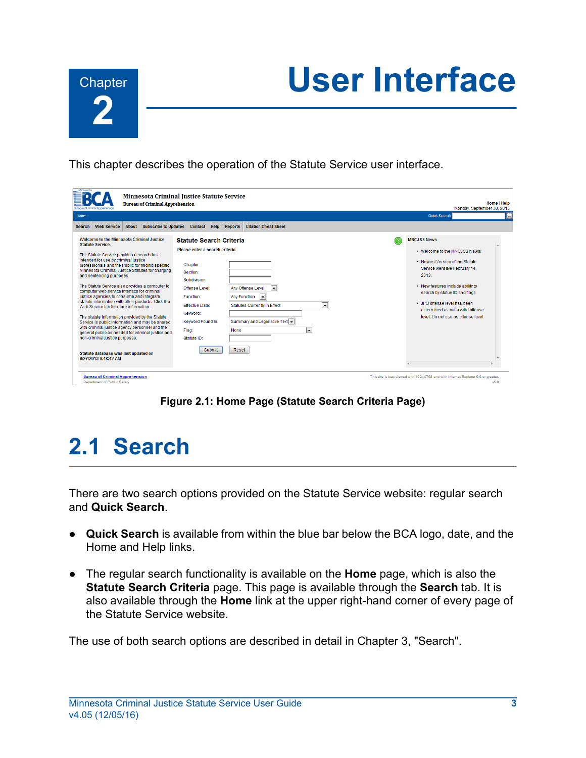<span id="page-8-0"></span>

# **User Interface**

This chapter describes the operation of the Statute Service user interface.

| Minnesota     | <b>Report of Criminal Annexhance</b>                                                                                                                                                                                                                                                                                                                                                                                                                                                                                                                                                                                                       |       | Minnesota Criminal Justice Statute Service<br><b>Bureau of Criminal Apprehension</b>                                                                                                                           |                                                                       |                                                                                                                    |                                                 |                                                                                                                                                                           |                     |                       |  |                                                                                                                                                                                                                                                                                                                     | Monday, September 30, 2013 | Home   Help |
|---------------|--------------------------------------------------------------------------------------------------------------------------------------------------------------------------------------------------------------------------------------------------------------------------------------------------------------------------------------------------------------------------------------------------------------------------------------------------------------------------------------------------------------------------------------------------------------------------------------------------------------------------------------------|-------|----------------------------------------------------------------------------------------------------------------------------------------------------------------------------------------------------------------|-----------------------------------------------------------------------|--------------------------------------------------------------------------------------------------------------------|-------------------------------------------------|---------------------------------------------------------------------------------------------------------------------------------------------------------------------------|---------------------|-----------------------|--|---------------------------------------------------------------------------------------------------------------------------------------------------------------------------------------------------------------------------------------------------------------------------------------------------------------------|----------------------------|-------------|
| Home          |                                                                                                                                                                                                                                                                                                                                                                                                                                                                                                                                                                                                                                            |       |                                                                                                                                                                                                                |                                                                       |                                                                                                                    |                                                 |                                                                                                                                                                           |                     |                       |  | Quick Search                                                                                                                                                                                                                                                                                                        |                            | Q           |
| <b>Search</b> | <b>Web Service</b>                                                                                                                                                                                                                                                                                                                                                                                                                                                                                                                                                                                                                         | About | <b>Subscribe to Updates</b>                                                                                                                                                                                    |                                                                       | Contact<br><b>Help</b>                                                                                             | <b>Reports</b>                                  | <b>Citation Cheat Sheet</b>                                                                                                                                               |                     |                       |  |                                                                                                                                                                                                                                                                                                                     |                            |             |
|               | Welcome to the Minnesota Criminal Justice<br><b>Statute Service.</b><br>The Statute Service provides a search tool<br>intended for use by criminal justice<br>professionals and the Public for finding specific<br>and sentencing purposes.<br>The Statute Service also provides a computer to<br>computer web service interface for criminal<br>justice agencies to consume and integrate<br>Web Service tab for more information.<br>The statute information provided by the Statute<br>with criminal justice agency personnel and the<br>non-criminal justice purposes.<br>Statute database was last updated on<br>9/27/2013 9:48:42 AM |       | Minnesota Criminal Justice Statutes for charging<br>statute information with other products. Click the<br>Service is public information and may be shared<br>general public as needed for criminal justice and | Chapter:<br>Section:<br>Function:<br>Kewword:<br>Flag:<br>Statute ID: | Please enter a search criteria<br>Subdivision:<br>Offense Level:<br>Effective Date:<br>Keyword Found In:<br>Submit | <b>Statute Search Criteria</b><br>None<br>Reset | $\overline{\phantom{a}}$<br>Any Offense Level<br>$\vert \mathbf{v} \vert$<br><b>Any Function</b><br><b>Statutes Currently In Effect</b><br>Summary and Legislative Text - | $\vert \cdot \vert$ | $\vert \bullet \vert$ |  | <b>MNCJSS News</b><br>. Welcome to the MNCJSS News!<br>• Newest Version of the Statute<br>Service went live February 14,<br>2013<br>• New features include ability to<br>search by statue ID and flags.<br>. JPO offense level has been<br>determined as not a valid offense<br>level. Do not use as offense level. |                            |             |
|               | <b>Bureau of Criminal Apprehension</b><br>Department of Public Safety                                                                                                                                                                                                                                                                                                                                                                                                                                                                                                                                                                      |       |                                                                                                                                                                                                                |                                                                       |                                                                                                                    |                                                 |                                                                                                                                                                           |                     |                       |  | This site is best viewed with 1024X768 and with Internet Explorer 6.0 or greater.                                                                                                                                                                                                                                   |                            | v5.0        |

**Figure 2.1: Home Page (Statute Search Criteria Page)**

# <span id="page-8-1"></span>**2.1 Search**

There are two search options provided on the Statute Service website: regular search and **Quick Search**.

- **Quick Search** is available from within the blue bar below the BCA logo, date, and the Home and Help links.
- The regular search functionality is available on the **Home** page, which is also the **Statute Search Criteria** page. This page is available through the **Search** tab. It is also available through the **Home** link at the upper right-hand corner of every page of the Statute Service website.

The use of both search options are described in detail in [Chapter 3, "Search"](#page-14-2).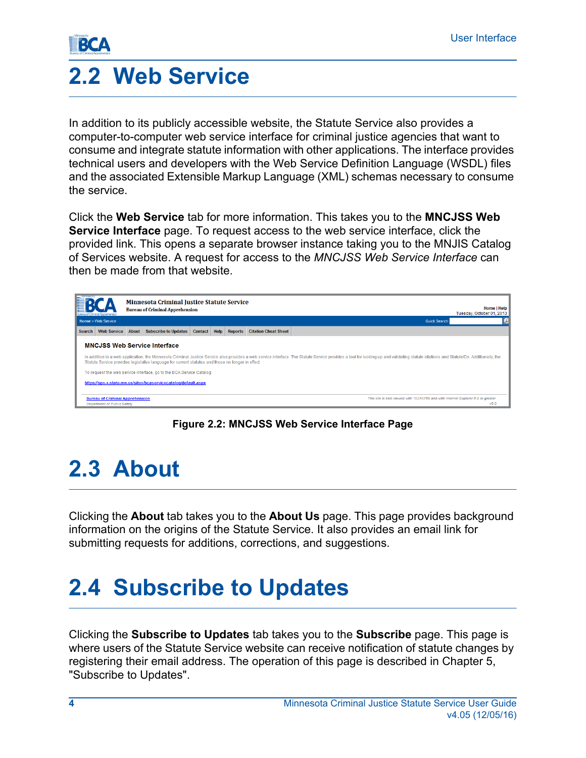## <span id="page-9-0"></span>**BCA 2.2 Web Service**

In addition to its publicly accessible website, the Statute Service also provides a computer-to-computer web service interface for criminal justice agencies that want to consume and integrate statute information with other applications. The interface provides technical users and developers with the Web Service Definition Language (WSDL) files and the associated Extensible Markup Language (XML) schemas necessary to consume the service.

Click the **Web Service** tab for more information. This takes you to the **MNCJSS Web Service Interface** page. To request access to the web service interface, click the provided link. This opens a separate browser instance taking you to the MNJIS Catalog of Services website. A request for access to the *MNCJSS Web Service Interface* can then be made from that website.



**Figure 2.2: MNCJSS Web Service Interface Page**

# <span id="page-9-1"></span>**2.3 About**

Clicking the **About** tab takes you to the **About Us** page. This page provides background information on the origins of the Statute Service. It also provides an email link for submitting requests for additions, corrections, and suggestions.

# <span id="page-9-2"></span>**2.4 Subscribe to Updates**

Clicking the **Subscribe to Updates** tab takes you to the **Subscribe** page. This page is where users of the Statute Service website can receive notification of statute changes by registering their email address. The operation of this page is described in [Chapter 5,](#page-38-2)  ["Subscribe to Updates"](#page-38-2).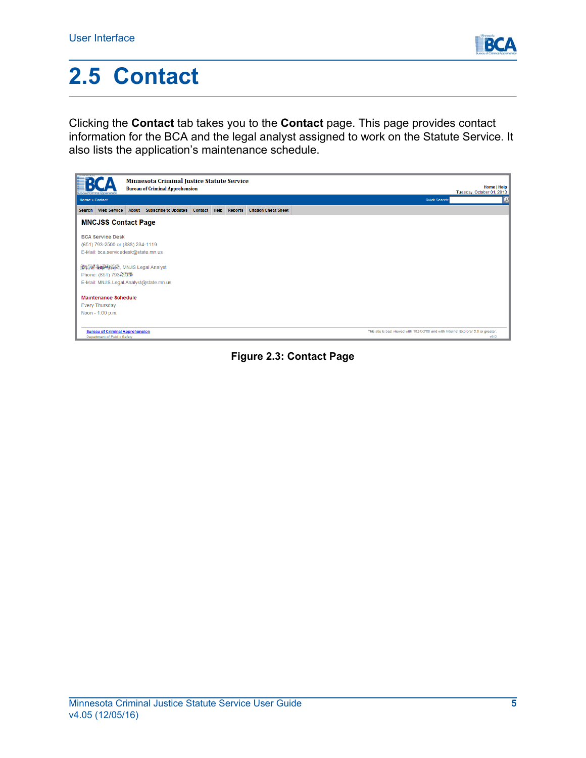

# <span id="page-10-0"></span>**2.5 Contact**

Clicking the **Contact** tab takes you to the **Contact** page. This page provides contact information for the BCA and the legal analyst assigned to work on the Statute Service. It also lists the application's maintenance schedule.

| <b>inquof Criminal Apprehension</b>     |                                        |       | Minnesota Criminal Justice Statute Service<br><b>Bureau of Criminal Apprehension</b> |                |             |                |                             |  |                                                                                   | Home   Help<br>Tuesday, October 01, 2013 |
|-----------------------------------------|----------------------------------------|-------|--------------------------------------------------------------------------------------|----------------|-------------|----------------|-----------------------------|--|-----------------------------------------------------------------------------------|------------------------------------------|
| Home > Contact                          |                                        |       |                                                                                      |                |             |                |                             |  | Quick Search:                                                                     | Ω                                        |
| Search                                  | Web Service                            | About | <b>Subscribe to Updates</b>                                                          | <b>Contact</b> | <b>Help</b> | <b>Reports</b> | <b>Citation Cheat Sheet</b> |  |                                                                                   |                                          |
| <b>MNCJSS Contact Page</b>              |                                        |       |                                                                                      |                |             |                |                             |  |                                                                                   |                                          |
| <b>BCA Service Desk</b>                 |                                        |       |                                                                                      |                |             |                |                             |  |                                                                                   |                                          |
| (651) 793-2500 or (888) 234-1119        |                                        |       |                                                                                      |                |             |                |                             |  |                                                                                   |                                          |
| E-Mail: bca.servicedesk@state.mn.us     |                                        |       |                                                                                      |                |             |                |                             |  |                                                                                   |                                          |
| <b>14 M MARINAL MINUS Legal Analyst</b> |                                        |       |                                                                                      |                |             |                |                             |  |                                                                                   |                                          |
| Phone: (651) 793                        |                                        |       |                                                                                      |                |             |                |                             |  |                                                                                   |                                          |
|                                         |                                        |       | E-Mail: MNJIS.Legal.Analyst@state.mn.us                                              |                |             |                |                             |  |                                                                                   |                                          |
|                                         |                                        |       |                                                                                      |                |             |                |                             |  |                                                                                   |                                          |
| <b>Maintenance Schedule</b>             |                                        |       |                                                                                      |                |             |                |                             |  |                                                                                   |                                          |
| <b>Every Thursday</b>                   |                                        |       |                                                                                      |                |             |                |                             |  |                                                                                   |                                          |
| Noon - 1:00 p.m.                        |                                        |       |                                                                                      |                |             |                |                             |  |                                                                                   |                                          |
|                                         |                                        |       |                                                                                      |                |             |                |                             |  |                                                                                   |                                          |
|                                         | <b>Bureau of Criminal Apprehension</b> |       |                                                                                      |                |             |                |                             |  | This site is best viewed with 1024X768 and with Internet Explorer 6.0 or greater. |                                          |
|                                         | Department of Public Safety            |       |                                                                                      |                |             |                |                             |  |                                                                                   | v5.0                                     |

**Figure 2.3: Contact Page**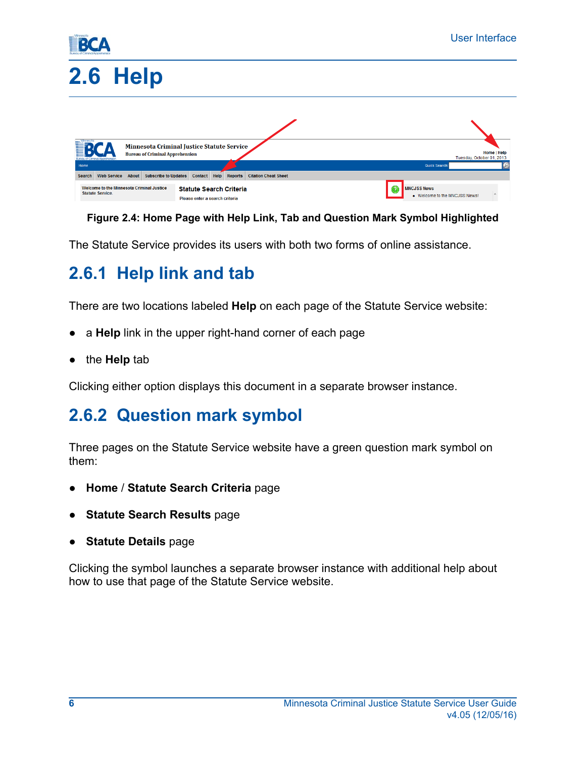<span id="page-11-0"></span>

#### **Figure 2.4: Home Page with Help Link, Tab and Question Mark Symbol Highlighted**

The Statute Service provides its users with both two forms of online assistance.

### <span id="page-11-1"></span>**2.6.1 Help link and tab**

There are two locations labeled **Help** on each page of the Statute Service website:

- a **Help** link in the upper right-hand corner of each page
- the **Help** tab

Clicking either option displays this document in a separate browser instance.

#### <span id="page-11-2"></span>**2.6.2 Question mark symbol**

Three pages on the Statute Service website have a green question mark symbol on them:

- **Home** / **Statute Search Criteria** page
- **Statute Search Results** page
- **Statute Details** page

Clicking the symbol launches a separate browser instance with additional help about how to use that page of the Statute Service website.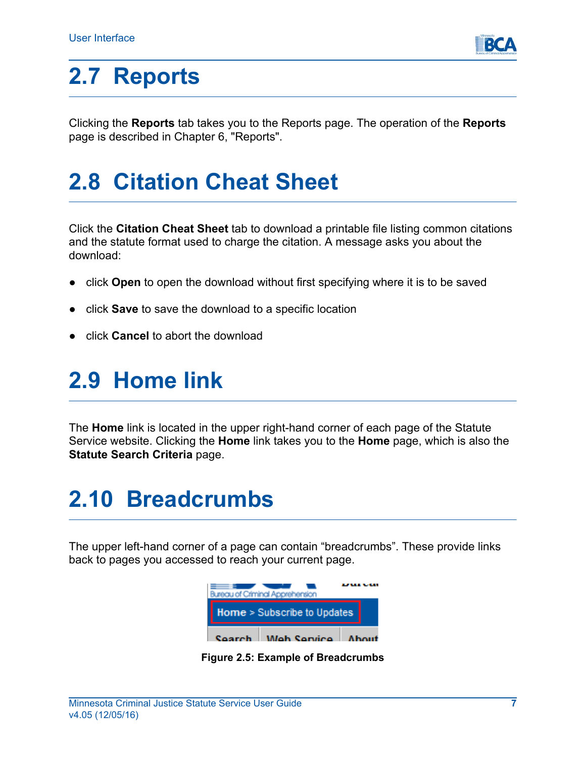

# <span id="page-12-0"></span>**2.7 Reports**

Clicking the **Reports** tab takes you to the Reports page. The operation of the **Reports** page is described in [Chapter 6, "Reports".](#page-40-3)

# <span id="page-12-1"></span>**2.8 Citation Cheat Sheet**

Click the **Citation Cheat Sheet** tab to download a printable file listing common citations and the statute format used to charge the citation. A message asks you about the download:

- click **Open** to open the download without first specifying where it is to be saved
- click **Save** to save the download to a specific location
- click **Cancel** to abort the download

# <span id="page-12-2"></span>**2.9 Home link**

The **Home** link is located in the upper right-hand corner of each page of the Statute Service website. Clicking the **Home** link takes you to the **Home** page, which is also the **Statute Search Criteria** page.

# <span id="page-12-3"></span>**2.10 Breadcrumbs**

The upper left-hand corner of a page can contain "breadcrumbs". These provide links back to pages you accessed to reach your current page.



**Figure 2.5: Example of Breadcrumbs**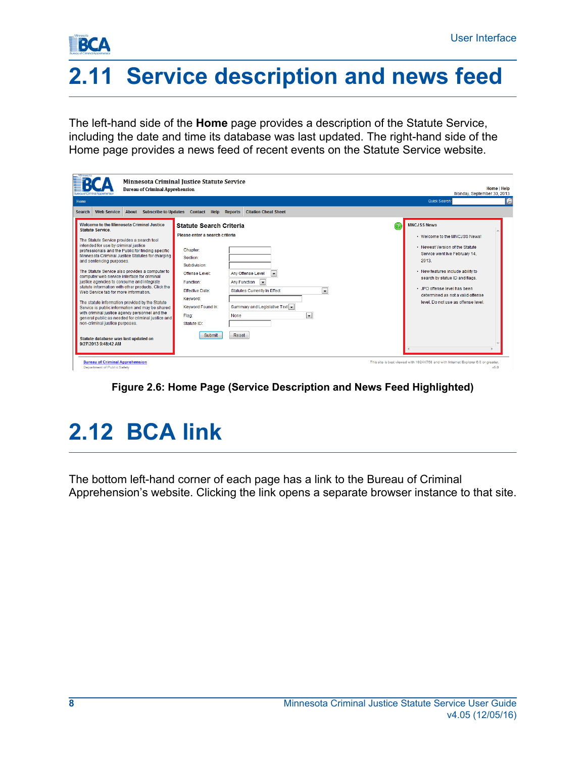

# <span id="page-13-0"></span>**2.11 Service description and news feed**

The left-hand side of the **Home** page provides a description of the Statute Service, including the date and time its database was last updated. The right-hand side of the Home page provides a news feed of recent events on the Statute Service website.

| Minnesota<br><b>Bureau of Criminal Apprehension</b><br>Bureau of Criminal Apprehensic                                                                                                                                                                                                                                                                                                                                                                                                                                                                                                                                                                                                                                                                                                                                                                               | Minnesota Criminal Justice Statute Service                                                                                                                                                                                                                                                                                                                                                                                                             | Home   Help<br>Monday, September 30, 2013                                                                                                                                                                                                                                                                                                       |
|---------------------------------------------------------------------------------------------------------------------------------------------------------------------------------------------------------------------------------------------------------------------------------------------------------------------------------------------------------------------------------------------------------------------------------------------------------------------------------------------------------------------------------------------------------------------------------------------------------------------------------------------------------------------------------------------------------------------------------------------------------------------------------------------------------------------------------------------------------------------|--------------------------------------------------------------------------------------------------------------------------------------------------------------------------------------------------------------------------------------------------------------------------------------------------------------------------------------------------------------------------------------------------------------------------------------------------------|-------------------------------------------------------------------------------------------------------------------------------------------------------------------------------------------------------------------------------------------------------------------------------------------------------------------------------------------------|
| Home                                                                                                                                                                                                                                                                                                                                                                                                                                                                                                                                                                                                                                                                                                                                                                                                                                                                |                                                                                                                                                                                                                                                                                                                                                                                                                                                        | Quick Search                                                                                                                                                                                                                                                                                                                                    |
| <b>Web Service</b><br><b>About</b><br><b>Subscribe to Updates</b><br><b>Search</b>                                                                                                                                                                                                                                                                                                                                                                                                                                                                                                                                                                                                                                                                                                                                                                                  | <b>Citation Cheat Sheet</b><br>Contact Help<br><b>Reports</b>                                                                                                                                                                                                                                                                                                                                                                                          |                                                                                                                                                                                                                                                                                                                                                 |
| <b>Welcome to the Minnesota Criminal Justice</b><br><b>Statute Service.</b><br>The Statute Service provides a search tool<br>intended for use by criminal justice<br>professionals and the Public for finding specific<br>Minnesota Criminal Justice Statutes for charging<br>and sentencing purposes.<br>The Statute Service also provides a computer to<br>computer web service interface for criminal<br>justice agencies to consume and integrate<br>statute information with other products. Click the<br>Web Service tab for more information.<br>The statute information provided by the Statute<br>Service is public information and may be shared<br>with criminal justice agency personnel and the<br>general public as needed for criminal justice and<br>non-criminal justice purposes.<br>Statute database was last updated on<br>9/27/2013 9:48:42 AM | <b>Statute Search Criteria</b><br>Please enter a search criteria<br>Chapter:<br>Section:<br>Subdivision:<br>Any Offense Level<br>$\overline{\phantom{a}}$<br>Offense Level:<br>$\vert \cdot \vert$<br>Function:<br><b>Any Function</b><br><b>Effective Date:</b><br><b>Statutes Currently In Effect</b><br>Kewword:<br>Summary and Legislative Text -<br>Keyword Found In:<br>$\blacksquare$<br>Flag:<br>None<br>Statute ID:<br><b>Submit</b><br>Reset | <b>MNCJSS News</b><br>. Welcome to the MNCJSS News!<br>. Newest Version of the Statute<br>Service went live February 14.<br>2013<br>• New features include ability to<br>search by statue ID and flags.<br>. JPO offense level has been<br>$\overline{\phantom{a}}$<br>determined as not a valid offense<br>level. Do not use as offense level. |
| <b>Bureau of Criminal Apprehension</b><br>Department of Public Safety                                                                                                                                                                                                                                                                                                                                                                                                                                                                                                                                                                                                                                                                                                                                                                                               |                                                                                                                                                                                                                                                                                                                                                                                                                                                        | This site is best viewed with 1024X768 and with Internet Explorer 6.0 or greater.<br>v5.0                                                                                                                                                                                                                                                       |

**Figure 2.6: Home Page (Service Description and News Feed Highlighted)**

# <span id="page-13-1"></span>**2.12 BCA link**

The bottom left-hand corner of each page has a link to the Bureau of Criminal Apprehension's website. Clicking the link opens a separate browser instance to that site.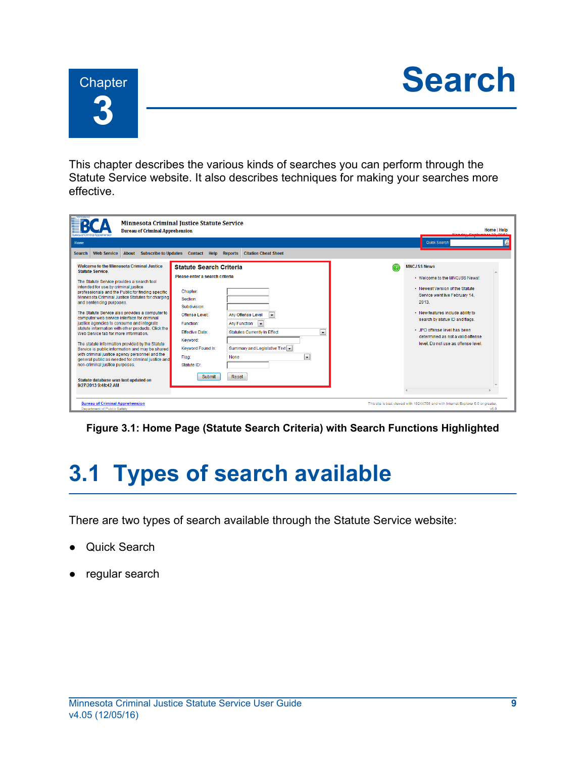<span id="page-14-0"></span>

<span id="page-14-2"></span>

This chapter describes the various kinds of searches you can perform through the Statute Service website. It also describes techniques for making your searches more effective.

| <b>Bureau of Criminal Apprehension</b><br>uncu of Criminal Apprehensi                                                                                                                                                                       | Minnesota Criminal Justice Statute Service                                                                                                                                        | Home   Help<br>Monday, Contambor 20, 2012.                                                          |
|---------------------------------------------------------------------------------------------------------------------------------------------------------------------------------------------------------------------------------------------|-----------------------------------------------------------------------------------------------------------------------------------------------------------------------------------|-----------------------------------------------------------------------------------------------------|
| Home                                                                                                                                                                                                                                        |                                                                                                                                                                                   | Quick Search:                                                                                       |
| <b>Subscribe to Updates</b><br><b>Web Service</b><br>About  <br><b>Search</b>                                                                                                                                                               | <b>Help</b><br><b>Citation Cheat Sheet</b><br><b>Contact</b><br><b>Reports</b>                                                                                                    |                                                                                                     |
| <b>Welcome to the Minnesota Criminal Justice</b><br><b>Statute Service.</b><br>The Statute Service provides a search tool<br>intended for use by criminal justice                                                                           | <b>Statute Search Criteria</b><br>$\left( 2\right)$<br>Please enter a search criteria                                                                                             | <b>MNCJSS News</b><br>. Welcome to the MNCJSS News!                                                 |
| professionals and the Public for finding specific<br>Minnesota Criminal Justice Statutes for charging<br>and sentencing purposes.                                                                                                           | Chapter:<br>Section:<br>Subdivision:                                                                                                                                              | . Newest Version of the Statute<br>Service went live February 14,<br>2013.                          |
| The Statute Service also provides a computer to<br>computer web service interface for criminal<br>justice agencies to consume and integrate<br>statute information with other products. Click the<br>Web Service tab for more information.  | $\blacksquare$<br>Offense Level:<br>Any Offense Level<br>Any Function -<br>Function:<br>$\overline{\phantom{a}}$<br><b>Effective Date:</b><br><b>Statutes Currently In Effect</b> | • New features include ability to<br>search by statue ID and flags.<br>· JPO offense level has been |
| The statute information provided by the Statute<br>Service is public information and may be shared<br>with criminal justice agency personnel and the<br>general public as needed for criminal justice and<br>non-criminal justice purposes. | Keyword:<br>Summary and Legislative Text -<br>Keyword Found In:<br>$\overline{\phantom{a}}$<br>Flag:<br>None<br>Statute ID:                                                       | determined as not a valid offense<br>level. Do not use as offense level.                            |
| Statute database was last updated on<br>9/27/2013 9:48:42 AM                                                                                                                                                                                | Submit<br>Reset                                                                                                                                                                   |                                                                                                     |
| <b>Bureau of Criminal Apprehension</b><br>Department of Public Safety                                                                                                                                                                       |                                                                                                                                                                                   | This site is best viewed with 1024X768 and with Internet Explorer 6.0 or greater.<br>v5.0           |

**Figure 3.1: Home Page (Statute Search Criteria) with Search Functions Highlighted**

# <span id="page-14-1"></span>**3.1 Types of search available**

There are two types of search available through the Statute Service website:

- **Quick Search**
- regular search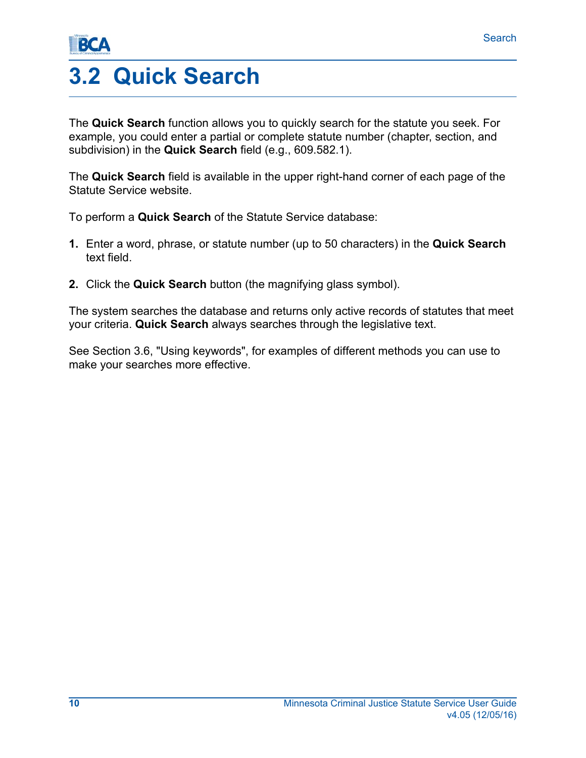<span id="page-15-0"></span>

**BCA** 

The **Quick Search** function allows you to quickly search for the statute you seek. For example, you could enter a partial or complete statute number (chapter, section, and subdivision) in the **Quick Search** field (e.g., 609.582.1).

The **Quick Search** field is available in the upper right-hand corner of each page of the Statute Service website.

To perform a **Quick Search** of the Statute Service database:

- **1.** Enter a word, phrase, or statute number (up to 50 characters) in the **Quick Search** text field.
- **2.** Click the **Quick Search** button (the magnifying glass symbol).

The system searches the database and returns only active records of statutes that meet your criteria. **Quick Search** always searches through the legislative text.

See [Section 3.6, "Using keywords",](#page-26-0) for examples of different methods you can use to make your searches more effective.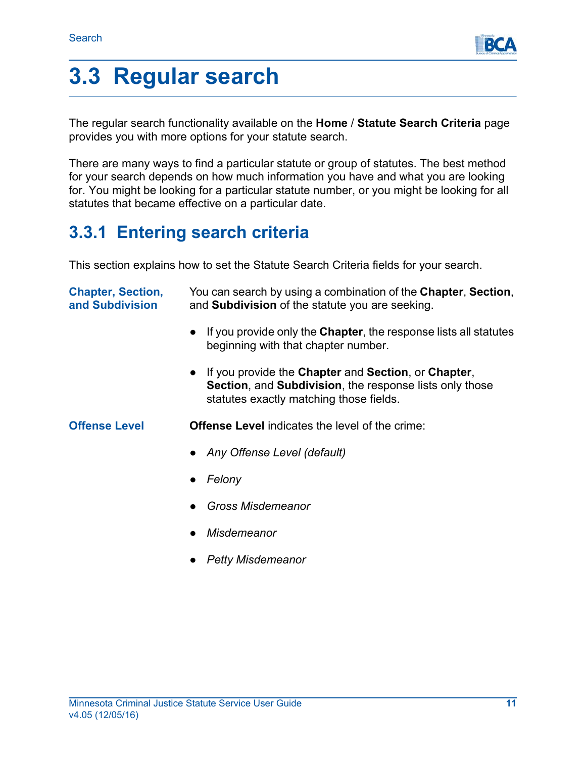

## <span id="page-16-0"></span>**3.3 Regular search**

The regular search functionality available on the **Home** / **Statute Search Criteria** page provides you with more options for your statute search.

There are many ways to find a particular statute or group of statutes. The best method for your search depends on how much information you have and what you are looking for. You might be looking for a particular statute number, or you might be looking for all statutes that became effective on a particular date.

#### <span id="page-16-1"></span>**3.3.1 Entering search criteria**

This section explains how to set the Statute Search Criteria fields for your search.

| <b>Chapter, Section,</b><br>and Subdivision | You can search by using a combination of the Chapter, Section,<br>and <b>Subdivision</b> of the statute you are seeking.                                           |
|---------------------------------------------|--------------------------------------------------------------------------------------------------------------------------------------------------------------------|
|                                             | If you provide only the Chapter, the response lists all statutes<br>beginning with that chapter number.                                                            |
|                                             | • If you provide the Chapter and Section, or Chapter,<br><b>Section, and Subdivision, the response lists only those</b><br>statutes exactly matching those fields. |
| <b>Offense Level</b>                        | <b>Offense Level</b> indicates the level of the crime:                                                                                                             |
|                                             | Any Offense Level (default)                                                                                                                                        |
|                                             | Felony                                                                                                                                                             |
|                                             | Gross Misdemeanor                                                                                                                                                  |
|                                             | Misdemeanor                                                                                                                                                        |
|                                             | <b>Petty Misdemeanor</b>                                                                                                                                           |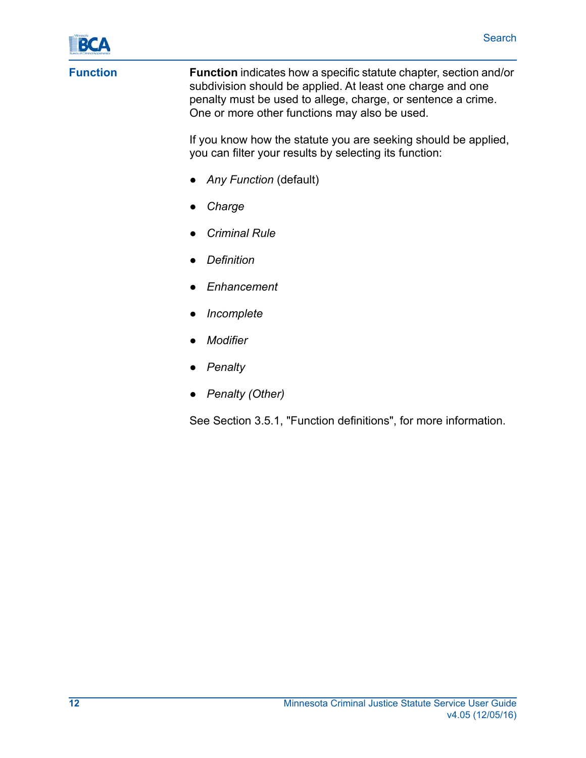

**Function Function** indicates how a specific statute chapter, section and/or subdivision should be applied. At least one charge and one penalty must be used to allege, charge, or sentence a crime. One or more other functions may also be used.

> If you know how the statute you are seeking should be applied, you can filter your results by selecting its function:

- *Any Function* (default)
- *● Charge*
- *● Criminal Rule*
- *● Definition*
- *● Enhancement*
- *● Incomplete*
- *● Modifier*
- *● Penalty*
- *● Penalty (Other)*

See [Section 3.5.1, "Function definitions"](#page-21-1), for more information.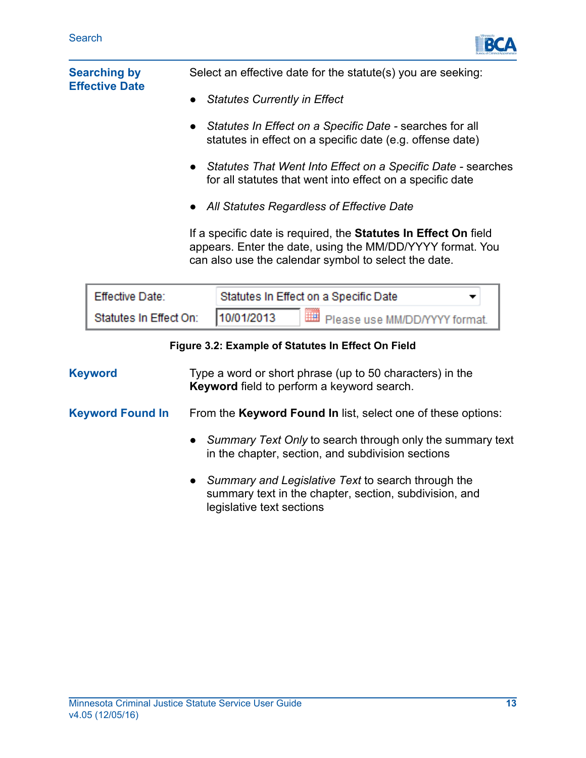

|  | <b>Searching by</b><br><b>Effective Date</b> | Select an effective date for the statute(s) you are seeking:                                                                                                                                |  |  |  |  |  |  |
|--|----------------------------------------------|---------------------------------------------------------------------------------------------------------------------------------------------------------------------------------------------|--|--|--|--|--|--|
|  |                                              | <b>Statutes Currently in Effect</b>                                                                                                                                                         |  |  |  |  |  |  |
|  |                                              | Statutes In Effect on a Specific Date - searches for all<br>statutes in effect on a specific date (e.g. offense date)                                                                       |  |  |  |  |  |  |
|  |                                              | ● Statutes That Went Into Effect on a Specific Date - searches<br>for all statutes that went into effect on a specific date                                                                 |  |  |  |  |  |  |
|  |                                              | All Statutes Regardless of Effective Date                                                                                                                                                   |  |  |  |  |  |  |
|  |                                              | If a specific date is required, the <b>Statutes In Effect On</b> field<br>appears. Enter the date, using the MM/DD/YYYY format. You<br>can also use the calendar symbol to select the date. |  |  |  |  |  |  |
|  | <b>Effective Date:</b>                       | Statutes In Effect on a Specific Date                                                                                                                                                       |  |  |  |  |  |  |
|  | Statutes In Effect On:                       | 10/01/2013<br>Please use MM/DD/YYY                                                                                                                                                          |  |  |  |  |  |  |
|  |                                              |                                                                                                                                                                                             |  |  |  |  |  |  |

#### **Figure 3.2: Example of Statutes In Effect On Field**

| <b>Keyword</b>          | Type a word or short phrase (up to 50 characters) in the<br><b>Keyword</b> field to perform a keyword search.             |  |  |  |  |
|-------------------------|---------------------------------------------------------------------------------------------------------------------------|--|--|--|--|
| <b>Keyword Found In</b> | From the Keyword Found In list, select one of these options:                                                              |  |  |  |  |
|                         | • Summary Text Only to search through only the summary text<br>in the chapter, section, and subdivision sections          |  |  |  |  |
|                         | Summary and Legislative Text to search through the<br>$\bullet$<br>summary text in the chapter, section, subdivision, and |  |  |  |  |

legislative text sections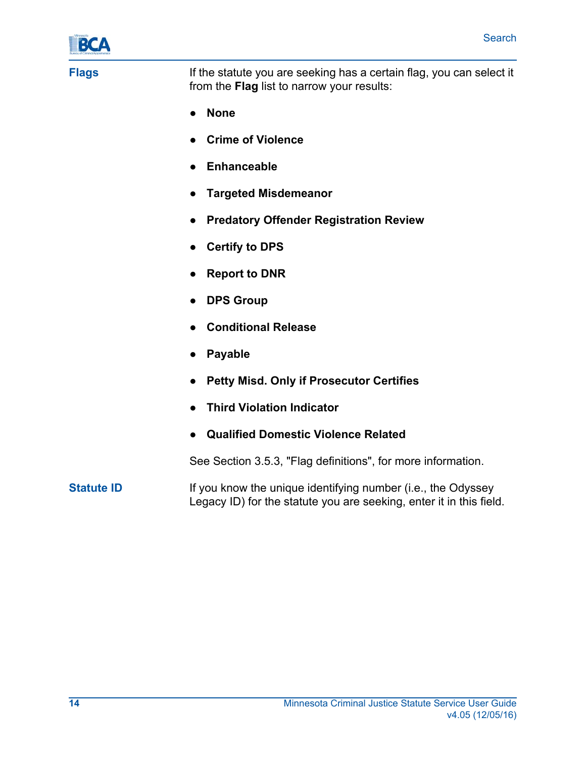

**Flags** If the statute you are seeking has a certain flag, you can select it from the **Flag** list to narrow your results:

- **● None**
- **● Crime of Violence**
- **● Enhanceable**
- **● Targeted Misdemeanor**
- **● Predatory Offender Registration Review**
- **● Certify to DPS**
- **● Report to DNR**
- **● DPS Group**
- **● Conditional Release**
- **● Payable**
- **● Petty Misd. Only if Prosecutor Certifies**
- **● Third Violation Indicator**
- **● Qualified Domestic Violence Related**

See [Section 3.5.3, "Flag definitions",](#page-23-0) for more information.

**Statute ID** If you know the unique identifying number (i.e., the Odyssey Legacy ID) for the statute you are seeking, enter it in this field.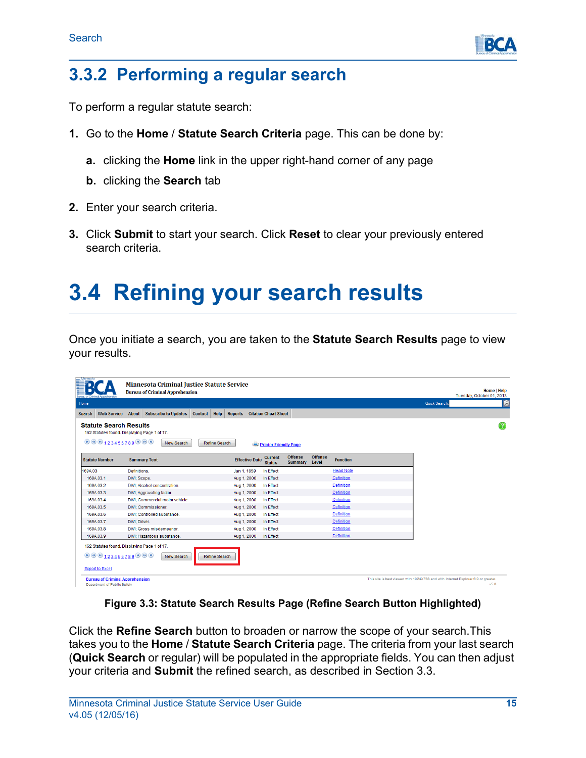

#### <span id="page-20-0"></span>**3.3.2 Performing a regular search**

To perform a regular statute search:

- **1.** Go to the **Home** / **Statute Search Criteria** page. This can be done by:
	- **a.** clicking the **Home** link in the upper right-hand corner of any page
	- **b.** clicking the **Search** tab
- **2.** Enter your search criteria.
- **3.** Click **Submit** to start your search. Click **Reset** to clear your previously entered search criteria.

# <span id="page-20-1"></span>**3.4 Refining your search results**

Once you initiate a search, you are taken to the **Statute Search Results** page to view your results.

| Minnesota     |                                                                                                                                                                                                                                                                                                                                                                                                                                                                                                                                                     |              | Minnesota Criminal Justice Statute Service<br><b>Bureau of Criminal Apprehension</b> |              |                      |                       |                                 |                                  |                         |                   |                                                                                   |               | Home   Help                            |
|---------------|-----------------------------------------------------------------------------------------------------------------------------------------------------------------------------------------------------------------------------------------------------------------------------------------------------------------------------------------------------------------------------------------------------------------------------------------------------------------------------------------------------------------------------------------------------|--------------|--------------------------------------------------------------------------------------|--------------|----------------------|-----------------------|---------------------------------|----------------------------------|-------------------------|-------------------|-----------------------------------------------------------------------------------|---------------|----------------------------------------|
|               | <b>kingu of Criminal Apprehension</b>                                                                                                                                                                                                                                                                                                                                                                                                                                                                                                               |              |                                                                                      |              |                      |                       |                                 |                                  |                         |                   |                                                                                   |               | Tuesday, October 01, 2013<br>$\bullet$ |
| Home          |                                                                                                                                                                                                                                                                                                                                                                                                                                                                                                                                                     |              |                                                                                      |              |                      |                       |                                 |                                  |                         |                   |                                                                                   | Quick Search: |                                        |
| <b>Search</b> | Web Service                                                                                                                                                                                                                                                                                                                                                                                                                                                                                                                                         |              | About Subscribe to Updates                                                           | Contact Help |                      | <b>Reports</b>        | <b>Citation Cheat Sheet</b>     |                                  |                         |                   |                                                                                   |               |                                        |
|               | <b>Statute Search Results</b><br>162 Statutes found. Displaying Page 1 of 17.<br>$\begin{smallmatrix} \textcircled{\tiny{H}} & \textcircled{\tiny{H}} & \textcircled{\tiny{H}} & \textcircled{\tiny{H}} \\ \textcircled{\tiny{H}} & \textcircled{\tiny{H}} & \textcircled{\tiny{H}} & \textcircled{\tiny{H}} & \textcircled{\tiny{H}} \end{smallmatrix} \begin{smallmatrix} \textcircled{\tiny{H}} & \textcircled{\tiny{H}} & \textcircled{\tiny{H}} \\ \textcircled{\tiny{H}} & \textcircled{\tiny{H}} & \textcircled{\tiny{H}} \end{smallmatrix}$ |              | New Search                                                                           |              | Refine Search        |                       | Printer Friendly Page           |                                  |                         |                   |                                                                                   |               | ல                                      |
|               | <b>Statute Number</b>                                                                                                                                                                                                                                                                                                                                                                                                                                                                                                                               |              | <b>Summary Text</b>                                                                  |              |                      | <b>Effective Date</b> | <b>Current</b><br><b>Status</b> | <b>Offense</b><br><b>Summary</b> | <b>Offense</b><br>Level | <b>Function</b>   |                                                                                   |               |                                        |
| 169A.03       |                                                                                                                                                                                                                                                                                                                                                                                                                                                                                                                                                     | Definitions. |                                                                                      |              |                      | Jan 1, 1859           | In Effect                       |                                  |                         | <b>Head Note</b>  |                                                                                   |               |                                        |
|               | 169A03.1                                                                                                                                                                                                                                                                                                                                                                                                                                                                                                                                            | DWI: Scope.  |                                                                                      |              |                      | Aug 1, 2000           | In Effect                       |                                  |                         | <b>Definition</b> |                                                                                   |               |                                        |
|               | 169A03.2                                                                                                                                                                                                                                                                                                                                                                                                                                                                                                                                            |              | DWI: Alcohol concentration.                                                          |              |                      | Aug 1, 2000           | In Effect                       |                                  |                         | <b>Definition</b> |                                                                                   |               |                                        |
|               | 169A03.3                                                                                                                                                                                                                                                                                                                                                                                                                                                                                                                                            |              | DWI; Aggravating factor.                                                             |              |                      | Aug 1, 2000           | In Effect                       |                                  |                         | <b>Definition</b> |                                                                                   |               |                                        |
|               | 169A03.4                                                                                                                                                                                                                                                                                                                                                                                                                                                                                                                                            |              | DWI: Commercial motor vehicle.                                                       |              |                      | Aug 1, 2000           | In Effect                       |                                  |                         | <b>Definition</b> |                                                                                   |               |                                        |
|               | 169A03.5                                                                                                                                                                                                                                                                                                                                                                                                                                                                                                                                            |              | DWI: Commissioner.                                                                   |              |                      | Aug 1, 2000           | In Effect                       |                                  |                         | <b>Definition</b> |                                                                                   |               |                                        |
|               | 169A03.6                                                                                                                                                                                                                                                                                                                                                                                                                                                                                                                                            |              | DWI: Controlled substance.                                                           |              |                      | Aug 1, 2000           | In Effect                       |                                  |                         | <b>Definition</b> |                                                                                   |               |                                        |
|               | 169A.03.7                                                                                                                                                                                                                                                                                                                                                                                                                                                                                                                                           | DWI: Driver. |                                                                                      |              |                      | Aug 1, 2000           | In Effect                       |                                  |                         | <b>Definition</b> |                                                                                   |               |                                        |
|               | 169A03.8                                                                                                                                                                                                                                                                                                                                                                                                                                                                                                                                            |              | DWI: Gross misdemeanor.                                                              |              |                      | Aug 1, 2000           | In Effect                       |                                  |                         | <b>Definition</b> |                                                                                   |               |                                        |
|               | 169A03.9                                                                                                                                                                                                                                                                                                                                                                                                                                                                                                                                            |              | DWI: Hazardous substance.                                                            |              |                      | Aug 1, 2000           | In Effect                       |                                  |                         | <b>Definition</b> |                                                                                   |               |                                        |
|               | 162 Statutes found. Displaying Page 1 of 17.<br>$\begin{array}{cccccccccccccc} \textbf{(8)} & \textbf{(9)} & \textbf{(9)} & \textbf{123456789} & \textbf{(9)} & \textbf{(9)} & \textbf{(9)} \end{array}$<br><b>Export to Excel</b>                                                                                                                                                                                                                                                                                                                  |              | New Search                                                                           |              | <b>Refine Search</b> |                       |                                 |                                  |                         |                   |                                                                                   |               |                                        |
|               | <b>Bureau of Criminal Apprehension</b><br>Department of Public Safety                                                                                                                                                                                                                                                                                                                                                                                                                                                                               |              |                                                                                      |              |                      |                       |                                 |                                  |                         |                   | This site is best viewed with 1024X768 and with Internet Explorer 6.0 or greater. |               | v5.0                                   |

**Figure 3.3: Statute Search Results Page (Refine Search Button Highlighted)**

Click the **Refine Search** button to broaden or narrow the scope of your search.This takes you to the **Home** / **Statute Search Criteria** page. The criteria from your last search (**Quick Search** or regular) will be populated in the appropriate fields. You can then adjust your criteria and **Submit** the refined search, as described in [Section 3.3](#page-16-0).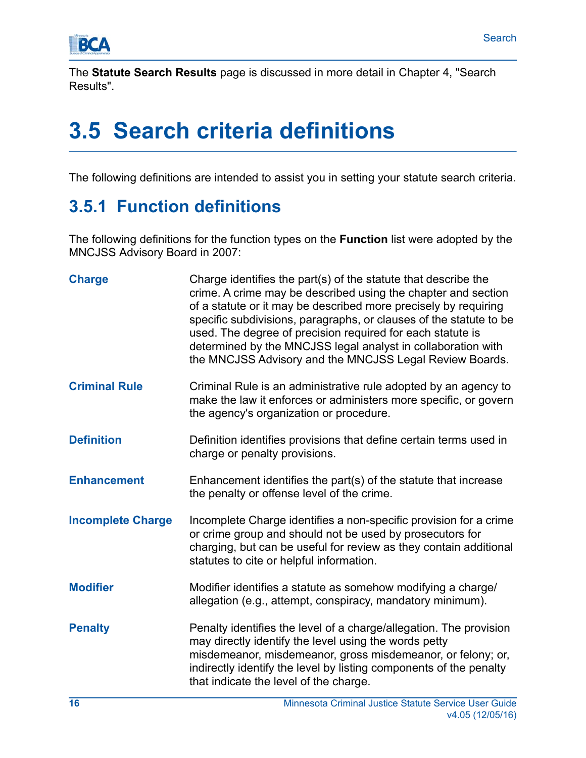

The **Statute Search Results** page is discussed in more detail in [Chapter 4, "Search](#page-28-3)  [Results"](#page-28-3).

# <span id="page-21-0"></span>**3.5 Search criteria definitions**

<span id="page-21-2"></span>The following definitions are intended to assist you in setting your statute search criteria.

#### <span id="page-21-1"></span>**3.5.1 Function definitions**

The following definitions for the function types on the **Function** list were adopted by the MNCJSS Advisory Board in 2007:

| <b>Charge</b>            | Charge identifies the part(s) of the statute that describe the<br>crime. A crime may be described using the chapter and section<br>of a statute or it may be described more precisely by requiring<br>specific subdivisions, paragraphs, or clauses of the statute to be<br>used. The degree of precision required for each statute is<br>determined by the MNCJSS legal analyst in collaboration with<br>the MNCJSS Advisory and the MNCJSS Legal Review Boards. |
|--------------------------|-------------------------------------------------------------------------------------------------------------------------------------------------------------------------------------------------------------------------------------------------------------------------------------------------------------------------------------------------------------------------------------------------------------------------------------------------------------------|
| <b>Criminal Rule</b>     | Criminal Rule is an administrative rule adopted by an agency to<br>make the law it enforces or administers more specific, or govern<br>the agency's organization or procedure.                                                                                                                                                                                                                                                                                    |
| <b>Definition</b>        | Definition identifies provisions that define certain terms used in<br>charge or penalty provisions.                                                                                                                                                                                                                                                                                                                                                               |
| <b>Enhancement</b>       | Enhancement identifies the part(s) of the statute that increase<br>the penalty or offense level of the crime.                                                                                                                                                                                                                                                                                                                                                     |
| <b>Incomplete Charge</b> | Incomplete Charge identifies a non-specific provision for a crime<br>or crime group and should not be used by prosecutors for<br>charging, but can be useful for review as they contain additional<br>statutes to cite or helpful information.                                                                                                                                                                                                                    |
| <b>Modifier</b>          | Modifier identifies a statute as somehow modifying a charge/<br>allegation (e.g., attempt, conspiracy, mandatory minimum).                                                                                                                                                                                                                                                                                                                                        |
| <b>Penalty</b>           | Penalty identifies the level of a charge/allegation. The provision<br>may directly identify the level using the words petty<br>misdemeanor, misdemeanor, gross misdemeanor, or felony; or,<br>indirectly identify the level by listing components of the penalty<br>that indicate the level of the charge.                                                                                                                                                        |
|                          |                                                                                                                                                                                                                                                                                                                                                                                                                                                                   |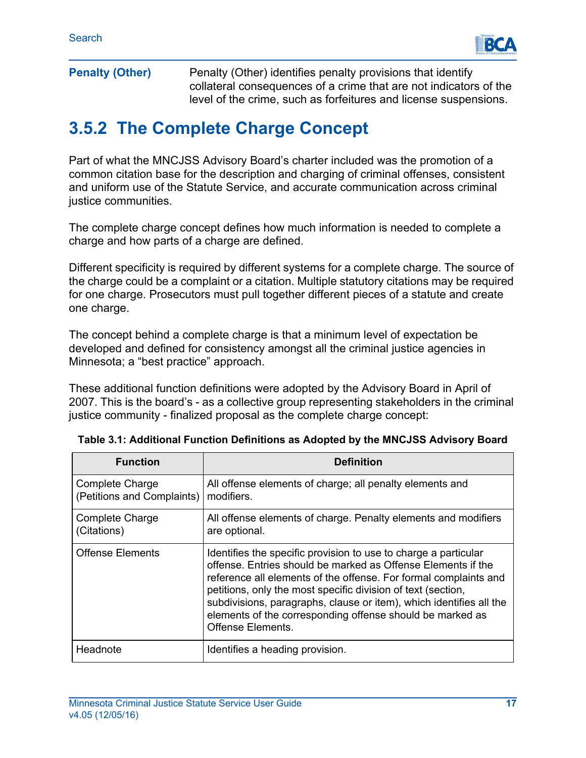

**Penalty (Other)** Penalty (Other) identifies penalty provisions that identify collateral consequences of a crime that are not indicators of the level of the crime, such as forfeitures and license suspensions.

#### <span id="page-22-0"></span>**3.5.2 The Complete Charge Concept**

Part of what the MNCJSS Advisory Board's charter included was the promotion of a common citation base for the description and charging of criminal offenses, consistent and uniform use of the Statute Service, and accurate communication across criminal justice communities.

The complete charge concept defines how much information is needed to complete a charge and how parts of a charge are defined.

Different specificity is required by different systems for a complete charge. The source of the charge could be a complaint or a citation. Multiple statutory citations may be required for one charge. Prosecutors must pull together different pieces of a statute and create one charge.

The concept behind a complete charge is that a minimum level of expectation be developed and defined for consistency amongst all the criminal justice agencies in Minnesota; a "best practice" approach.

These additional function definitions were adopted by the Advisory Board in April of 2007. This is the board's - as a collective group representing stakeholders in the criminal justice community - finalized proposal as the complete charge concept:

| <b>Function</b>                               | <b>Definition</b>                                                                                                                                                                                                                                                                                                                                                                                                                   |
|-----------------------------------------------|-------------------------------------------------------------------------------------------------------------------------------------------------------------------------------------------------------------------------------------------------------------------------------------------------------------------------------------------------------------------------------------------------------------------------------------|
| Complete Charge<br>(Petitions and Complaints) | All offense elements of charge; all penalty elements and<br>modifiers.                                                                                                                                                                                                                                                                                                                                                              |
| Complete Charge<br>(Citations)                | All offense elements of charge. Penalty elements and modifiers<br>are optional.                                                                                                                                                                                                                                                                                                                                                     |
| <b>Offense Elements</b>                       | Identifies the specific provision to use to charge a particular<br>offense. Entries should be marked as Offense Elements if the<br>reference all elements of the offense. For formal complaints and<br>petitions, only the most specific division of text (section,<br>subdivisions, paragraphs, clause or item), which identifies all the<br>elements of the corresponding offense should be marked as<br><b>Offense Elements.</b> |
| Headnote                                      | Identifies a heading provision.                                                                                                                                                                                                                                                                                                                                                                                                     |

**Table 3.1: Additional Function Definitions as Adopted by the MNCJSS Advisory Board**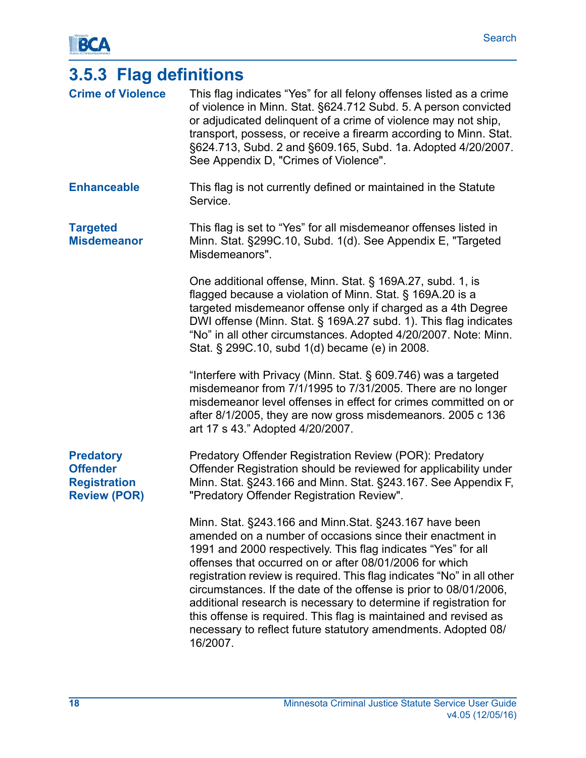

### <span id="page-23-1"></span><span id="page-23-0"></span>**3.5.3 Flag definitions**

| <b>Crime of Violence</b>                                                          | This flag indicates "Yes" for all felony offenses listed as a crime<br>of violence in Minn. Stat. §624.712 Subd. 5. A person convicted<br>or adjudicated delinquent of a crime of violence may not ship,<br>transport, possess, or receive a firearm according to Minn. Stat.<br>§624.713, Subd. 2 and §609.165, Subd. 1a. Adopted 4/20/2007.<br>See Appendix D, "Crimes of Violence".                                                                                                                                                                                                                                |
|-----------------------------------------------------------------------------------|-----------------------------------------------------------------------------------------------------------------------------------------------------------------------------------------------------------------------------------------------------------------------------------------------------------------------------------------------------------------------------------------------------------------------------------------------------------------------------------------------------------------------------------------------------------------------------------------------------------------------|
| <b>Enhanceable</b>                                                                | This flag is not currently defined or maintained in the Statute<br>Service.                                                                                                                                                                                                                                                                                                                                                                                                                                                                                                                                           |
| <b>Targeted</b><br><b>Misdemeanor</b>                                             | This flag is set to "Yes" for all misdemeanor offenses listed in<br>Minn. Stat. §299C.10, Subd. 1(d). See Appendix E, "Targeted<br>Misdemeanors".                                                                                                                                                                                                                                                                                                                                                                                                                                                                     |
|                                                                                   | One additional offense, Minn. Stat. § 169A.27, subd. 1, is<br>flagged because a violation of Minn. Stat. § 169A.20 is a<br>targeted misdemeanor offense only if charged as a 4th Degree<br>DWI offense (Minn. Stat. § 169A.27 subd. 1). This flag indicates<br>"No" in all other circumstances. Adopted 4/20/2007. Note: Minn.<br>Stat. § 299C.10, subd 1(d) became (e) in 2008.                                                                                                                                                                                                                                      |
|                                                                                   | "Interfere with Privacy (Minn. Stat. § 609.746) was a targeted<br>misdemeanor from 7/1/1995 to 7/31/2005. There are no longer<br>misdemeanor level offenses in effect for crimes committed on or<br>after 8/1/2005, they are now gross misdemeanors. 2005 c 136<br>art 17 s 43." Adopted 4/20/2007.                                                                                                                                                                                                                                                                                                                   |
| <b>Predatory</b><br><b>Offender</b><br><b>Registration</b><br><b>Review (POR)</b> | <b>Predatory Offender Registration Review (POR): Predatory</b><br>Offender Registration should be reviewed for applicability under<br>Minn. Stat. §243.166 and Minn. Stat. §243.167. See Appendix F,<br>"Predatory Offender Registration Review".                                                                                                                                                                                                                                                                                                                                                                     |
|                                                                                   | Minn. Stat. §243.166 and Minn. Stat. §243.167 have been<br>amended on a number of occasions since their enactment in<br>1991 and 2000 respectively. This flag indicates "Yes" for all<br>offenses that occurred on or after 08/01/2006 for which<br>registration review is required. This flag indicates "No" in all other<br>circumstances. If the date of the offense is prior to 08/01/2006,<br>additional research is necessary to determine if registration for<br>this offense is required. This flag is maintained and revised as<br>necessary to reflect future statutory amendments. Adopted 08/<br>16/2007. |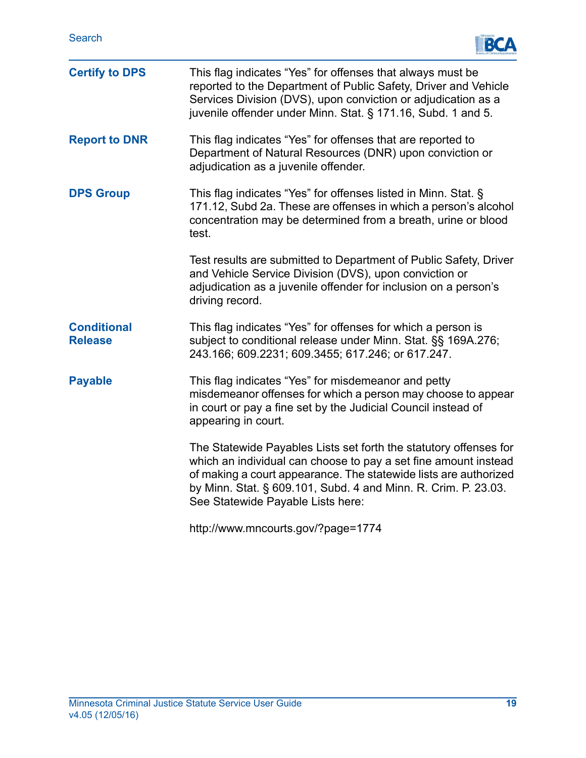

| <b>Certify to DPS</b>                | This flag indicates "Yes" for offenses that always must be<br>reported to the Department of Public Safety, Driver and Vehicle<br>Services Division (DVS), upon conviction or adjudication as a<br>juvenile offender under Minn. Stat. § 171.16, Subd. 1 and 5.                                                  |
|--------------------------------------|-----------------------------------------------------------------------------------------------------------------------------------------------------------------------------------------------------------------------------------------------------------------------------------------------------------------|
| <b>Report to DNR</b>                 | This flag indicates "Yes" for offenses that are reported to<br>Department of Natural Resources (DNR) upon conviction or<br>adjudication as a juvenile offender.                                                                                                                                                 |
| <b>DPS Group</b>                     | This flag indicates "Yes" for offenses listed in Minn. Stat. §<br>171.12, Subd 2a. These are offenses in which a person's alcohol<br>concentration may be determined from a breath, urine or blood<br>test.                                                                                                     |
|                                      | Test results are submitted to Department of Public Safety, Driver<br>and Vehicle Service Division (DVS), upon conviction or<br>adjudication as a juvenile offender for inclusion on a person's<br>driving record.                                                                                               |
| <b>Conditional</b><br><b>Release</b> | This flag indicates "Yes" for offenses for which a person is<br>subject to conditional release under Minn. Stat. §§ 169A.276;<br>243.166; 609.2231; 609.3455; 617.246; or 617.247.                                                                                                                              |
| <b>Payable</b>                       | This flag indicates "Yes" for misdemeanor and petty<br>misdemeanor offenses for which a person may choose to appear<br>in court or pay a fine set by the Judicial Council instead of<br>appearing in court.                                                                                                     |
|                                      | The Statewide Payables Lists set forth the statutory offenses for<br>which an individual can choose to pay a set fine amount instead<br>of making a court appearance. The statewide lists are authorized<br>by Minn. Stat. § 609.101, Subd. 4 and Minn. R. Crim. P. 23.03.<br>See Statewide Payable Lists here: |
|                                      | http://www.mncourts.gov/?page=1774                                                                                                                                                                                                                                                                              |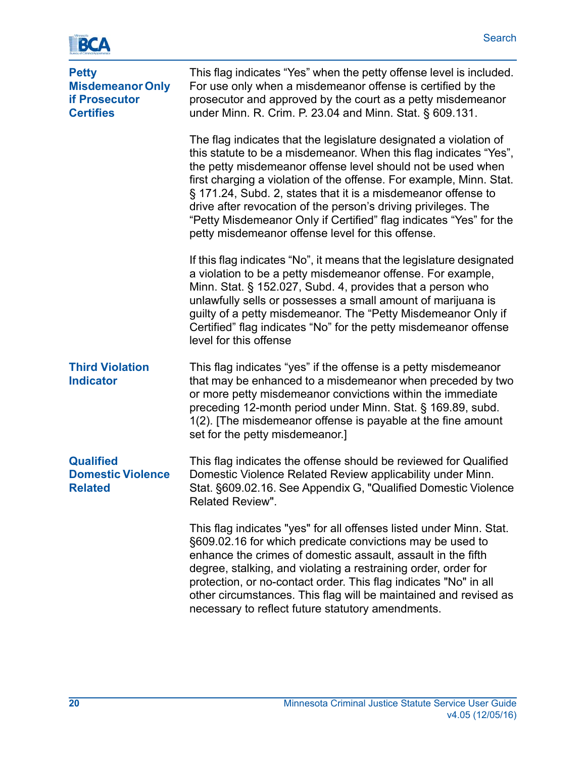

| <b>Petty</b><br><b>Misdemeanor Only</b><br>if Prosecutor<br><b>Certifies</b> | This flag indicates "Yes" when the petty offense level is included.<br>For use only when a misdemeanor offense is certified by the<br>prosecutor and approved by the court as a petty misdemeanor<br>under Minn. R. Crim. P. 23.04 and Minn. Stat. § 609.131.                                                                                                                                                                                                                                                                              |
|------------------------------------------------------------------------------|--------------------------------------------------------------------------------------------------------------------------------------------------------------------------------------------------------------------------------------------------------------------------------------------------------------------------------------------------------------------------------------------------------------------------------------------------------------------------------------------------------------------------------------------|
|                                                                              | The flag indicates that the legislature designated a violation of<br>this statute to be a misdemeanor. When this flag indicates "Yes",<br>the petty misdemeanor offense level should not be used when<br>first charging a violation of the offense. For example, Minn. Stat.<br>§ 171.24, Subd. 2, states that it is a misdemeanor offense to<br>drive after revocation of the person's driving privileges. The<br>"Petty Misdemeanor Only if Certified" flag indicates "Yes" for the<br>petty misdemeanor offense level for this offense. |
|                                                                              | If this flag indicates "No", it means that the legislature designated<br>a violation to be a petty misdemeanor offense. For example,<br>Minn. Stat. § 152.027, Subd. 4, provides that a person who<br>unlawfully sells or possesses a small amount of marijuana is<br>guilty of a petty misdemeanor. The "Petty Misdemeanor Only if<br>Certified" flag indicates "No" for the petty misdemeanor offense<br>level for this offense                                                                                                          |
| <b>Third Violation</b><br><b>Indicator</b>                                   | This flag indicates "yes" if the offense is a petty misdemeanor<br>that may be enhanced to a misdemeanor when preceded by two<br>or more petty misdemeanor convictions within the immediate<br>preceding 12-month period under Minn. Stat. § 169.89, subd.<br>1(2). [The misdemeanor offense is payable at the fine amount<br>set for the petty misdemeanor.]                                                                                                                                                                              |
| <b>Qualified</b><br><b>Domestic Violence</b><br><b>Related</b>               | This flag indicates the offense should be reviewed for Qualified<br>Domestic Violence Related Review applicability under Minn.<br>Stat. §609.02.16. See Appendix G, "Qualified Domestic Violence<br><b>Related Review".</b>                                                                                                                                                                                                                                                                                                                |
|                                                                              | This flag indicates "yes" for all offenses listed under Minn. Stat.<br>§609.02.16 for which predicate convictions may be used to<br>enhance the crimes of domestic assault, assault in the fifth<br>degree, stalking, and violating a restraining order, order for<br>protection, or no-contact order. This flag indicates "No" in all<br>other circumstances. This flag will be maintained and revised as<br>necessary to reflect future statutory amendments.                                                                            |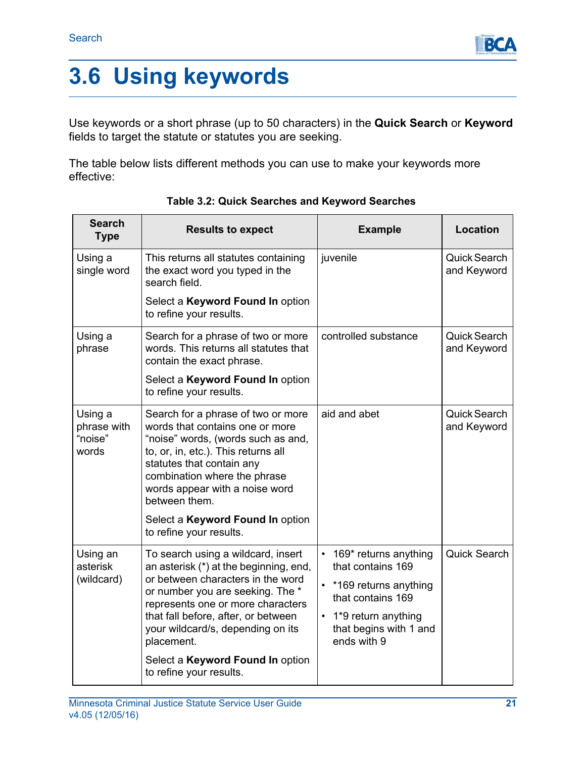

# <span id="page-26-0"></span>**3.6 Using keywords**

Use keywords or a short phrase (up to 50 characters) in the **Quick Search** or **Keyword** fields to target the statute or statutes you are seeking.

The table below lists different methods you can use to make your keywords more effective:

| <b>Results to expect</b>                                                                                                                                                                                                                                                                                                 | <b>Example</b>                                                                                                                                                                       | <b>Location</b>             |
|--------------------------------------------------------------------------------------------------------------------------------------------------------------------------------------------------------------------------------------------------------------------------------------------------------------------------|--------------------------------------------------------------------------------------------------------------------------------------------------------------------------------------|-----------------------------|
| This returns all statutes containing<br>the exact word you typed in the<br>search field.                                                                                                                                                                                                                                 | juvenile                                                                                                                                                                             | Quick Search<br>and Keyword |
| Select a Keyword Found In option<br>to refine your results.                                                                                                                                                                                                                                                              |                                                                                                                                                                                      |                             |
| Search for a phrase of two or more<br>words. This returns all statutes that<br>contain the exact phrase.                                                                                                                                                                                                                 | controlled substance                                                                                                                                                                 | Quick Search<br>and Keyword |
| Select a Keyword Found In option<br>to refine your results.                                                                                                                                                                                                                                                              |                                                                                                                                                                                      |                             |
| Search for a phrase of two or more<br>words that contains one or more<br>"noise" words, (words such as and,<br>to, or, in, etc.). This returns all<br>statutes that contain any<br>combination where the phrase<br>words appear with a noise word<br>between them.                                                       | aid and abet                                                                                                                                                                         | Quick Search<br>and Keyword |
| Select a Keyword Found In option<br>to refine your results.                                                                                                                                                                                                                                                              |                                                                                                                                                                                      |                             |
| To search using a wildcard, insert<br>an asterisk (*) at the beginning, end,<br>or between characters in the word<br>or number you are seeking. The *<br>represents one or more characters<br>that fall before, after, or between<br>your wildcard/s, depending on its<br>placement.<br>Select a Keyword Found In option | • 169* returns anything<br>that contains 169<br>*169 returns anything<br>$\bullet$<br>that contains 169<br>1*9 return anything<br>$\bullet$<br>that begins with 1 and<br>ends with 9 | Quick Search                |
|                                                                                                                                                                                                                                                                                                                          | to refine your results.                                                                                                                                                              |                             |

**Table 3.2: Quick Searches and Keyword Searches**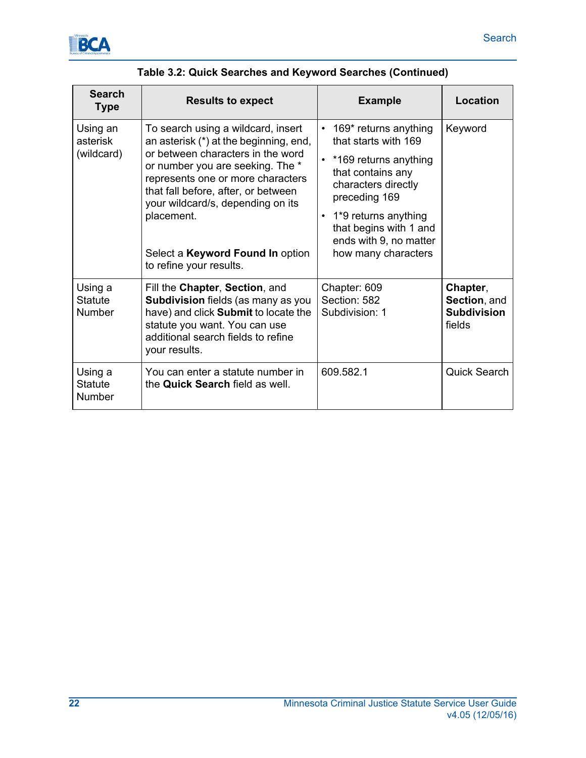

| <b>Search</b><br><b>Type</b>               | <b>Results to expect</b>                                                                                                                                                                                                                                                                                                                                   | <b>Example</b>                                                                                                                                                                                                                               | Location                                                 |
|--------------------------------------------|------------------------------------------------------------------------------------------------------------------------------------------------------------------------------------------------------------------------------------------------------------------------------------------------------------------------------------------------------------|----------------------------------------------------------------------------------------------------------------------------------------------------------------------------------------------------------------------------------------------|----------------------------------------------------------|
| Using an<br>asterisk<br>(wildcard)         | To search using a wildcard, insert<br>an asterisk (*) at the beginning, end,<br>or between characters in the word<br>or number you are seeking. The *<br>represents one or more characters<br>that fall before, after, or between<br>your wildcard/s, depending on its<br>placement.<br>Select a <b>Keyword Found In</b> option<br>to refine your results. | • 169* returns anything<br>that starts with 169<br>• *169 returns anything<br>that contains any<br>characters directly<br>preceding 169<br>• 1*9 returns anything<br>that begins with 1 and<br>ends with 9, no matter<br>how many characters | Keyword                                                  |
| Using a<br><b>Statute</b><br><b>Number</b> | Fill the Chapter, Section, and<br><b>Subdivision</b> fields (as many as you<br>have) and click <b>Submit</b> to locate the<br>statute you want. You can use<br>additional search fields to refine<br>your results.                                                                                                                                         | Chapter: 609<br>Section: 582<br>Subdivision: 1                                                                                                                                                                                               | Chapter,<br>Section, and<br><b>Subdivision</b><br>fields |
| Using a<br><b>Statute</b><br>Number        | You can enter a statute number in<br>the Quick Search field as well.                                                                                                                                                                                                                                                                                       | 609.582.1                                                                                                                                                                                                                                    | <b>Quick Search</b>                                      |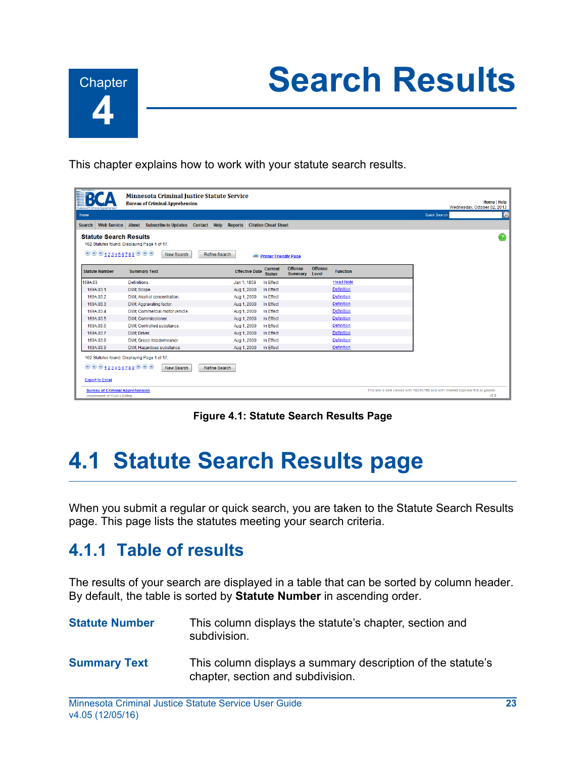<span id="page-28-3"></span><span id="page-28-0"></span>

This chapter explains how to work with your statute search results.

| tau of Criminal Apprehensia                                                        | Minnesota Criminal Justice Statute Service<br><b>Bureau of Criminal Apprehension</b>                                                                                                                                                                                                                                                                                                                                                                                                                                                                                                                                                                        |                               |                                                   |                |                   |               | Home   Help<br>Wednesday, October 02, 2013                                        |  |  |  |
|------------------------------------------------------------------------------------|-------------------------------------------------------------------------------------------------------------------------------------------------------------------------------------------------------------------------------------------------------------------------------------------------------------------------------------------------------------------------------------------------------------------------------------------------------------------------------------------------------------------------------------------------------------------------------------------------------------------------------------------------------------|-------------------------------|---------------------------------------------------|----------------|-------------------|---------------|-----------------------------------------------------------------------------------|--|--|--|
| Home                                                                               |                                                                                                                                                                                                                                                                                                                                                                                                                                                                                                                                                                                                                                                             |                               |                                                   |                |                   | Quick Search: | S                                                                                 |  |  |  |
| <b>Web Service</b><br><b>Search</b>                                                | <b>Subscribe to Updates Contact</b><br><b>About</b>                                                                                                                                                                                                                                                                                                                                                                                                                                                                                                                                                                                                         | <b>Help</b><br><b>Reports</b> | <b>Citation Cheat Sheet</b>                       |                |                   |               |                                                                                   |  |  |  |
|                                                                                    |                                                                                                                                                                                                                                                                                                                                                                                                                                                                                                                                                                                                                                                             |                               |                                                   |                |                   |               |                                                                                   |  |  |  |
| ⋒<br><b>Statute Search Results</b><br>162 Statutes found. Displaying Page 1 of 17. |                                                                                                                                                                                                                                                                                                                                                                                                                                                                                                                                                                                                                                                             |                               |                                                   |                |                   |               |                                                                                   |  |  |  |
|                                                                                    |                                                                                                                                                                                                                                                                                                                                                                                                                                                                                                                                                                                                                                                             |                               |                                                   |                |                   |               |                                                                                   |  |  |  |
|                                                                                    | $\begin{smallmatrix} \textcolor{blue}{\bullet} & \textcolor{blue}{\bullet} & \textcolor{blue}{\bullet} & \textcolor{blue}{\bullet} & \textcolor{blue}{\bullet} & \textcolor{blue}{\bullet} & \textcolor{blue}{\bullet} & \textcolor{blue}{\bullet} & \textcolor{blue}{\bullet} & \textcolor{blue}{\bullet} & \textcolor{blue}{\bullet} & \textcolor{blue}{\bullet} & \textcolor{blue}{\bullet} & \textcolor{blue}{\bullet} & \textcolor{blue}{\bullet} & \textcolor{blue}{\bullet} & \textcolor{blue}{\bullet} & \textcolor{blue}{\bullet} & \textcolor{blue}{\bullet} & \textcolor{blue}{\bullet} & \textcolor{blue}{\bullet} & \textcolor{$<br>New Search | Refine Search                 | Printer Friendly Page                             |                |                   |               |                                                                                   |  |  |  |
|                                                                                    |                                                                                                                                                                                                                                                                                                                                                                                                                                                                                                                                                                                                                                                             |                               | <b>Offense</b>                                    | <b>Offense</b> |                   |               |                                                                                   |  |  |  |
| <b>Statute Number</b>                                                              | <b>Summary Text</b>                                                                                                                                                                                                                                                                                                                                                                                                                                                                                                                                                                                                                                         | <b>Effective Date</b>         | <b>Current</b><br><b>Summary</b><br><b>Status</b> | Level          | <b>Function</b>   |               |                                                                                   |  |  |  |
| 169A.03                                                                            | Definitions.                                                                                                                                                                                                                                                                                                                                                                                                                                                                                                                                                                                                                                                | Jan 1, 1859                   | In Effect                                         |                | <b>Head Note</b>  |               |                                                                                   |  |  |  |
| 169A03.1                                                                           | DWI; Scope.                                                                                                                                                                                                                                                                                                                                                                                                                                                                                                                                                                                                                                                 | Aug 1, 2000                   | In Effect                                         |                | <b>Definition</b> |               |                                                                                   |  |  |  |
| 169A03.2                                                                           | DWI: Alcohol concentration.                                                                                                                                                                                                                                                                                                                                                                                                                                                                                                                                                                                                                                 | Aug 1, 2000                   | In Effect                                         |                | <b>Definition</b> |               |                                                                                   |  |  |  |
| 169A03.3                                                                           | DWI; Aggravating factor.                                                                                                                                                                                                                                                                                                                                                                                                                                                                                                                                                                                                                                    | Aug 1, 2000                   | In Effect                                         |                | <b>Definition</b> |               |                                                                                   |  |  |  |
| 169A03.4                                                                           | DWI: Commercial motor vehicle.                                                                                                                                                                                                                                                                                                                                                                                                                                                                                                                                                                                                                              | Aug 1, 2000                   | In Effect                                         |                | <b>Definition</b> |               |                                                                                   |  |  |  |
| 169A03.5                                                                           | DWI: Commissioner.                                                                                                                                                                                                                                                                                                                                                                                                                                                                                                                                                                                                                                          | Aug 1, 2000                   | In Effect                                         |                | <b>Definition</b> |               |                                                                                   |  |  |  |
| 169A03.6                                                                           | DWI; Controlled substance.                                                                                                                                                                                                                                                                                                                                                                                                                                                                                                                                                                                                                                  | Aug 1, 2000                   | In Effect                                         |                | <b>Definition</b> |               |                                                                                   |  |  |  |
| 169A03.7                                                                           | DWI: Driver.                                                                                                                                                                                                                                                                                                                                                                                                                                                                                                                                                                                                                                                | Aug 1, 2000                   | In Effect                                         |                | <b>Definition</b> |               |                                                                                   |  |  |  |
| 169A03.8                                                                           | DWI: Gross misdemeanor.                                                                                                                                                                                                                                                                                                                                                                                                                                                                                                                                                                                                                                     | Aug 1, 2000                   | In Effect                                         |                | <b>Definition</b> |               |                                                                                   |  |  |  |
| 169A03.9                                                                           | DWI: Hazardous substance.                                                                                                                                                                                                                                                                                                                                                                                                                                                                                                                                                                                                                                   | Aug 1, 2000                   | In Effect                                         |                | <b>Definition</b> |               |                                                                                   |  |  |  |
|                                                                                    | 162 Statutes found. Displaying Page 1 of 17.                                                                                                                                                                                                                                                                                                                                                                                                                                                                                                                                                                                                                |                               |                                                   |                |                   |               |                                                                                   |  |  |  |
|                                                                                    |                                                                                                                                                                                                                                                                                                                                                                                                                                                                                                                                                                                                                                                             |                               |                                                   |                |                   |               |                                                                                   |  |  |  |
|                                                                                    | $\mathbf{H} \oplus \mathbf{H} \oplus \mathbf{H}$<br>New Search                                                                                                                                                                                                                                                                                                                                                                                                                                                                                                                                                                                              | Refine Search                 |                                                   |                |                   |               |                                                                                   |  |  |  |
| <b>Export to Excel</b>                                                             |                                                                                                                                                                                                                                                                                                                                                                                                                                                                                                                                                                                                                                                             |                               |                                                   |                |                   |               |                                                                                   |  |  |  |
| <b>Bureau of Criminal Apprehension</b>                                             |                                                                                                                                                                                                                                                                                                                                                                                                                                                                                                                                                                                                                                                             |                               |                                                   |                |                   |               | This site is best viewed with 1024X768 and with Internet Explorer 6.0 or greater. |  |  |  |
| Department of Public Safety                                                        |                                                                                                                                                                                                                                                                                                                                                                                                                                                                                                                                                                                                                                                             |                               |                                                   |                |                   |               | v5.0                                                                              |  |  |  |

**Figure 4.1: Statute Search Results Page**

# <span id="page-28-1"></span>**4.1 Statute Search Results page**

When you submit a regular or quick search, you are taken to the Statute Search Results page. This page lists the statutes meeting your search criteria.

#### <span id="page-28-2"></span>**4.1.1 Table of results**

The results of your search are displayed in a table that can be sorted by column header. By default, the table is sorted by **Statute Number** in ascending order.

| <b>Statute Number</b> | This column displays the statute's chapter, section and<br>subdivision.                          |
|-----------------------|--------------------------------------------------------------------------------------------------|
| <b>Summary Text</b>   | This column displays a summary description of the statute's<br>chapter, section and subdivision. |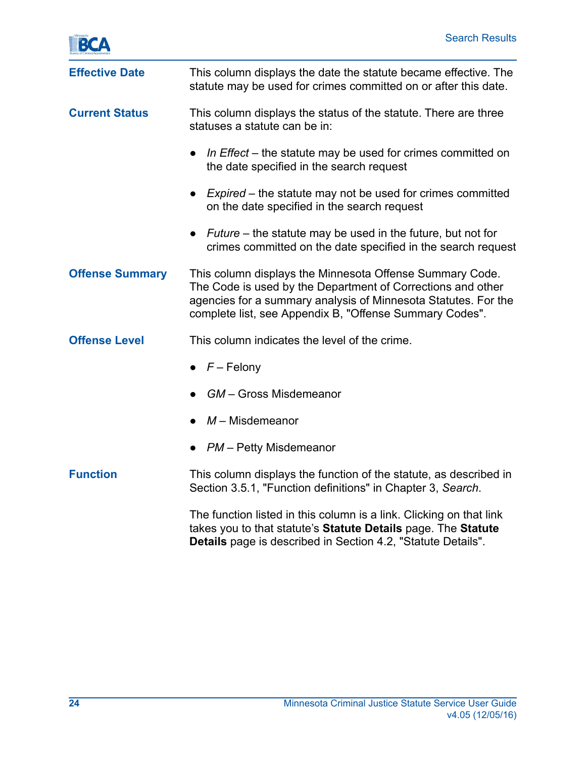

| <b>Effective Date</b>  | This column displays the date the statute became effective. The<br>statute may be used for crimes committed on or after this date.                                                                                                                   |  |
|------------------------|------------------------------------------------------------------------------------------------------------------------------------------------------------------------------------------------------------------------------------------------------|--|
| <b>Current Status</b>  | This column displays the status of the statute. There are three<br>statuses a statute can be in:                                                                                                                                                     |  |
|                        | In Effect – the statute may be used for crimes committed on<br>the date specified in the search request                                                                                                                                              |  |
|                        | • Expired – the statute may not be used for crimes committed<br>on the date specified in the search request                                                                                                                                          |  |
|                        | • Future – the statute may be used in the future, but not for<br>crimes committed on the date specified in the search request                                                                                                                        |  |
| <b>Offense Summary</b> | This column displays the Minnesota Offense Summary Code.<br>The Code is used by the Department of Corrections and other<br>agencies for a summary analysis of Minnesota Statutes. For the<br>complete list, see Appendix B, "Offense Summary Codes". |  |
| <b>Offense Level</b>   | This column indicates the level of the crime.                                                                                                                                                                                                        |  |
|                        | • $F -$ Felony                                                                                                                                                                                                                                       |  |
|                        | <b>GM</b> - Gross Misdemeanor                                                                                                                                                                                                                        |  |
|                        | $M -$ Misdemeanor                                                                                                                                                                                                                                    |  |
|                        | • $PM$ – Petty Misdemeanor                                                                                                                                                                                                                           |  |
| <b>Function</b>        | This column displays the function of the statute, as described in<br>Section 3.5.1, "Function definitions" in Chapter 3, Search.                                                                                                                     |  |
|                        | The function listed in this column is a link. Clicking on that link<br>takes you to that statute's Statute Details page. The Statute<br>Details page is described in Section 4.2, "Statute Details".                                                 |  |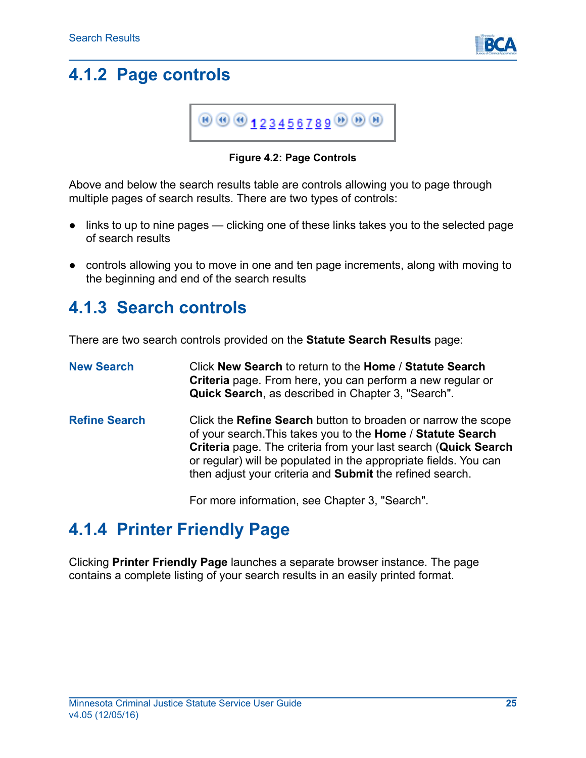

#### <span id="page-30-0"></span>**4.1.2 Page controls**



#### **Figure 4.2: Page Controls**

Above and below the search results table are controls allowing you to page through multiple pages of search results. There are two types of controls:

- links to up to nine pages clicking one of these links takes you to the selected page of search results
- controls allowing you to move in one and ten page increments, along with moving to the beginning and end of the search results

#### <span id="page-30-1"></span>**4.1.3 Search controls**

There are two search controls provided on the **Statute Search Results** page:

| <b>New Search</b>    | Click New Search to return to the Home / Statute Search<br>Criteria page. From here, you can perform a new regular or<br>Quick Search, as described in Chapter 3, "Search".                                                                                                                                                     |
|----------------------|---------------------------------------------------------------------------------------------------------------------------------------------------------------------------------------------------------------------------------------------------------------------------------------------------------------------------------|
| <b>Refine Search</b> | Click the Refine Search button to broaden or narrow the scope<br>of your search. This takes you to the Home / Statute Search<br>Criteria page. The criteria from your last search (Quick Search<br>or regular) will be populated in the appropriate fields. You can<br>then adjust your criteria and Submit the refined search. |

For more information, see [Chapter 3, "Search".](#page-14-2)

#### <span id="page-30-2"></span>**4.1.4 Printer Friendly Page**

Clicking **Printer Friendly Page** launches a separate browser instance. The page contains a complete listing of your search results in an easily printed format.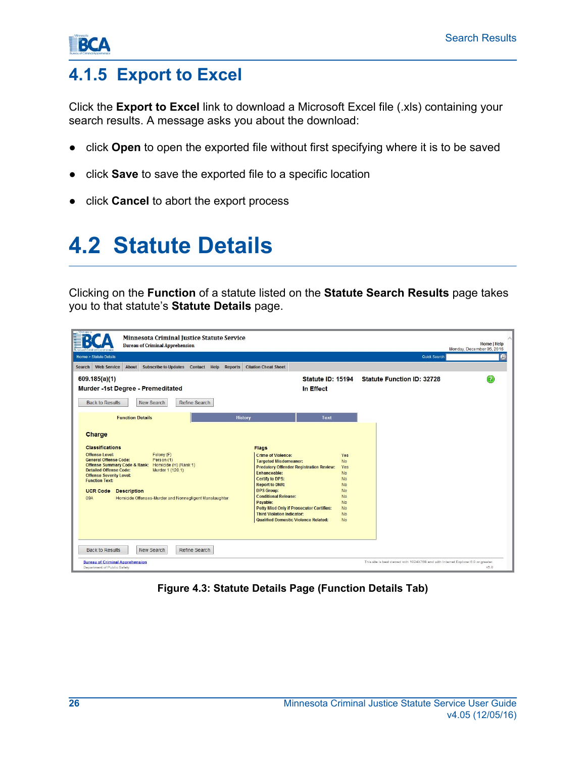

#### <span id="page-31-0"></span>**4.1.5 Export to Excel**

Click the **Export to Excel** link to download a Microsoft Excel file (.xls) containing your search results. A message asks you about the download:

- click **Open** to open the exported file without first specifying where it is to be saved
- click **Save** to save the exported file to a specific location
- click **Cancel** to abort the export process

# <span id="page-31-1"></span>**4.2 Statute Details**

Clicking on the **Function** of a statute listed on the **Statute Search Results** page takes you to that statute's **Statute Details** page.

| virence<br>Minnesota Criminal Justice Statute Service<br><b>Bureau of Criminal Apprehension</b><br>sau of Criminal Accordinancian<br>Home > Statute Details                                                                                                                                                                                                                                                                                                                                                                                                                                                                                                                                                                                                                                                    |                                                                                                                                            | Quick Search:                                                                     | Home   Help<br>Monday, December 05, 2016 |
|----------------------------------------------------------------------------------------------------------------------------------------------------------------------------------------------------------------------------------------------------------------------------------------------------------------------------------------------------------------------------------------------------------------------------------------------------------------------------------------------------------------------------------------------------------------------------------------------------------------------------------------------------------------------------------------------------------------------------------------------------------------------------------------------------------------|--------------------------------------------------------------------------------------------------------------------------------------------|-----------------------------------------------------------------------------------|------------------------------------------|
| <b>Citation Cheat Sheet</b><br><b>Subscribe to Updates</b><br>Contact Help<br><b>Reports</b><br><b>Web Service</b><br><b>About</b><br>Search                                                                                                                                                                                                                                                                                                                                                                                                                                                                                                                                                                                                                                                                   |                                                                                                                                            |                                                                                   |                                          |
| 609.185(a)(1)<br>Murder -1st Degree - Premeditated<br>Refine Search<br><b>Back to Results</b><br>New Search                                                                                                                                                                                                                                                                                                                                                                                                                                                                                                                                                                                                                                                                                                    | Statute ID: 15194<br>In Effect                                                                                                             | <b>Statute Function ID: 32728</b>                                                 | $\circ$                                  |
| <b>Function Details</b><br>History                                                                                                                                                                                                                                                                                                                                                                                                                                                                                                                                                                                                                                                                                                                                                                             | <b>Text</b>                                                                                                                                |                                                                                   |                                          |
| Charge<br><b>Classifications</b><br><b>Flags</b><br><b>Offense Level:</b><br>Felony (F)<br><b>Crime of Violence:</b><br><b>General Offense Code:</b><br>Person (1)<br><b>Targeted Misdemeanor:</b><br>Offense Summary Code & Rank: Homicide (H) (Rank 1)<br><b>Predatory Offender Registration Review:</b><br><b>Detailed Offense Code:</b><br>Murder 1 (120.1)<br>Enhanceable:<br><b>Offense Severity Level:</b><br><b>Certify to DPS:</b><br><b>Function Text:</b><br><b>Report to DNR:</b><br><b>DPS Group:</b><br><b>UCR Code</b><br><b>Description</b><br><b>Conditional Release:</b><br>Homicide Offenses-Murder and Nonnegligent Manslaughter<br>09A<br>Pavable:<br><b>Petty Misd Only if Prosecutor Certifies:</b><br><b>Third Violation Indicator:</b><br><b>Qualified Domestic Violence Related:</b> | Yes<br><b>No</b><br>Yes<br><b>No</b><br><b>No</b><br>N <sub>o</sub><br><b>No</b><br><b>No</b><br><b>No</b><br><b>No</b><br>No<br><b>No</b> |                                                                                   |                                          |
| <b>Back to Results</b><br>New Search<br>Refine Search                                                                                                                                                                                                                                                                                                                                                                                                                                                                                                                                                                                                                                                                                                                                                          |                                                                                                                                            |                                                                                   |                                          |
| <b>Bureau of Criminal Apprehension</b><br>Department of Public Safety                                                                                                                                                                                                                                                                                                                                                                                                                                                                                                                                                                                                                                                                                                                                          |                                                                                                                                            | This site is best viewed with 1024X768 and with Internet Explorer 6.0 or greater. | v5.0                                     |

**Figure 4.3: Statute Details Page (Function Details Tab)**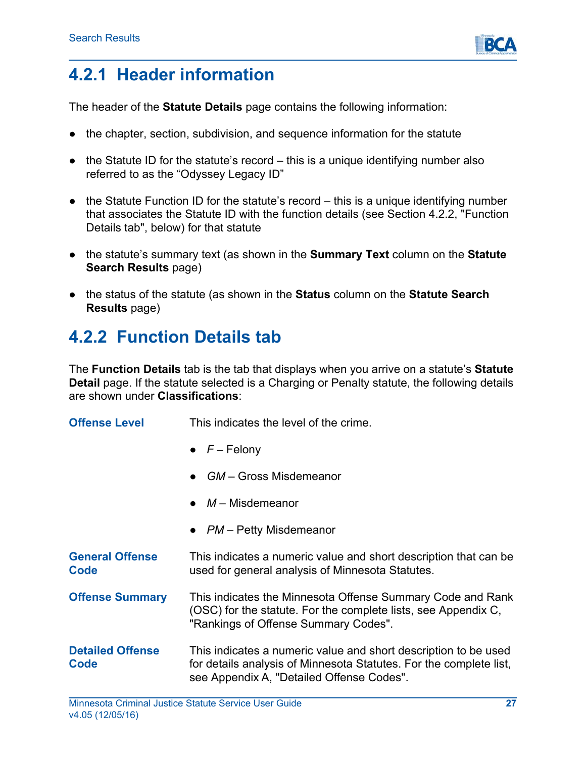

#### <span id="page-32-0"></span>**4.2.1 Header information**

The header of the **Statute Details** page contains the following information:

- the chapter, section, subdivision, and sequence information for the statute
- $\bullet$  the Statute ID for the statute's record this is a unique identifying number also referred to as the "Odyssey Legacy ID"
- the Statute Function ID for the statute's record this is a unique identifying number that associates the Statute ID with the function details (see [Section 4.2.2, "Function](#page-32-1)  [Details tab",](#page-32-1) below) for that statute
- the statute's summary text (as shown in the **Summary Text** column on the **Statute Search Results** page)
- the status of the statute (as shown in the **Status** column on the **Statute Search Results** page)

#### <span id="page-32-1"></span>**4.2.2 Function Details tab**

The **Function Details** tab is the tab that displays when you arrive on a statute's **Statute Detail** page. If the statute selected is a Charging or Penalty statute, the following details are shown under **Classifications**:

| <b>Offense Level</b>            | This indicates the level of the crime.                                                                                                                                             |
|---------------------------------|------------------------------------------------------------------------------------------------------------------------------------------------------------------------------------|
|                                 | $\bullet$ $F$ – Felony                                                                                                                                                             |
|                                 | <b>GM</b> – Gross Misdemeanor                                                                                                                                                      |
|                                 | $\bullet$ $M$ – Misdemeanor                                                                                                                                                        |
|                                 | • PM - Petty Misdemeanor                                                                                                                                                           |
| <b>General Offense</b><br>Code  | This indicates a numeric value and short description that can be<br>used for general analysis of Minnesota Statutes.                                                               |
| <b>Offense Summary</b>          | This indicates the Minnesota Offense Summary Code and Rank<br>(OSC) for the statute. For the complete lists, see Appendix C,<br>"Rankings of Offense Summary Codes".               |
| <b>Detailed Offense</b><br>Code | This indicates a numeric value and short description to be used<br>for details analysis of Minnesota Statutes. For the complete list,<br>see Appendix A, "Detailed Offense Codes". |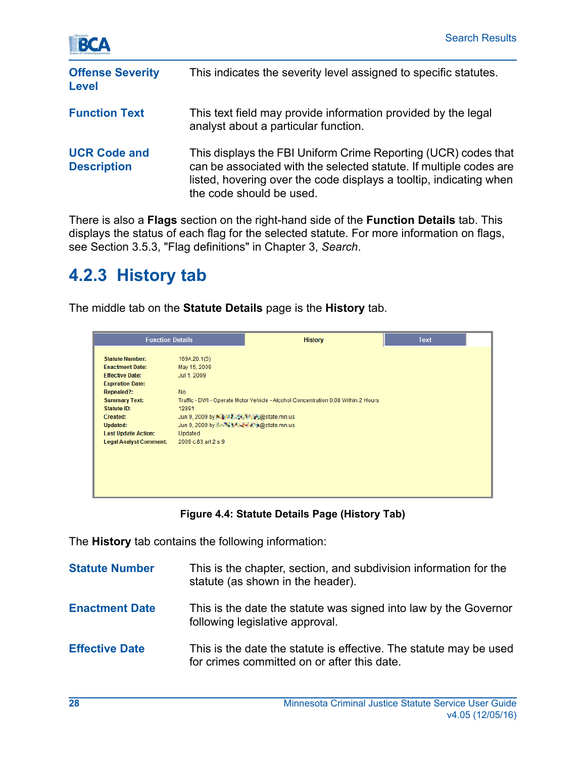

| <b>Offense Severity</b><br><b>Level</b>   | This indicates the severity level assigned to specific statutes.                                                                                                                                                                       |
|-------------------------------------------|----------------------------------------------------------------------------------------------------------------------------------------------------------------------------------------------------------------------------------------|
| <b>Function Text</b>                      | This text field may provide information provided by the legal<br>analyst about a particular function.                                                                                                                                  |
| <b>UCR Code and</b><br><b>Description</b> | This displays the FBI Uniform Crime Reporting (UCR) codes that<br>can be associated with the selected statute. If multiple codes are<br>listed, hovering over the code displays a tooltip, indicating when<br>the code should be used. |

There is also a **Flags** section on the right-hand side of the **Function Details** tab. This displays the status of each flag for the selected statute. For more information on flags, see [Section 3.5.3, "Flag definitions" in Chapter 3,](#page-23-1) *Search*.

#### <span id="page-33-0"></span>**4.2.3 History tab**

The middle tab on the **Statute Details** page is the **History** tab.

| <b>Function Details</b>                                                 |                                                                                        | <b>History</b>                                                                    | <b>Text</b> |  |
|-------------------------------------------------------------------------|----------------------------------------------------------------------------------------|-----------------------------------------------------------------------------------|-------------|--|
| <b>Statute Number:</b><br><b>Enactment Date:</b>                        | 169A.20.1(5)<br>May 15, 2009                                                           |                                                                                   |             |  |
| <b>Effective Date:</b><br><b>Expiration Date:</b>                       | Jul 1, 2009                                                                            |                                                                                   |             |  |
| <b>Repealed?:</b><br><b>Summary Text:</b>                               | <b>No</b>                                                                              | Traffic - DWI - Operate Motor Vehicle - Alcohol Concentration 0.08 Within 2 Hours |             |  |
| <b>Statute ID:</b><br><b>Created:</b>                                   | 12891<br>Jun 9, 2009 by $\blacktriangleright$ 17 $\blacktriangleright$ 2. @state.mn.us |                                                                                   |             |  |
| Updated:<br><b>Last Update Action:</b><br><b>Legal Analyst Comment:</b> | Jun 9, 2009 by A Market A A@state.mn.us<br>Updated<br>2009 c 83 art 2 s 9              |                                                                                   |             |  |
|                                                                         |                                                                                        |                                                                                   |             |  |
|                                                                         |                                                                                        |                                                                                   |             |  |
|                                                                         |                                                                                        |                                                                                   |             |  |

**Figure 4.4: Statute Details Page (History Tab)**

The **History** tab contains the following information:

| <b>Statute Number</b> | This is the chapter, section, and subdivision information for the<br>statute (as shown in the header).            |
|-----------------------|-------------------------------------------------------------------------------------------------------------------|
| <b>Enactment Date</b> | This is the date the statute was signed into law by the Governor<br>following legislative approval.               |
| <b>Effective Date</b> | This is the date the statute is effective. The statute may be used<br>for crimes committed on or after this date. |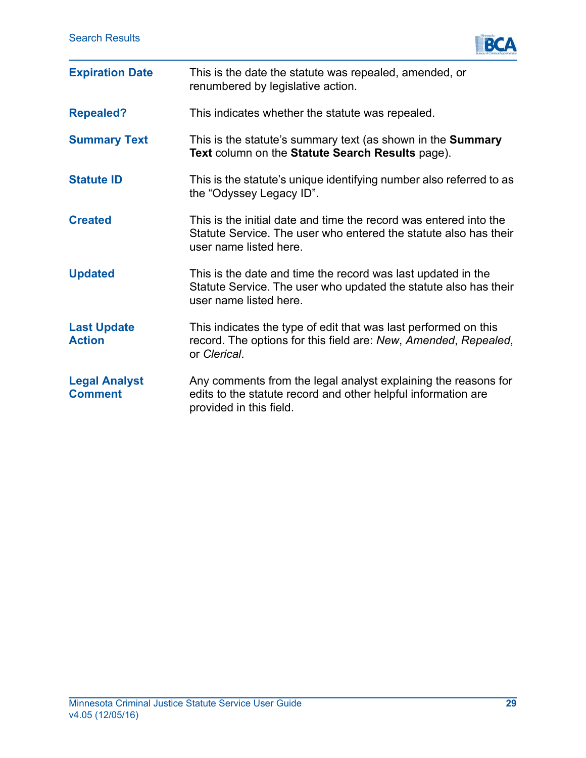

| <b>Expiration Date</b>                 | This is the date the statute was repealed, amended, or<br>renumbered by legislative action.                                                                     |
|----------------------------------------|-----------------------------------------------------------------------------------------------------------------------------------------------------------------|
| <b>Repealed?</b>                       | This indicates whether the statute was repealed.                                                                                                                |
| <b>Summary Text</b>                    | This is the statute's summary text (as shown in the <b>Summary</b><br>Text column on the Statute Search Results page).                                          |
| <b>Statute ID</b>                      | This is the statute's unique identifying number also referred to as<br>the "Odyssey Legacy ID".                                                                 |
| <b>Created</b>                         | This is the initial date and time the record was entered into the<br>Statute Service. The user who entered the statute also has their<br>user name listed here. |
| <b>Updated</b>                         | This is the date and time the record was last updated in the<br>Statute Service. The user who updated the statute also has their<br>user name listed here.      |
| <b>Last Update</b><br><b>Action</b>    | This indicates the type of edit that was last performed on this<br>record. The options for this field are: New, Amended, Repealed,<br>or Clerical.              |
| <b>Legal Analyst</b><br><b>Comment</b> | Any comments from the legal analyst explaining the reasons for<br>edits to the statute record and other helpful information are<br>provided in this field.      |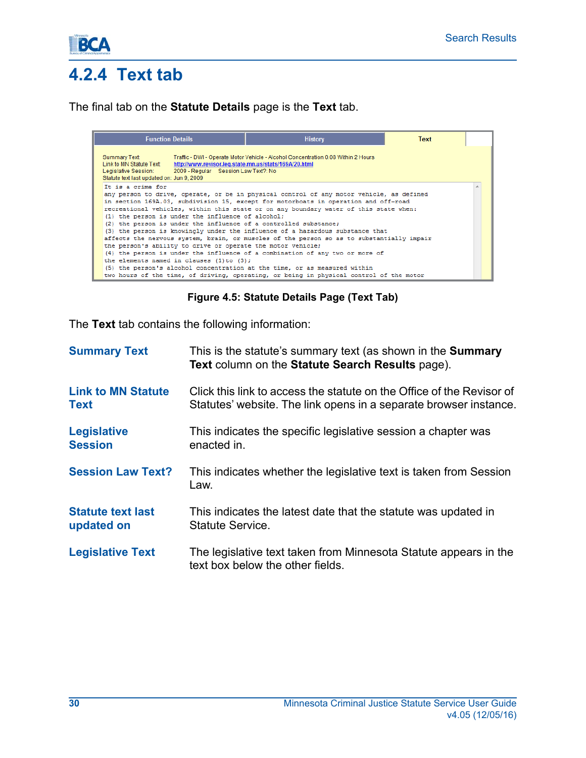

### <span id="page-35-0"></span>**4.2.4 Text tab**

The final tab on the **Statute Details** page is the **Text** tab.

| <b>Function Details</b>                                                                                                                                                                                                                                                                                                                                                                                                                                                                                                                                                                              | <b>History</b>                                                                    | Text |  |
|------------------------------------------------------------------------------------------------------------------------------------------------------------------------------------------------------------------------------------------------------------------------------------------------------------------------------------------------------------------------------------------------------------------------------------------------------------------------------------------------------------------------------------------------------------------------------------------------------|-----------------------------------------------------------------------------------|------|--|
| Summary Text:<br>Link to MN Statute Text:<br>http://www.revisor.leg.state.mn.us/stats/169A/20.html<br>Legislative Session: 2009 - Regular Session Law Text?: No<br>Statute text last updated on: Jun 9, 2009                                                                                                                                                                                                                                                                                                                                                                                         | Traffic - DWI - Operate Motor Vehicle - Alcohol Concentration 0.08 Within 2 Hours |      |  |
| It is a crime for<br>any person to drive, operate, or be in physical control of any motor vehicle, as defined<br>in section 169A.03, subdivision 15, except for motorboats in operation and off-road<br>recreational vehicles, within this state or on any boundary water of this state when:<br>(1) the person is under the influence of alcohol;<br>(2) the person is under the influence of a controlled substance;<br>(3) the person is knowingly under the influence of a hazardous substance that<br>affects the nervous system, brain, or muscles of the person so as to substantially impair |                                                                                   |      |  |
| the person's ability to drive or operate the motor vehicle;<br>(4) the person is under the influence of a combination of any two or more of<br>the elements named in clauses $(1)$ to $(3)$ ;<br>(5) the person's alcohol concentration at the time, or as measured within                                                                                                                                                                                                                                                                                                                           |                                                                                   |      |  |
| two hours of the time, of driving, operating, or being in physical control of the motor                                                                                                                                                                                                                                                                                                                                                                                                                                                                                                              |                                                                                   |      |  |

**Figure 4.5: Statute Details Page (Text Tab)**

The **Text** tab contains the following information:

| <b>Summary Text</b>       | This is the statute's summary text (as shown in the <b>Summary</b><br>Text column on the Statute Search Results page). |
|---------------------------|------------------------------------------------------------------------------------------------------------------------|
| <b>Link to MN Statute</b> | Click this link to access the statute on the Office of the Revisor of                                                  |
| <b>Text</b>               | Statutes' website. The link opens in a separate browser instance.                                                      |
| <b>Legislative</b>        | This indicates the specific legislative session a chapter was                                                          |
| <b>Session</b>            | enacted in.                                                                                                            |
| <b>Session Law Text?</b>  | This indicates whether the legislative text is taken from Session<br>Law.                                              |
| <b>Statute text last</b>  | This indicates the latest date that the statute was updated in                                                         |
| updated on                | Statute Service.                                                                                                       |
| <b>Legislative Text</b>   | The legislative text taken from Minnesota Statute appears in the<br>text box below the other fields.                   |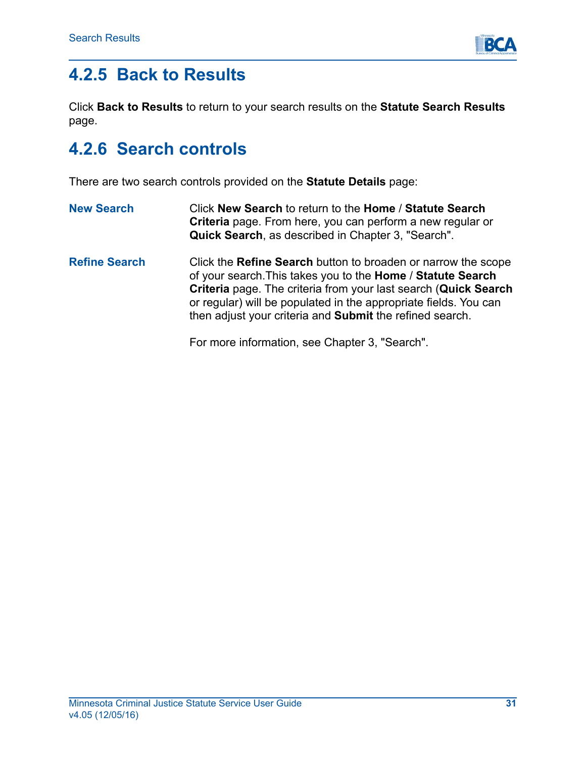

### **4.2.5 Back to Results**

Click **Back to Results** to return to your search results on the **Statute Search Results** page.

### **4.2.6 Search controls**

There are two search controls provided on the **Statute Details** page:

- **New Search** Click **New Search** to return to the **Home** / **Statute Search Criteria** page. From here, you can perform a new regular or **Quick Search**, as described in [Chapter 3, "Search"](#page-14-0).
- **Refine Search** Click the **Refine Search** button to broaden or narrow the scope of your search.This takes you to the **Home** / **Statute Search Criteria** page. The criteria from your last search (**Quick Search** or regular) will be populated in the appropriate fields. You can then adjust your criteria and **Submit** the refined search.

For more information, see [Chapter 3, "Search".](#page-14-0)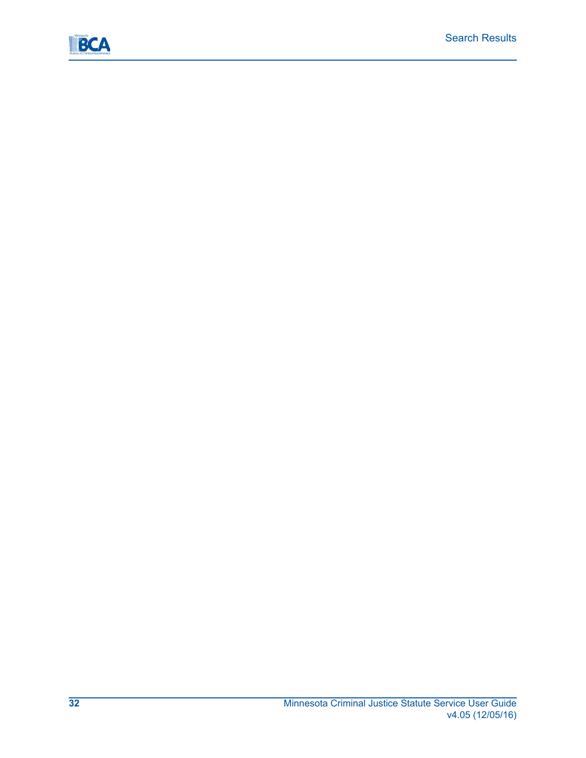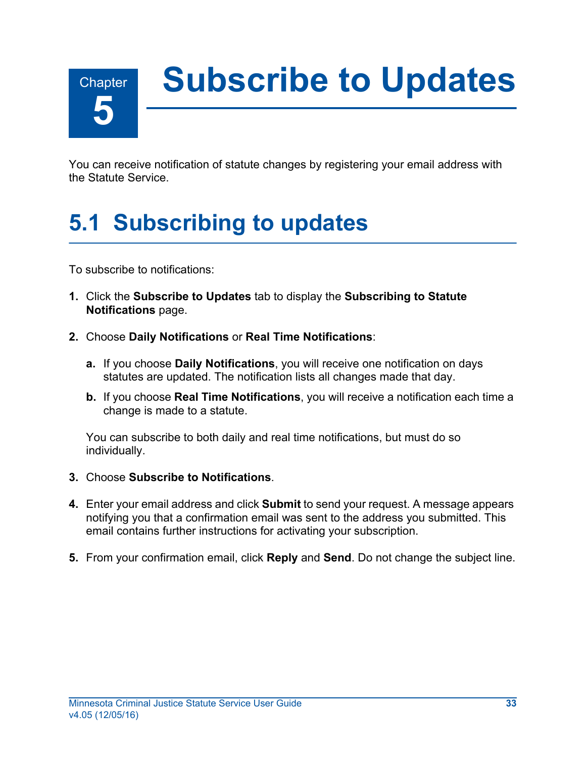

# **Subscribe to Updates**

You can receive notification of statute changes by registering your email address with the Statute Service.

### **5.1 Subscribing to updates**

To subscribe to notifications:

- **1.** Click the **Subscribe to Updates** tab to display the **Subscribing to Statute Notifications** page.
- **2.** Choose **Daily Notifications** or **Real Time Notifications**:
	- **a.** If you choose **Daily Notifications**, you will receive one notification on days statutes are updated. The notification lists all changes made that day.
	- **b.** If you choose **Real Time Notifications**, you will receive a notification each time a change is made to a statute.

You can subscribe to both daily and real time notifications, but must do so individually.

- **3.** Choose **Subscribe to Notifications**.
- **4.** Enter your email address and click **Submit** to send your request. A message appears notifying you that a confirmation email was sent to the address you submitted. This email contains further instructions for activating your subscription.
- **5.** From your confirmation email, click **Reply** and **Send**. Do not change the subject line.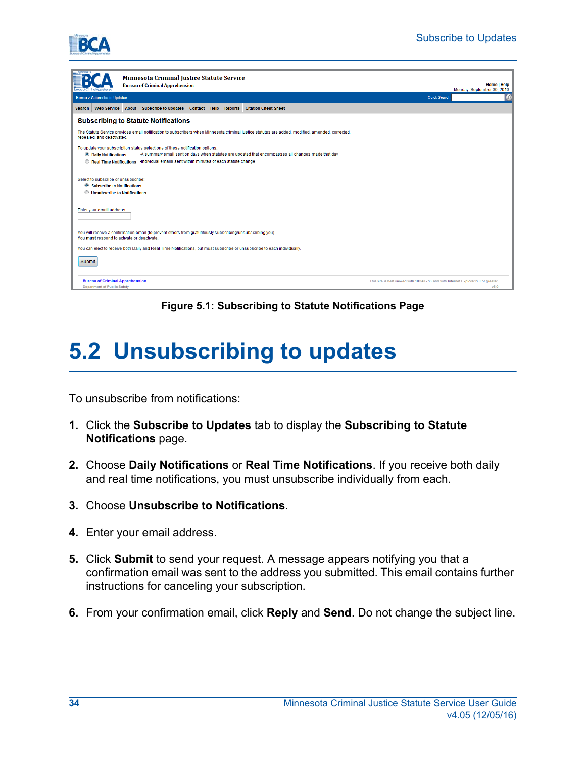

|        |                                                                                                                          |                                                                   |              | Minnesota Criminal Justice Statute Service<br><b>Bureau of Criminal Apprehension</b>                        |  |  |                |                             |                                                                                                                                                  | Home   Help<br>Monday, September 30, 2013 |
|--------|--------------------------------------------------------------------------------------------------------------------------|-------------------------------------------------------------------|--------------|-------------------------------------------------------------------------------------------------------------|--|--|----------------|-----------------------------|--------------------------------------------------------------------------------------------------------------------------------------------------|-------------------------------------------|
|        |                                                                                                                          | Home > Subscribe to Updates                                       |              |                                                                                                             |  |  |                |                             |                                                                                                                                                  | Quick Search<br>$\omega$                  |
| Search |                                                                                                                          | Web Service                                                       | <b>About</b> | Subscribe to Updates Contact Help                                                                           |  |  | <b>Reports</b> | <b>Citation Cheat Sheet</b> |                                                                                                                                                  |                                           |
|        |                                                                                                                          |                                                                   |              | <b>Subscribing to Statute Notifications</b>                                                                 |  |  |                |                             |                                                                                                                                                  |                                           |
|        |                                                                                                                          | repealed, and deactivated.                                        |              |                                                                                                             |  |  |                |                             | The Statute Service provides email notification to subscribers when Minnesota criminal justice statutes are added, modified, amended, corrected, |                                           |
|        |                                                                                                                          |                                                                   |              | To update your subscription status select one of these notification options:                                |  |  |                |                             |                                                                                                                                                  |                                           |
|        |                                                                                                                          | <b>O</b> Daily Notifications                                      |              | Real Time Notifications -Individual emails sent within minutes of each statute change                       |  |  |                |                             | -A summary email sent on days when statutes are updated that encompasses all changes made that day                                               |                                           |
|        |                                                                                                                          |                                                                   |              |                                                                                                             |  |  |                |                             |                                                                                                                                                  |                                           |
|        |                                                                                                                          | Select to subscribe or unsubscribe:                               |              |                                                                                                             |  |  |                |                             |                                                                                                                                                  |                                           |
|        |                                                                                                                          | Subscribe to Notifications<br><b>Unsubscribe to Notifications</b> |              |                                                                                                             |  |  |                |                             |                                                                                                                                                  |                                           |
|        |                                                                                                                          |                                                                   |              |                                                                                                             |  |  |                |                             |                                                                                                                                                  |                                           |
|        |                                                                                                                          | Enter your email address:                                         |              |                                                                                                             |  |  |                |                             |                                                                                                                                                  |                                           |
|        |                                                                                                                          |                                                                   |              |                                                                                                             |  |  |                |                             |                                                                                                                                                  |                                           |
|        |                                                                                                                          |                                                                   |              |                                                                                                             |  |  |                |                             |                                                                                                                                                  |                                           |
|        |                                                                                                                          | You must respond to activate or deactivate.                       |              | You will receive a confirmation email (to prevent others from gratutitously subscribing/unsubscribing you). |  |  |                |                             |                                                                                                                                                  |                                           |
|        | You can elect to receive both Daily and Real Time Notifications, but must subscribe or unsubscribe to each individually. |                                                                   |              |                                                                                                             |  |  |                |                             |                                                                                                                                                  |                                           |
|        | Submit                                                                                                                   |                                                                   |              |                                                                                                             |  |  |                |                             |                                                                                                                                                  |                                           |
|        |                                                                                                                          |                                                                   |              |                                                                                                             |  |  |                |                             |                                                                                                                                                  |                                           |
|        |                                                                                                                          | <b>Bureau of Criminal Apprehension</b>                            |              |                                                                                                             |  |  |                |                             | This site is best viewed with 1024X768 and with Internet Explorer 6.0 or greater.                                                                |                                           |
|        |                                                                                                                          | Department of Public Safety                                       |              |                                                                                                             |  |  |                |                             |                                                                                                                                                  | v <sub>5.0</sub>                          |

**Figure 5.1: Subscribing to Statute Notifications Page**

### **5.2 Unsubscribing to updates**

To unsubscribe from notifications:

- **1.** Click the **Subscribe to Updates** tab to display the **Subscribing to Statute Notifications** page.
- **2.** Choose **Daily Notifications** or **Real Time Notifications**. If you receive both daily and real time notifications, you must unsubscribe individually from each.
- **3.** Choose **Unsubscribe to Notifications**.
- **4.** Enter your email address.
- **5.** Click **Submit** to send your request. A message appears notifying you that a confirmation email was sent to the address you submitted. This email contains further instructions for canceling your subscription.
- **6.** From your confirmation email, click **Reply** and **Send**. Do not change the subject line.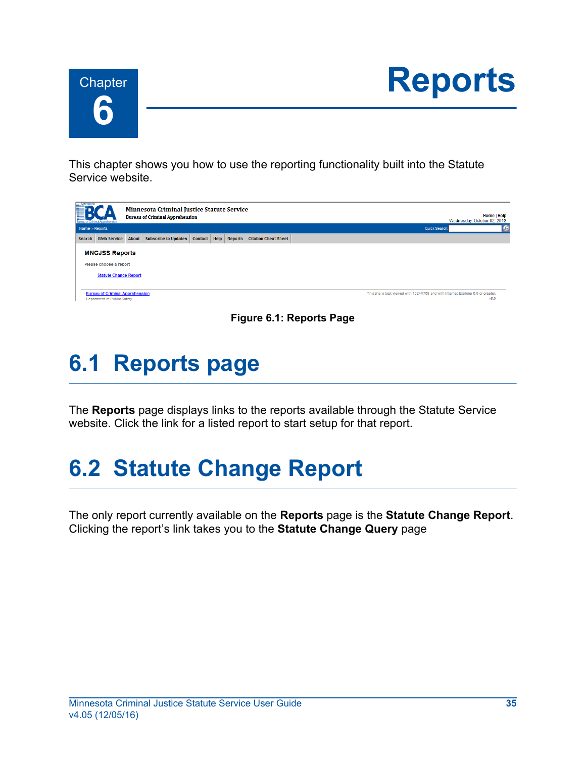



This chapter shows you how to use the reporting functionality built into the Statute Service website.



**Figure 6.1: Reports Page**

## **6.1 Reports page**

The **Reports** page displays links to the reports available through the Statute Service website. Click the link for a listed report to start setup for that report.

## **6.2 Statute Change Report**

The only report currently available on the **Reports** page is the **Statute Change Report**. Clicking the report's link takes you to the **Statute Change Query** page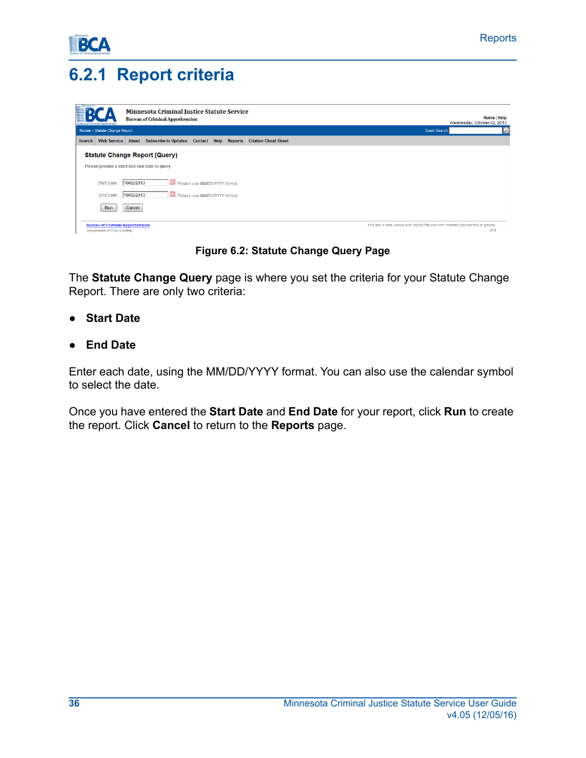

### **6.2.1 Report criteria**

| Minnesota<br><b>Burnau of Criminal Apprehension</b> |                                                                                                                                                                    |              | <b>Minnesota Criminal Justice Statute Service</b><br><b>Bureau of Criminal Apprehension</b> |                               |      |                | Home   Help<br>Wednesday, October 02, 2013 |                    |  |
|-----------------------------------------------------|--------------------------------------------------------------------------------------------------------------------------------------------------------------------|--------------|---------------------------------------------------------------------------------------------|-------------------------------|------|----------------|--------------------------------------------|--------------------|--|
|                                                     | Home > Statute Change Report                                                                                                                                       |              |                                                                                             |                               |      |                |                                            | Œ<br>Quick Search: |  |
| Search                                              | <b>Web Service</b>                                                                                                                                                 | <b>About</b> | <b>Subscribe to Updates</b>                                                                 | Contact                       | Help | <b>Reports</b> | <b>Citation Cheat Sheet</b>                |                    |  |
|                                                     | <b>Statute Change Report (Query)</b><br>Please provide a start and end date to query                                                                               |              |                                                                                             |                               |      |                |                                            |                    |  |
|                                                     | <b>Start Date:</b>                                                                                                                                                 | 10/02/2013   |                                                                                             | Please use MM/DD/YYYY format. |      |                |                                            |                    |  |
|                                                     | 10/02/2013<br>Please use MM/DD/YYYY format.<br>End Date:                                                                                                           |              |                                                                                             |                               |      |                |                                            |                    |  |
|                                                     | Run<br>Cancel                                                                                                                                                      |              |                                                                                             |                               |      |                |                                            |                    |  |
|                                                     | <b>Bureau of Criminal Apprehension</b><br>This site is best viewed with 1024X768 and with Internet Explorer 6.0 or greater.<br>v5.0<br>Department of Public Safety |              |                                                                                             |                               |      |                |                                            |                    |  |

**Figure 6.2: Statute Change Query Page**

The **Statute Change Query** page is where you set the criteria for your Statute Change Report. There are only two criteria:

- **● Start Date**
- **● End Date**

Enter each date, using the MM/DD/YYYY format. You can also use the calendar symbol to select the date.

Once you have entered the **Start Date** and **End Date** for your report, click **Run** to create the report. Click **Cancel** to return to the **Reports** page.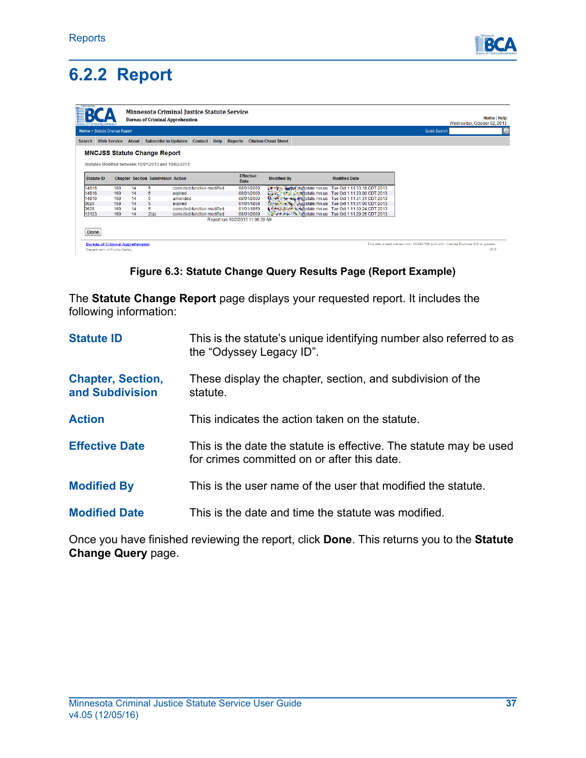

### **6.2.2 Report**

| Minnesota     |                                        |       | Minnesota Criminal Justice Statute Service<br><b>Bureau of Criminal Apprehension</b> |         |                             |             |                                  |                  |                                                                                                               |                                           |                                                                                   | Home   Help                 |
|---------------|----------------------------------------|-------|--------------------------------------------------------------------------------------|---------|-----------------------------|-------------|----------------------------------|------------------|---------------------------------------------------------------------------------------------------------------|-------------------------------------------|-----------------------------------------------------------------------------------|-----------------------------|
|               | <b>Jungu of Criminal Apprehension</b>  |       |                                                                                      |         |                             |             |                                  |                  |                                                                                                               |                                           |                                                                                   | Wednesday, October 02, 2013 |
|               | Home > Statute Change Report           |       |                                                                                      |         |                             |             |                                  |                  |                                                                                                               |                                           | Quick Search                                                                      | l F                         |
| <b>Search</b> | <b>Web Service</b>                     | About | <b>Subscribe to Updates</b>                                                          |         | <b>Contact</b>              | <b>Help</b> | <b>Reports</b>                   |                  | <b>Citation Cheat Sheet</b>                                                                                   |                                           |                                                                                   |                             |
|               |                                        |       | <b>MNCJSS Statute Change Report</b>                                                  |         |                             |             |                                  |                  |                                                                                                               |                                           |                                                                                   |                             |
|               |                                        |       |                                                                                      |         |                             |             |                                  |                  |                                                                                                               |                                           |                                                                                   |                             |
|               |                                        |       | Statutes Modified between 10/01/2013 and 10/02/2013                                  |         |                             |             |                                  |                  |                                                                                                               |                                           |                                                                                   |                             |
|               |                                        |       |                                                                                      |         |                             |             |                                  |                  |                                                                                                               |                                           |                                                                                   |                             |
|               | Statute ID                             |       | <b>Chapter Section Subdivision Action</b>                                            |         |                             |             | Date                             | <b>Effective</b> | <b>Modified By</b>                                                                                            | <b>Modified Date</b>                      |                                                                                   |                             |
| 14916         | 169                                    | 14    |                                                                                      |         | corrected-function modified |             |                                  | 08/01/2000       | <b>SHOP</b>                                                                                                   | Costate.mn.us Tue Oct 1 11:33:18 CDT 2013 |                                                                                   |                             |
| 14916         | 169                                    | 14    |                                                                                      | expired |                             |             |                                  | 08/01/2000       | Ua es                                                                                                         | m@state.mn.us Tue Oct 1 11:33:00 CDT 2013 |                                                                                   |                             |
| 14916         | 169                                    | 14    |                                                                                      | amended |                             |             |                                  | 08/01/2000       | Figure 14 May 2013 Materials Tue Oct 1 11:31:31 CDT 2013                                                      |                                           |                                                                                   |                             |
| 3626          | 169                                    | 14    | 5                                                                                    | expired |                             |             |                                  | 01/01/1859       | Company of Costate mn.us Tue Oct 1 11:31:00 CDT 2013                                                          |                                           |                                                                                   |                             |
| 3626          | 169                                    | 14    | 5                                                                                    |         | corrected-function modified |             |                                  | 01/01/1859       |                                                                                                               |                                           |                                                                                   |                             |
| 13123         | 169                                    | 14    | 2(a)                                                                                 |         | corrected-function modified |             |                                  | 08/01/2009       | 2013 / 2013 / 2013 / 2014 / 2014 / 2014 / 2015 / 2016 / 2019 / 2019 / 2019 / 2019 / 2019 / 2019 / 2019 / 2019 |                                           |                                                                                   |                             |
|               |                                        |       |                                                                                      |         |                             |             | Report run 10/2/2013 11:08:38 AM |                  |                                                                                                               |                                           |                                                                                   |                             |
|               |                                        |       |                                                                                      |         |                             |             |                                  |                  |                                                                                                               |                                           |                                                                                   |                             |
| Done          |                                        |       |                                                                                      |         |                             |             |                                  |                  |                                                                                                               |                                           |                                                                                   |                             |
|               |                                        |       |                                                                                      |         |                             |             |                                  |                  |                                                                                                               |                                           |                                                                                   |                             |
|               | <b>Bureau of Criminal Apprehension</b> |       |                                                                                      |         |                             |             |                                  |                  |                                                                                                               |                                           | This site is best viewed with 1024X768 and with Internet Explorer 6.0 or greater. |                             |
|               | Department of Public Safety            |       |                                                                                      |         |                             |             |                                  |                  |                                                                                                               |                                           |                                                                                   | v5.0                        |
|               |                                        |       |                                                                                      |         |                             |             |                                  |                  |                                                                                                               |                                           |                                                                                   |                             |

#### **Figure 6.3: Statute Change Query Results Page (Report Example)**

The **Statute Change Report** page displays your requested report. It includes the following information:

| <b>Statute ID</b>                           | This is the statute's unique identifying number also referred to as<br>the "Odyssey Legacy ID".                   |
|---------------------------------------------|-------------------------------------------------------------------------------------------------------------------|
| <b>Chapter, Section,</b><br>and Subdivision | These display the chapter, section, and subdivision of the<br>statute.                                            |
| <b>Action</b>                               | This indicates the action taken on the statute.                                                                   |
| <b>Effective Date</b>                       | This is the date the statute is effective. The statute may be used<br>for crimes committed on or after this date. |
| <b>Modified By</b>                          | This is the user name of the user that modified the statute.                                                      |
| <b>Modified Date</b>                        | This is the date and time the statute was modified.                                                               |

Once you have finished reviewing the report, click **Done**. This returns you to the **Statute Change Query** page.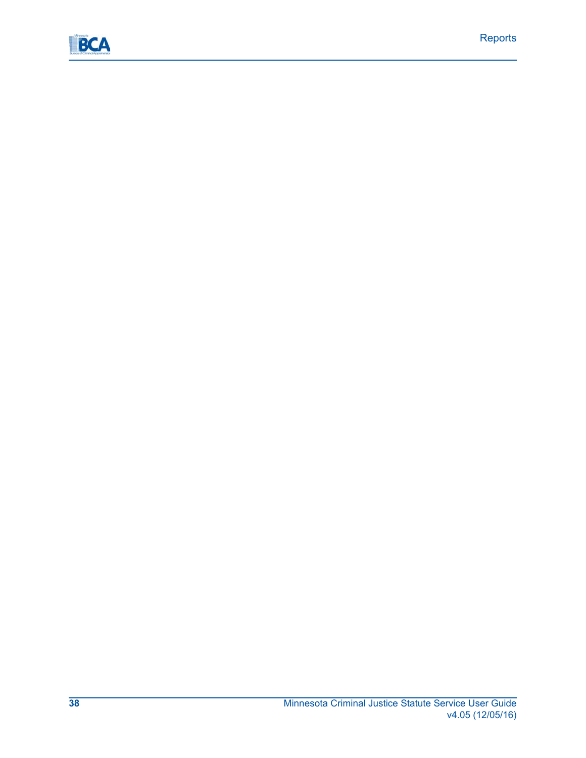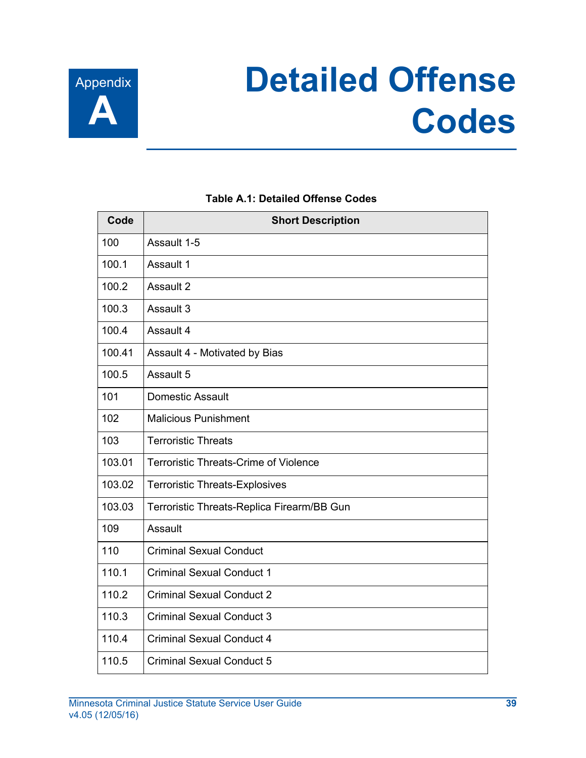

## **Detailed Offense Codes**

| Code   | <b>Short Description</b>                     |
|--------|----------------------------------------------|
| 100    | Assault 1-5                                  |
| 100.1  | Assault 1                                    |
| 100.2  | Assault 2                                    |
| 100.3  | Assault 3                                    |
| 100.4  | Assault 4                                    |
| 100.41 | Assault 4 - Motivated by Bias                |
| 100.5  | Assault 5                                    |
| 101    | <b>Domestic Assault</b>                      |
| 102    | <b>Malicious Punishment</b>                  |
| 103    | <b>Terroristic Threats</b>                   |
| 103.01 | <b>Terroristic Threats-Crime of Violence</b> |
| 103.02 | <b>Terroristic Threats-Explosives</b>        |
| 103.03 | Terroristic Threats-Replica Firearm/BB Gun   |
| 109    | Assault                                      |
| 110    | <b>Criminal Sexual Conduct</b>               |
| 110.1  | <b>Criminal Sexual Conduct 1</b>             |
| 110.2  | <b>Criminal Sexual Conduct 2</b>             |
| 110.3  | <b>Criminal Sexual Conduct 3</b>             |
| 110.4  | <b>Criminal Sexual Conduct 4</b>             |
| 110.5  | <b>Criminal Sexual Conduct 5</b>             |

#### **Table A.1: Detailed Offense Codes**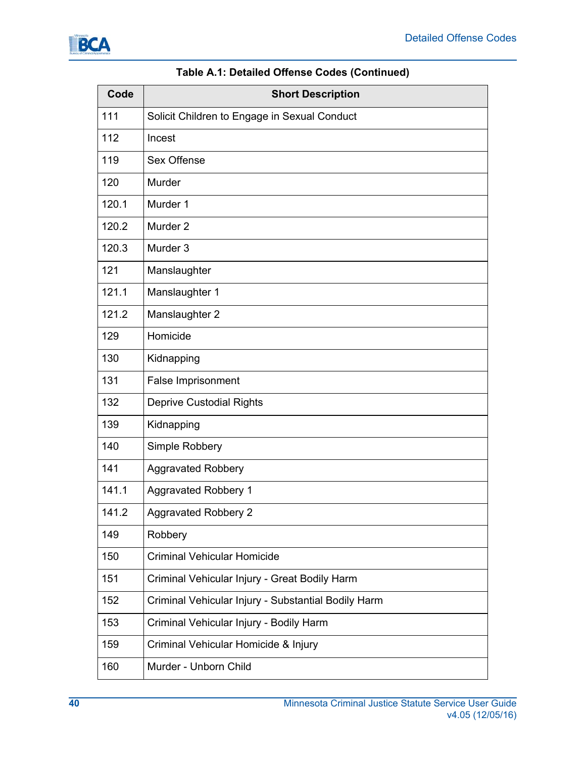

| Code  | <b>Short Description</b>                            |
|-------|-----------------------------------------------------|
| 111   | Solicit Children to Engage in Sexual Conduct        |
| 112   | Incest                                              |
| 119   | Sex Offense                                         |
| 120   | Murder                                              |
| 120.1 | Murder 1                                            |
| 120.2 | Murder <sub>2</sub>                                 |
| 120.3 | Murder <sub>3</sub>                                 |
| 121   | Manslaughter                                        |
| 121.1 | Manslaughter 1                                      |
| 121.2 | Manslaughter 2                                      |
| 129   | Homicide                                            |
| 130   | Kidnapping                                          |
| 131   | False Imprisonment                                  |
| 132   | <b>Deprive Custodial Rights</b>                     |
| 139   | Kidnapping                                          |
| 140   | Simple Robbery                                      |
| 141   | <b>Aggravated Robbery</b>                           |
| 141.1 | <b>Aggravated Robbery 1</b>                         |
| 141.2 | <b>Aggravated Robbery 2</b>                         |
| 149   | Robbery                                             |
| 150   | <b>Criminal Vehicular Homicide</b>                  |
| 151   | Criminal Vehicular Injury - Great Bodily Harm       |
| 152   | Criminal Vehicular Injury - Substantial Bodily Harm |
| 153   | Criminal Vehicular Injury - Bodily Harm             |
| 159   | Criminal Vehicular Homicide & Injury                |
| 160   | Murder - Unborn Child                               |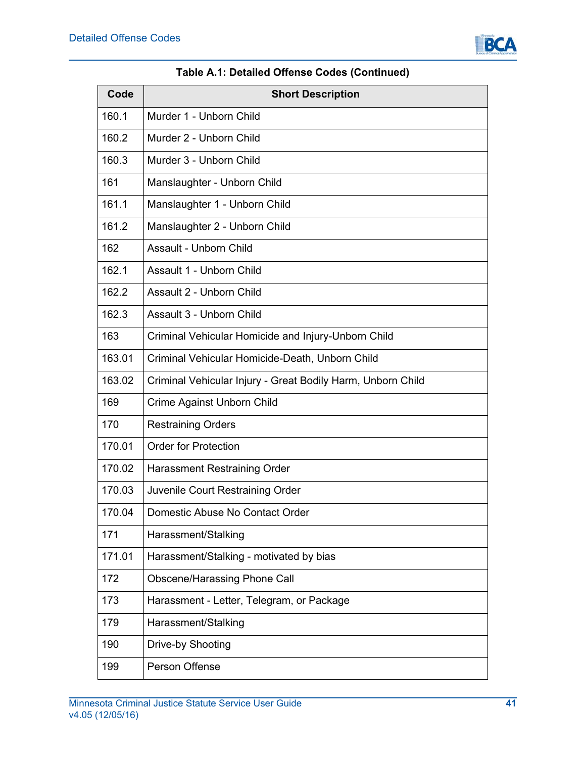

| Code   | <b>Short Description</b>                                    |
|--------|-------------------------------------------------------------|
| 160.1  | Murder 1 - Unborn Child                                     |
| 160.2  | Murder 2 - Unborn Child                                     |
| 160.3  | Murder 3 - Unborn Child                                     |
| 161    | Manslaughter - Unborn Child                                 |
| 161.1  | Manslaughter 1 - Unborn Child                               |
| 161.2  | Manslaughter 2 - Unborn Child                               |
| 162    | Assault - Unborn Child                                      |
| 162.1  | Assault 1 - Unborn Child                                    |
| 162.2  | Assault 2 - Unborn Child                                    |
| 162.3  | Assault 3 - Unborn Child                                    |
| 163    | Criminal Vehicular Homicide and Injury-Unborn Child         |
| 163.01 | Criminal Vehicular Homicide-Death, Unborn Child             |
| 163.02 | Criminal Vehicular Injury - Great Bodily Harm, Unborn Child |
| 169    | Crime Against Unborn Child                                  |
| 170    | <b>Restraining Orders</b>                                   |
| 170.01 | <b>Order for Protection</b>                                 |
| 170.02 | Harassment Restraining Order                                |
| 170.03 | Juvenile Court Restraining Order                            |
| 170.04 | Domestic Abuse No Contact Order                             |
| 171    | Harassment/Stalking                                         |
| 171.01 | Harassment/Stalking - motivated by bias                     |
| 172    | <b>Obscene/Harassing Phone Call</b>                         |
| 173    | Harassment - Letter, Telegram, or Package                   |
| 179    | Harassment/Stalking                                         |
| 190    | Drive-by Shooting                                           |
| 199    | Person Offense                                              |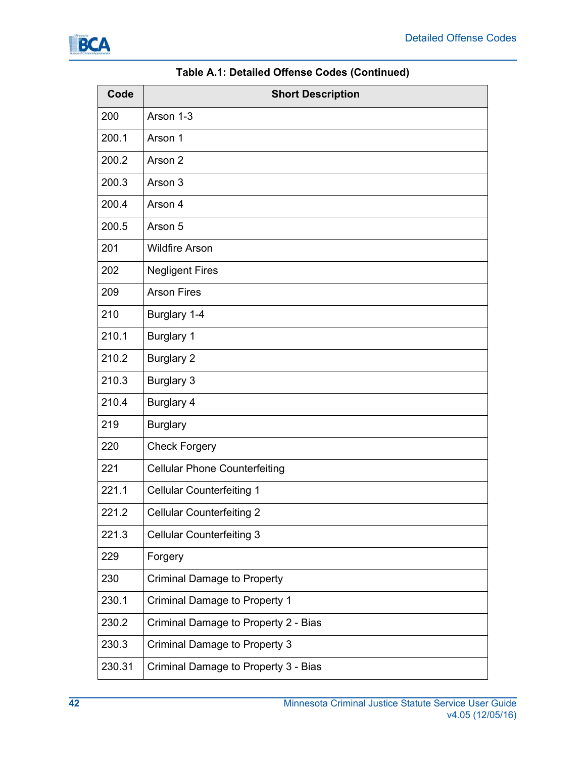

| Code   | <b>Short Description</b>             |
|--------|--------------------------------------|
| 200    | Arson 1-3                            |
| 200.1  | Arson 1                              |
| 200.2  | Arson 2                              |
| 200.3  | Arson 3                              |
| 200.4  | Arson 4                              |
| 200.5  | Arson 5                              |
| 201    | <b>Wildfire Arson</b>                |
| 202    | <b>Negligent Fires</b>               |
| 209    | <b>Arson Fires</b>                   |
| 210    | Burglary 1-4                         |
| 210.1  | <b>Burglary 1</b>                    |
| 210.2  | <b>Burglary 2</b>                    |
| 210.3  | <b>Burglary 3</b>                    |
| 210.4  | Burglary 4                           |
| 219    | <b>Burglary</b>                      |
| 220    | <b>Check Forgery</b>                 |
| 221    | <b>Cellular Phone Counterfeiting</b> |
| 221.1  | <b>Cellular Counterfeiting 1</b>     |
| 221.2  | <b>Cellular Counterfeiting 2</b>     |
| 221.3  | <b>Cellular Counterfeiting 3</b>     |
| 229    | Forgery                              |
| 230    | <b>Criminal Damage to Property</b>   |
| 230.1  | Criminal Damage to Property 1        |
| 230.2  | Criminal Damage to Property 2 - Bias |
| 230.3  | Criminal Damage to Property 3        |
| 230.31 | Criminal Damage to Property 3 - Bias |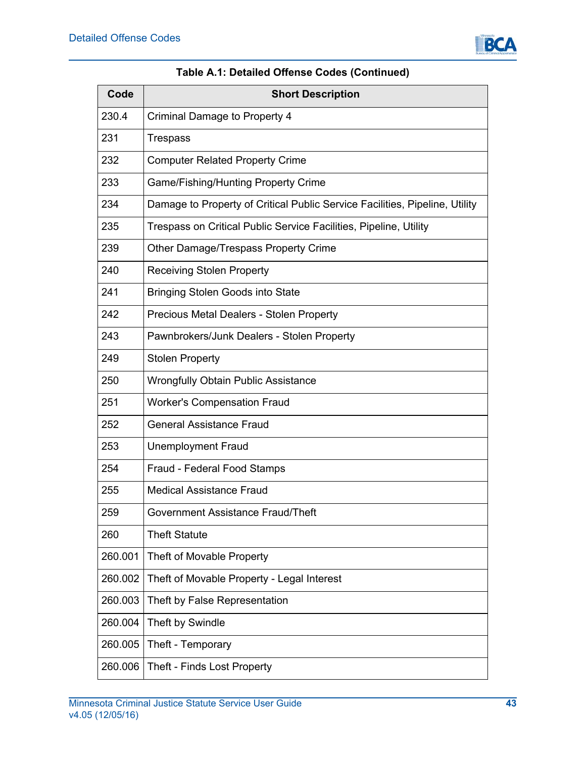

| Code    | <b>Short Description</b>                                                    |
|---------|-----------------------------------------------------------------------------|
| 230.4   | Criminal Damage to Property 4                                               |
| 231     | <b>Trespass</b>                                                             |
| 232     | <b>Computer Related Property Crime</b>                                      |
| 233     | Game/Fishing/Hunting Property Crime                                         |
| 234     | Damage to Property of Critical Public Service Facilities, Pipeline, Utility |
| 235     | Trespass on Critical Public Service Facilities, Pipeline, Utility           |
| 239     | Other Damage/Trespass Property Crime                                        |
| 240     | <b>Receiving Stolen Property</b>                                            |
| 241     | Bringing Stolen Goods into State                                            |
| 242     | Precious Metal Dealers - Stolen Property                                    |
| 243     | Pawnbrokers/Junk Dealers - Stolen Property                                  |
| 249     | <b>Stolen Property</b>                                                      |
| 250     | <b>Wrongfully Obtain Public Assistance</b>                                  |
| 251     | <b>Worker's Compensation Fraud</b>                                          |
| 252     | <b>General Assistance Fraud</b>                                             |
| 253     | <b>Unemployment Fraud</b>                                                   |
| 254     | Fraud - Federal Food Stamps                                                 |
| 255     | <b>Medical Assistance Fraud</b>                                             |
| 259     | Government Assistance Fraud/Theft                                           |
| 260     | <b>Theft Statute</b>                                                        |
| 260.001 | Theft of Movable Property                                                   |
| 260.002 | Theft of Movable Property - Legal Interest                                  |
| 260.003 | Theft by False Representation                                               |
| 260.004 | Theft by Swindle                                                            |
| 260.005 | Theft - Temporary                                                           |
| 260.006 | Theft - Finds Lost Property                                                 |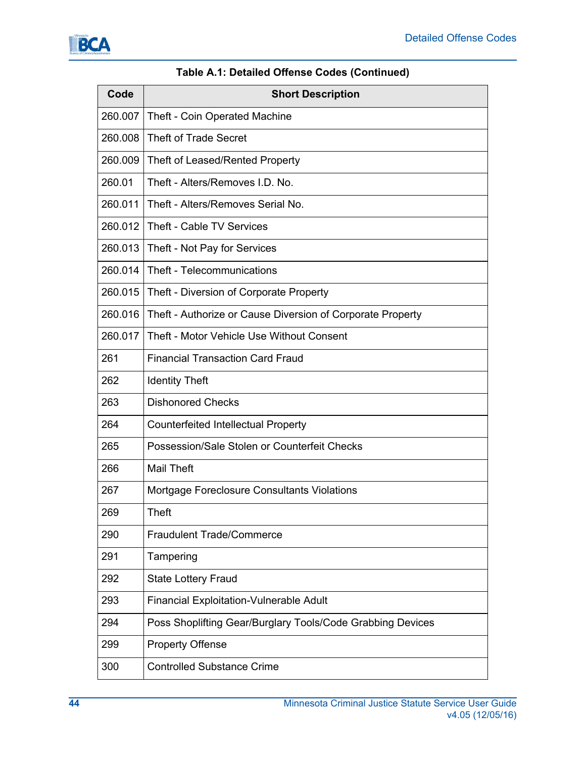

| Code    | <b>Short Description</b>                                   |
|---------|------------------------------------------------------------|
| 260.007 | Theft - Coin Operated Machine                              |
| 260.008 | <b>Theft of Trade Secret</b>                               |
| 260.009 | Theft of Leased/Rented Property                            |
| 260.01  | Theft - Alters/Removes I.D. No.                            |
| 260.011 | Theft - Alters/Removes Serial No.                          |
| 260.012 | Theft - Cable TV Services                                  |
| 260.013 | Theft - Not Pay for Services                               |
| 260.014 | Theft - Telecommunications                                 |
| 260.015 | Theft - Diversion of Corporate Property                    |
| 260.016 | Theft - Authorize or Cause Diversion of Corporate Property |
| 260.017 | Theft - Motor Vehicle Use Without Consent                  |
| 261     | <b>Financial Transaction Card Fraud</b>                    |
| 262     | <b>Identity Theft</b>                                      |
| 263     | <b>Dishonored Checks</b>                                   |
| 264     | <b>Counterfeited Intellectual Property</b>                 |
| 265     | Possession/Sale Stolen or Counterfeit Checks               |
| 266     | <b>Mail Theft</b>                                          |
| 267     | Mortgage Foreclosure Consultants Violations                |
| 269     | <b>Theft</b>                                               |
| 290     | <b>Fraudulent Trade/Commerce</b>                           |
| 291     | Tampering                                                  |
| 292     | <b>State Lottery Fraud</b>                                 |
| 293     | <b>Financial Exploitation-Vulnerable Adult</b>             |
| 294     | Poss Shoplifting Gear/Burglary Tools/Code Grabbing Devices |
| 299     | <b>Property Offense</b>                                    |
| 300     | <b>Controlled Substance Crime</b>                          |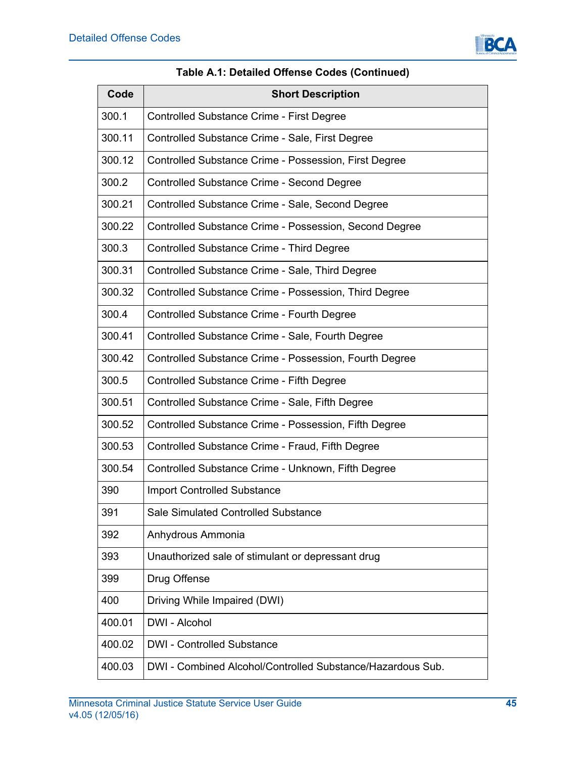

| Table A.1: Detailed Offense Codes (Continued) |  |  |
|-----------------------------------------------|--|--|
|-----------------------------------------------|--|--|

| Code   | <b>Short Description</b>                                   |
|--------|------------------------------------------------------------|
| 300.1  | Controlled Substance Crime - First Degree                  |
| 300.11 | Controlled Substance Crime - Sale, First Degree            |
| 300.12 | Controlled Substance Crime - Possession, First Degree      |
| 300.2  | Controlled Substance Crime - Second Degree                 |
| 300.21 | Controlled Substance Crime - Sale, Second Degree           |
| 300.22 | Controlled Substance Crime - Possession, Second Degree     |
| 300.3  | Controlled Substance Crime - Third Degree                  |
| 300.31 | Controlled Substance Crime - Sale, Third Degree            |
| 300.32 | Controlled Substance Crime - Possession, Third Degree      |
| 300.4  | Controlled Substance Crime - Fourth Degree                 |
| 300.41 | Controlled Substance Crime - Sale, Fourth Degree           |
| 300.42 | Controlled Substance Crime - Possession, Fourth Degree     |
| 300.5  | Controlled Substance Crime - Fifth Degree                  |
| 300.51 | Controlled Substance Crime - Sale, Fifth Degree            |
| 300.52 | Controlled Substance Crime - Possession, Fifth Degree      |
| 300.53 | Controlled Substance Crime - Fraud, Fifth Degree           |
| 300.54 | Controlled Substance Crime - Unknown, Fifth Degree         |
| 390    | <b>Import Controlled Substance</b>                         |
| 391    | Sale Simulated Controlled Substance                        |
| 392    | Anhydrous Ammonia                                          |
| 393    | Unauthorized sale of stimulant or depressant drug          |
| 399    | Drug Offense                                               |
| 400    | Driving While Impaired (DWI)                               |
| 400.01 | DWI - Alcohol                                              |
| 400.02 | <b>DWI - Controlled Substance</b>                          |
| 400.03 | DWI - Combined Alcohol/Controlled Substance/Hazardous Sub. |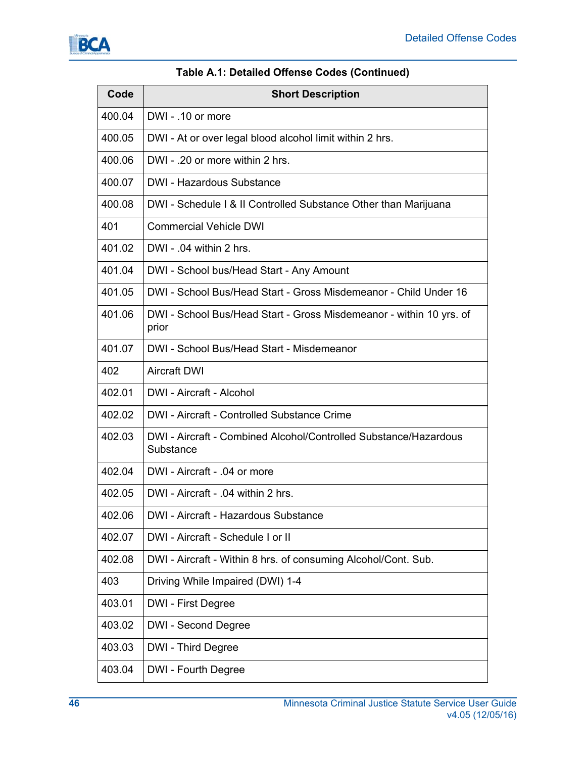

| Code   | <b>Short Description</b>                                                      |
|--------|-------------------------------------------------------------------------------|
| 400.04 | DWI - .10 or more                                                             |
| 400.05 | DWI - At or over legal blood alcohol limit within 2 hrs.                      |
| 400.06 | DWI - .20 or more within 2 hrs.                                               |
| 400.07 | <b>DWI - Hazardous Substance</b>                                              |
| 400.08 | DWI - Schedule I & II Controlled Substance Other than Marijuana               |
| 401    | <b>Commercial Vehicle DWI</b>                                                 |
| 401.02 | DWI - .04 within 2 hrs.                                                       |
| 401.04 | DWI - School bus/Head Start - Any Amount                                      |
| 401.05 | DWI - School Bus/Head Start - Gross Misdemeanor - Child Under 16              |
| 401.06 | DWI - School Bus/Head Start - Gross Misdemeanor - within 10 yrs. of<br>prior  |
| 401.07 | DWI - School Bus/Head Start - Misdemeanor                                     |
| 402    | <b>Aircraft DWI</b>                                                           |
| 402.01 | DWI - Aircraft - Alcohol                                                      |
| 402.02 | DWI - Aircraft - Controlled Substance Crime                                   |
| 402.03 | DWI - Aircraft - Combined Alcohol/Controlled Substance/Hazardous<br>Substance |
| 402.04 | DWI - Aircraft - .04 or more                                                  |
| 402.05 | DWI - Aircraft - .04 within 2 hrs.                                            |
| 402.06 | DWI - Aircraft - Hazardous Substance                                          |
| 402.07 | DWI - Aircraft - Schedule I or II                                             |
| 402.08 | DWI - Aircraft - Within 8 hrs. of consuming Alcohol/Cont. Sub.                |
| 403    | Driving While Impaired (DWI) 1-4                                              |
| 403.01 | <b>DWI - First Degree</b>                                                     |
| 403.02 | <b>DWI - Second Degree</b>                                                    |
| 403.03 | <b>DWI - Third Degree</b>                                                     |
| 403.04 | DWI - Fourth Degree                                                           |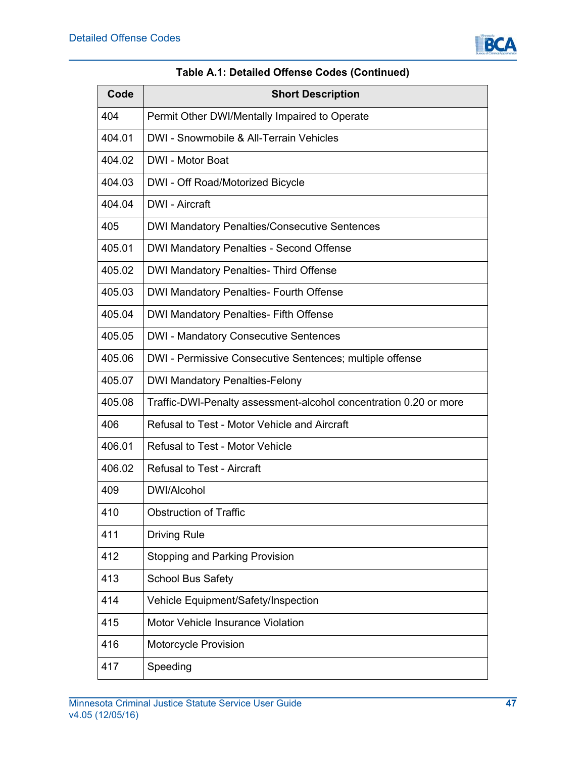

| Code   | <b>Short Description</b>                                          |
|--------|-------------------------------------------------------------------|
| 404    | Permit Other DWI/Mentally Impaired to Operate                     |
| 404.01 | DWI - Snowmobile & All-Terrain Vehicles                           |
| 404.02 | DWI - Motor Boat                                                  |
| 404.03 | DWI - Off Road/Motorized Bicycle                                  |
| 404.04 | <b>DWI - Aircraft</b>                                             |
| 405    | <b>DWI Mandatory Penalties/Consecutive Sentences</b>              |
| 405.01 | DWI Mandatory Penalties - Second Offense                          |
| 405.02 | DWI Mandatory Penalties- Third Offense                            |
| 405.03 | DWI Mandatory Penalties- Fourth Offense                           |
| 405.04 | DWI Mandatory Penalties- Fifth Offense                            |
| 405.05 | <b>DWI - Mandatory Consecutive Sentences</b>                      |
| 405.06 | DWI - Permissive Consecutive Sentences; multiple offense          |
| 405.07 | <b>DWI Mandatory Penalties-Felony</b>                             |
| 405.08 | Traffic-DWI-Penalty assessment-alcohol concentration 0.20 or more |
| 406    | Refusal to Test - Motor Vehicle and Aircraft                      |
| 406.01 | <b>Refusal to Test - Motor Vehicle</b>                            |
| 406.02 | <b>Refusal to Test - Aircraft</b>                                 |
| 409    | <b>DWI/Alcohol</b>                                                |
| 410    | <b>Obstruction of Traffic</b>                                     |
| 411    | <b>Driving Rule</b>                                               |
| 412    | <b>Stopping and Parking Provision</b>                             |
| 413    | <b>School Bus Safety</b>                                          |
| 414    | Vehicle Equipment/Safety/Inspection                               |
| 415    | Motor Vehicle Insurance Violation                                 |
| 416    | Motorcycle Provision                                              |
| 417    | Speeding                                                          |

| Table A.1: Detailed Offense Codes (Continued) |  |  |
|-----------------------------------------------|--|--|
|                                               |  |  |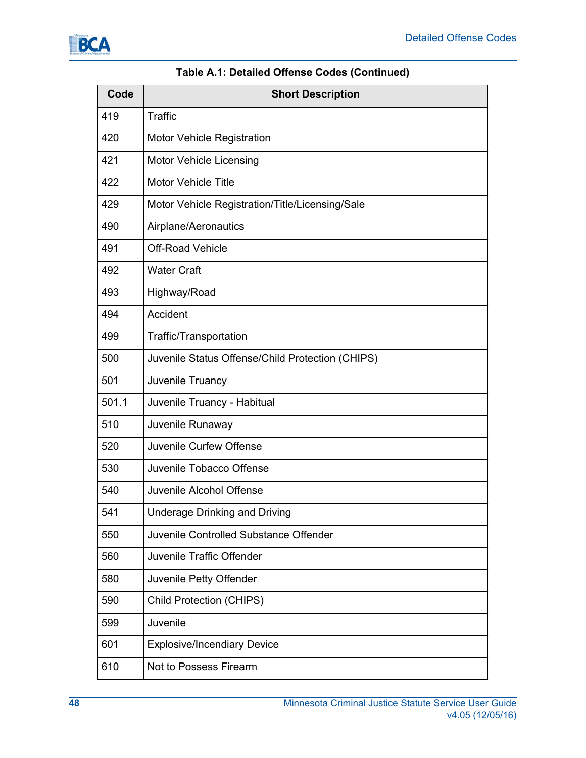

| Code  | <b>Short Description</b>                         |
|-------|--------------------------------------------------|
| 419   | <b>Traffic</b>                                   |
| 420   | <b>Motor Vehicle Registration</b>                |
| 421   | <b>Motor Vehicle Licensing</b>                   |
| 422   | <b>Motor Vehicle Title</b>                       |
| 429   | Motor Vehicle Registration/Title/Licensing/Sale  |
| 490   | Airplane/Aeronautics                             |
| 491   | <b>Off-Road Vehicle</b>                          |
| 492   | <b>Water Craft</b>                               |
| 493   | Highway/Road                                     |
| 494   | Accident                                         |
| 499   | Traffic/Transportation                           |
| 500   | Juvenile Status Offense/Child Protection (CHIPS) |
| 501   | Juvenile Truancy                                 |
| 501.1 | Juvenile Truancy - Habitual                      |
| 510   | Juvenile Runaway                                 |
| 520   | Juvenile Curfew Offense                          |
| 530   | Juvenile Tobacco Offense                         |
| 540   | Juvenile Alcohol Offense                         |
| 541   | <b>Underage Drinking and Driving</b>             |
| 550   | Juvenile Controlled Substance Offender           |
| 560   | Juvenile Traffic Offender                        |
| 580   | Juvenile Petty Offender                          |
| 590   | <b>Child Protection (CHIPS)</b>                  |
| 599   | Juvenile                                         |
| 601   | <b>Explosive/Incendiary Device</b>               |
| 610   | Not to Possess Firearm                           |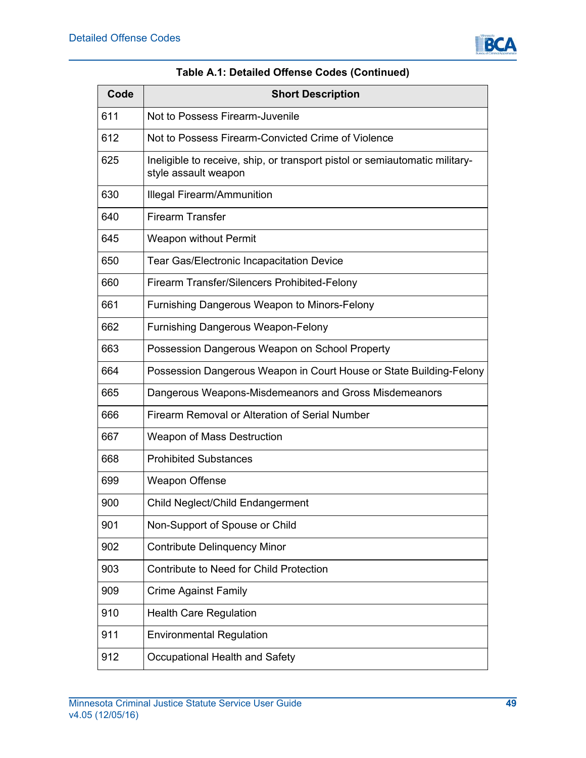

| Code | <b>Short Description</b>                                                                            |
|------|-----------------------------------------------------------------------------------------------------|
| 611  | Not to Possess Firearm-Juvenile                                                                     |
| 612  | Not to Possess Firearm-Convicted Crime of Violence                                                  |
| 625  | Ineligible to receive, ship, or transport pistol or semiautomatic military-<br>style assault weapon |
| 630  | <b>Illegal Firearm/Ammunition</b>                                                                   |
| 640  | <b>Firearm Transfer</b>                                                                             |
| 645  | <b>Weapon without Permit</b>                                                                        |
| 650  | <b>Tear Gas/Electronic Incapacitation Device</b>                                                    |
| 660  | Firearm Transfer/Silencers Prohibited-Felony                                                        |
| 661  | Furnishing Dangerous Weapon to Minors-Felony                                                        |
| 662  | Furnishing Dangerous Weapon-Felony                                                                  |
| 663  | Possession Dangerous Weapon on School Property                                                      |
| 664  | Possession Dangerous Weapon in Court House or State Building-Felony                                 |
| 665  | Dangerous Weapons-Misdemeanors and Gross Misdemeanors                                               |
| 666  | Firearm Removal or Alteration of Serial Number                                                      |
| 667  | <b>Weapon of Mass Destruction</b>                                                                   |
| 668  | <b>Prohibited Substances</b>                                                                        |
| 699  | Weapon Offense                                                                                      |
| 900  | Child Neglect/Child Endangerment                                                                    |
| 901  | Non-Support of Spouse or Child                                                                      |
| 902  | <b>Contribute Delinquency Minor</b>                                                                 |
| 903  | Contribute to Need for Child Protection                                                             |
| 909  | <b>Crime Against Family</b>                                                                         |
| 910  | <b>Health Care Regulation</b>                                                                       |
| 911  | <b>Environmental Regulation</b>                                                                     |
| 912  | Occupational Health and Safety                                                                      |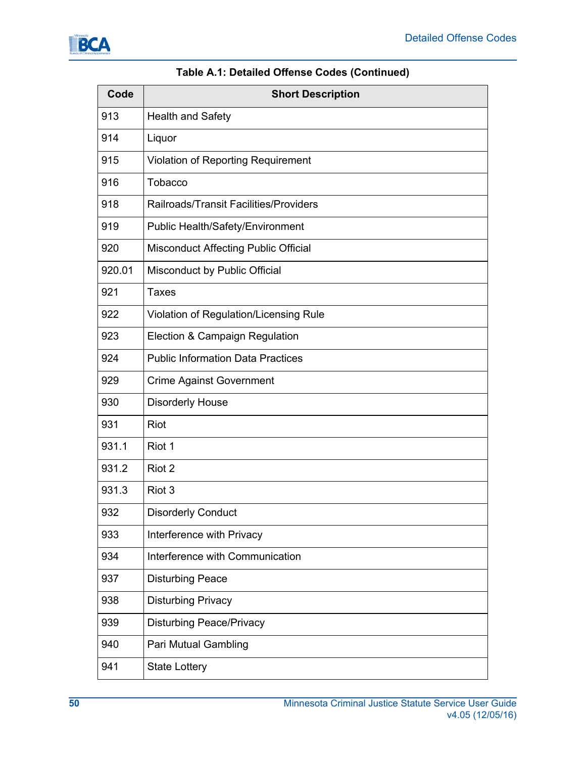

| Code   | <b>Short Description</b>                  |
|--------|-------------------------------------------|
| 913    | <b>Health and Safety</b>                  |
| 914    | Liquor                                    |
| 915    | <b>Violation of Reporting Requirement</b> |
| 916    | <b>Tobacco</b>                            |
| 918    | Railroads/Transit Facilities/Providers    |
| 919    | Public Health/Safety/Environment          |
| 920    | Misconduct Affecting Public Official      |
| 920.01 | Misconduct by Public Official             |
| 921    | <b>Taxes</b>                              |
| 922    | Violation of Regulation/Licensing Rule    |
| 923    | Election & Campaign Regulation            |
| 924    | <b>Public Information Data Practices</b>  |
| 929    | <b>Crime Against Government</b>           |
| 930    | <b>Disorderly House</b>                   |
| 931    | <b>Riot</b>                               |
| 931.1  | Riot 1                                    |
| 931.2  | Riot 2                                    |
| 931.3  | Riot <sub>3</sub>                         |
| 932    | <b>Disorderly Conduct</b>                 |
| 933    | Interference with Privacy                 |
| 934    | Interference with Communication           |
| 937    | <b>Disturbing Peace</b>                   |
| 938    | <b>Disturbing Privacy</b>                 |
| 939    | <b>Disturbing Peace/Privacy</b>           |
| 940    | Pari Mutual Gambling                      |
| 941    | <b>State Lottery</b>                      |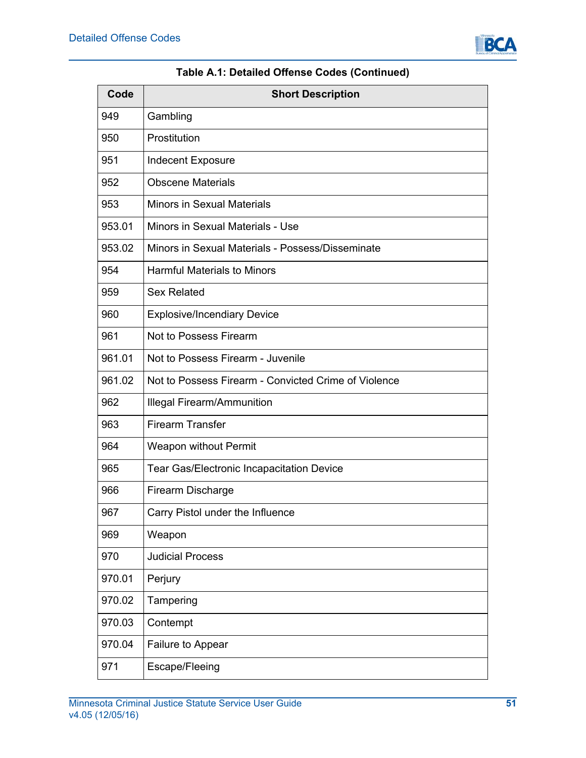

| Code   | <b>Short Description</b>                             |  |  |  |
|--------|------------------------------------------------------|--|--|--|
| 949    | Gambling                                             |  |  |  |
| 950    | Prostitution                                         |  |  |  |
| 951    | <b>Indecent Exposure</b>                             |  |  |  |
| 952    | <b>Obscene Materials</b>                             |  |  |  |
| 953    | <b>Minors in Sexual Materials</b>                    |  |  |  |
| 953.01 | Minors in Sexual Materials - Use                     |  |  |  |
| 953.02 | Minors in Sexual Materials - Possess/Disseminate     |  |  |  |
| 954    | <b>Harmful Materials to Minors</b>                   |  |  |  |
| 959    | <b>Sex Related</b>                                   |  |  |  |
| 960    | <b>Explosive/Incendiary Device</b>                   |  |  |  |
| 961    | Not to Possess Firearm                               |  |  |  |
| 961.01 | Not to Possess Firearm - Juvenile                    |  |  |  |
| 961.02 | Not to Possess Firearm - Convicted Crime of Violence |  |  |  |
| 962    | <b>Illegal Firearm/Ammunition</b>                    |  |  |  |
| 963    | <b>Firearm Transfer</b>                              |  |  |  |
| 964    | <b>Weapon without Permit</b>                         |  |  |  |
| 965    | Tear Gas/Electronic Incapacitation Device            |  |  |  |
| 966    | <b>Firearm Discharge</b>                             |  |  |  |
| 967    | Carry Pistol under the Influence                     |  |  |  |
| 969    | Weapon                                               |  |  |  |
| 970    | <b>Judicial Process</b>                              |  |  |  |
| 970.01 | Perjury                                              |  |  |  |
| 970.02 | Tampering                                            |  |  |  |
| 970.03 | Contempt                                             |  |  |  |
| 970.04 | Failure to Appear                                    |  |  |  |
| 971    | Escape/Fleeing                                       |  |  |  |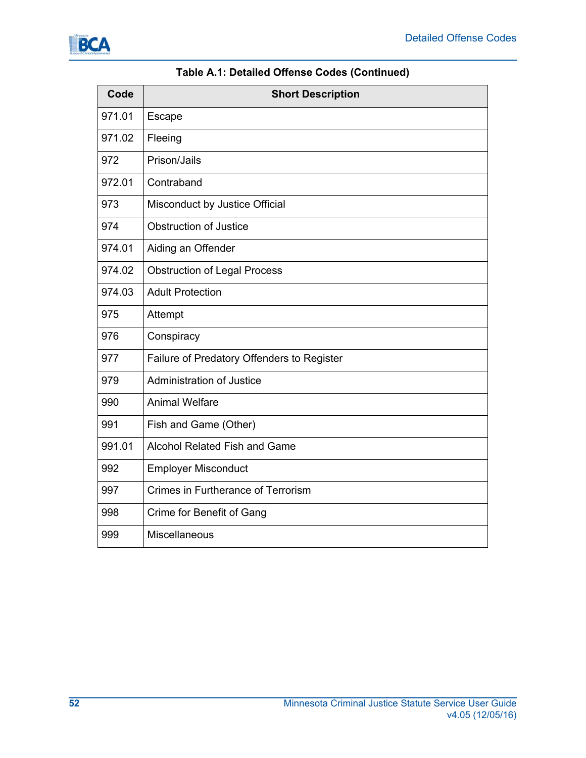

| Code   | <b>Short Description</b>                   |  |  |  |
|--------|--------------------------------------------|--|--|--|
| 971.01 | <b>Escape</b>                              |  |  |  |
| 971.02 | Fleeing                                    |  |  |  |
| 972    | Prison/Jails                               |  |  |  |
| 972.01 | Contraband                                 |  |  |  |
| 973    | Misconduct by Justice Official             |  |  |  |
| 974    | <b>Obstruction of Justice</b>              |  |  |  |
| 974.01 | Aiding an Offender                         |  |  |  |
| 974.02 | <b>Obstruction of Legal Process</b>        |  |  |  |
| 974.03 | <b>Adult Protection</b>                    |  |  |  |
| 975    | Attempt                                    |  |  |  |
| 976    | Conspiracy                                 |  |  |  |
| 977    | Failure of Predatory Offenders to Register |  |  |  |
| 979    | <b>Administration of Justice</b>           |  |  |  |
| 990    | <b>Animal Welfare</b>                      |  |  |  |
| 991    | Fish and Game (Other)                      |  |  |  |
| 991.01 | <b>Alcohol Related Fish and Game</b>       |  |  |  |
| 992    | <b>Employer Misconduct</b>                 |  |  |  |
| 997    | Crimes in Furtherance of Terrorism         |  |  |  |
| 998    | Crime for Benefit of Gang                  |  |  |  |
| 999    | Miscellaneous                              |  |  |  |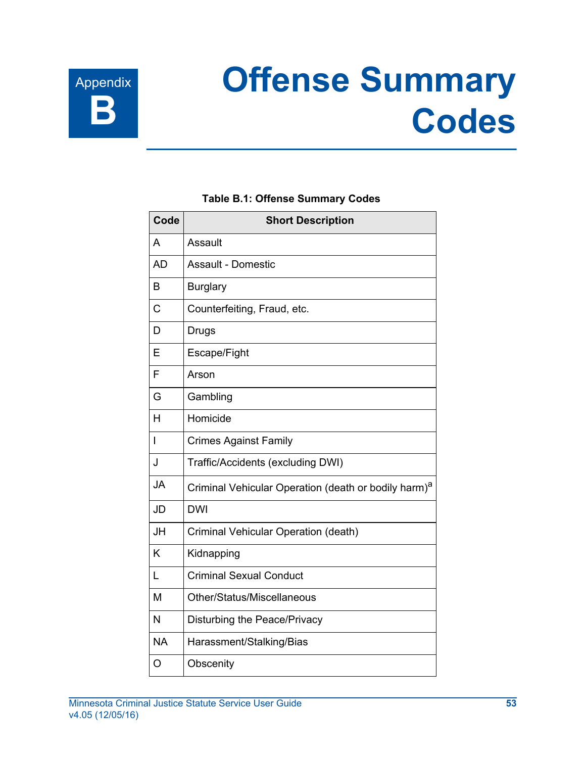

## **Offense Summary Codes**

| Code      | <b>Short Description</b>                                         |  |  |
|-----------|------------------------------------------------------------------|--|--|
| A         | Assault                                                          |  |  |
| <b>AD</b> | <b>Assault - Domestic</b>                                        |  |  |
| B         | <b>Burglary</b>                                                  |  |  |
| С         | Counterfeiting, Fraud, etc.                                      |  |  |
| D         | <b>Drugs</b>                                                     |  |  |
| Е         | Escape/Fight                                                     |  |  |
| F         | Arson                                                            |  |  |
| G         | Gambling                                                         |  |  |
| H         | Homicide                                                         |  |  |
| I         | <b>Crimes Against Family</b>                                     |  |  |
| J         | Traffic/Accidents (excluding DWI)                                |  |  |
| JA        | Criminal Vehicular Operation (death or bodily harm) <sup>a</sup> |  |  |
| JD        | <b>DWI</b>                                                       |  |  |
| JH        | Criminal Vehicular Operation (death)                             |  |  |
| K         | Kidnapping                                                       |  |  |
| L         | <b>Criminal Sexual Conduct</b>                                   |  |  |
| M         | Other/Status/Miscellaneous                                       |  |  |
| N         | Disturbing the Peace/Privacy                                     |  |  |
| <b>NA</b> | Harassment/Stalking/Bias                                         |  |  |
| O         | Obscenity                                                        |  |  |

#### **Table B.1: Offense Summary Codes**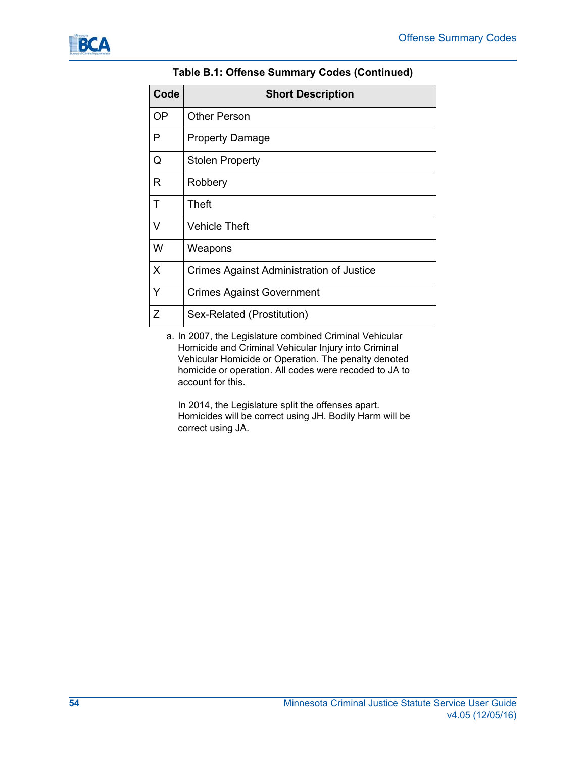

| Code      | <b>Short Description</b>                 |  |
|-----------|------------------------------------------|--|
| <b>OP</b> | <b>Other Person</b>                      |  |
| P         | <b>Property Damage</b>                   |  |
| Q         | <b>Stolen Property</b>                   |  |
| R         | Robbery                                  |  |
| T         | Theft                                    |  |
| V         | <b>Vehicle Theft</b>                     |  |
| W         | Weapons                                  |  |
| X         | Crimes Against Administration of Justice |  |
| Y         | <b>Crimes Against Government</b>         |  |
| Z         | Sex-Related (Prostitution)               |  |

**Table B.1: Offense Summary Codes (Continued)**

a. In 2007, the Legislature combined Criminal Vehicular Homicide and Criminal Vehicular Injury into Criminal Vehicular Homicide or Operation. The penalty denoted homicide or operation. All codes were recoded to JA to account for this.

In 2014, the Legislature split the offenses apart. Homicides will be correct using JH. Bodily Harm will be correct using JA.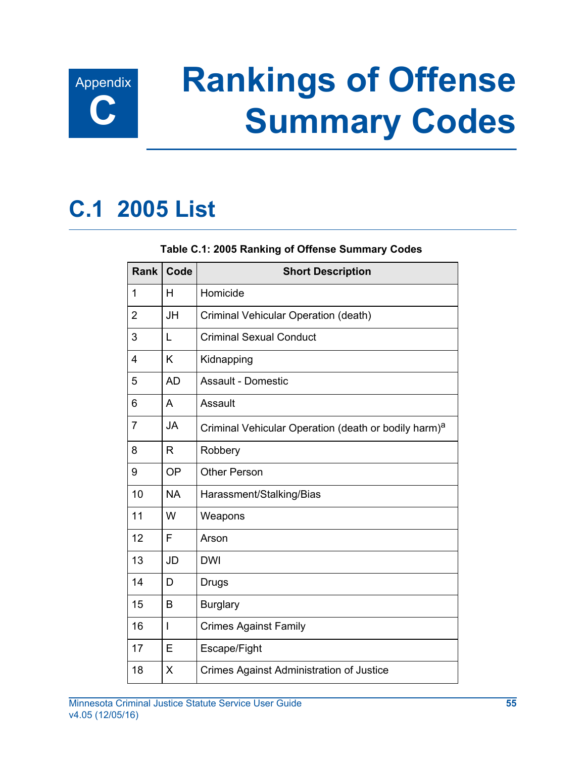

# **Rankings of Offense Summary Codes**

## **C.1 2005 List**

#### **Table C.1: 2005 Ranking of Offense Summary Codes**

| Rank           | Code      | <b>Short Description</b>                                         |
|----------------|-----------|------------------------------------------------------------------|
| $\mathbf{1}$   | H         | Homicide                                                         |
| $\overline{2}$ | <b>JH</b> | Criminal Vehicular Operation (death)                             |
| 3              | L         | <b>Criminal Sexual Conduct</b>                                   |
| 4              | K         | Kidnapping                                                       |
| 5              | <b>AD</b> | <b>Assault - Domestic</b>                                        |
| 6              | A         | Assault                                                          |
| $\overline{7}$ | <b>JA</b> | Criminal Vehicular Operation (death or bodily harm) <sup>a</sup> |
| 8              | R         | Robbery                                                          |
| 9              | <b>OP</b> | <b>Other Person</b>                                              |
| 10             | <b>NA</b> | Harassment/Stalking/Bias                                         |
| 11             | W         | Weapons                                                          |
| 12             | F         | Arson                                                            |
| 13             | JD        | <b>DWI</b>                                                       |
| 14             | D         | Drugs                                                            |
| 15             | B         | <b>Burglary</b>                                                  |
| 16             | I         | <b>Crimes Against Family</b>                                     |
| 17             | E         | Escape/Fight                                                     |
| 18             | X         | <b>Crimes Against Administration of Justice</b>                  |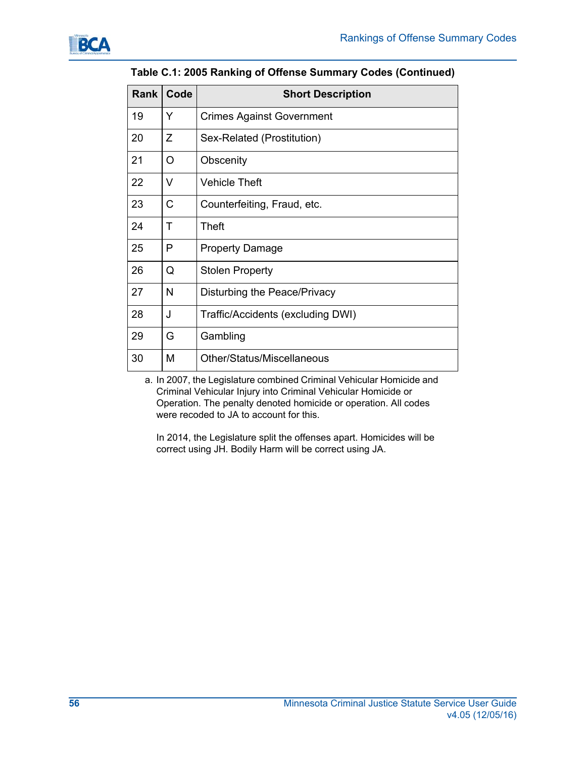

| <b>Rank</b> | Code | <b>Short Description</b>          |
|-------------|------|-----------------------------------|
| 19          | Y    | <b>Crimes Against Government</b>  |
| 20          | Z    | Sex-Related (Prostitution)        |
| 21          | O    | Obscenity                         |
| 22          | V    | <b>Vehicle Theft</b>              |
| 23          | C    | Counterfeiting, Fraud, etc.       |
| 24          | т    | Theft                             |
| 25          | P    | <b>Property Damage</b>            |
| 26          | Q    | <b>Stolen Property</b>            |
| 27          | N    | Disturbing the Peace/Privacy      |
| 28          | J    | Traffic/Accidents (excluding DWI) |
| 29          | G    | Gambling                          |
| 30          | M    | Other/Status/Miscellaneous        |

#### **Table C.1: 2005 Ranking of Offense Summary Codes (Continued)**

a. In 2007, the Legislature combined Criminal Vehicular Homicide and Criminal Vehicular Injury into Criminal Vehicular Homicide or Operation. The penalty denoted homicide or operation. All codes were recoded to JA to account for this.

In 2014, the Legislature split the offenses apart. Homicides will be correct using JH. Bodily Harm will be correct using JA.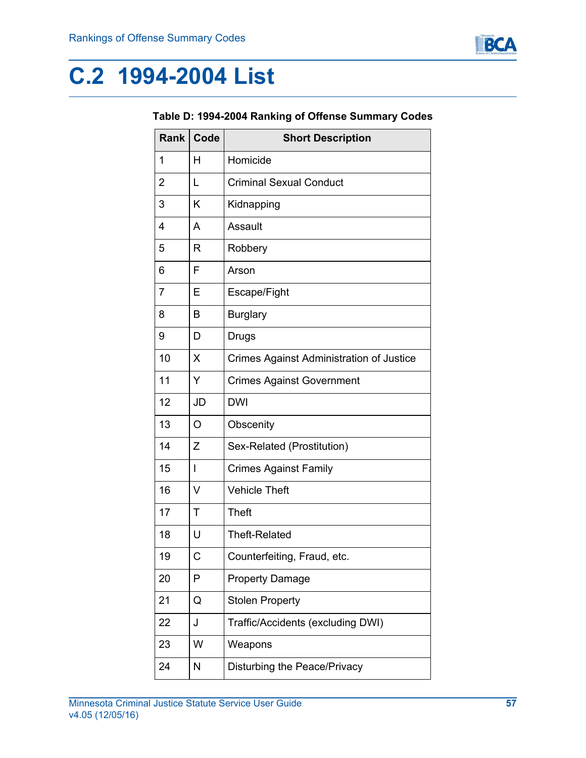

### **C.2 1994-2004 List**

#### **Table D: 1994-2004 Ranking of Offense Summary Codes**

|                | Rank   Code    | <b>Short Description</b>                        |
|----------------|----------------|-------------------------------------------------|
| 1              | н              | Homicide                                        |
| 2              | L              | <b>Criminal Sexual Conduct</b>                  |
| 3              | K              | Kidnapping                                      |
| 4              | A              | Assault                                         |
| 5              | $\mathsf{R}$   | Robbery                                         |
| 6              | F              | Arson                                           |
| $\overline{7}$ | Е              | Escape/Fight                                    |
| 8              | B              | <b>Burglary</b>                                 |
| 9              | D              | Drugs                                           |
| 10             | X              | <b>Crimes Against Administration of Justice</b> |
| 11             | Y              | <b>Crimes Against Government</b>                |
| 12             | JD             | <b>DWI</b>                                      |
| 13             | O              | Obscenity                                       |
| 14             | Z              | Sex-Related (Prostitution)                      |
| 15             | $\overline{1}$ | <b>Crimes Against Family</b>                    |
| 16             | V              | <b>Vehicle Theft</b>                            |
| 17             | T              | <b>Theft</b>                                    |
| 18             | U              | <b>Theft-Related</b>                            |
| 19             | C              | Counterfeiting, Fraud, etc.                     |
| 20             | P              | <b>Property Damage</b>                          |
| 21             | Q              | <b>Stolen Property</b>                          |
| 22             | J              | Traffic/Accidents (excluding DWI)               |
| 23             | W              | Weapons                                         |
| 24             | N              | Disturbing the Peace/Privacy                    |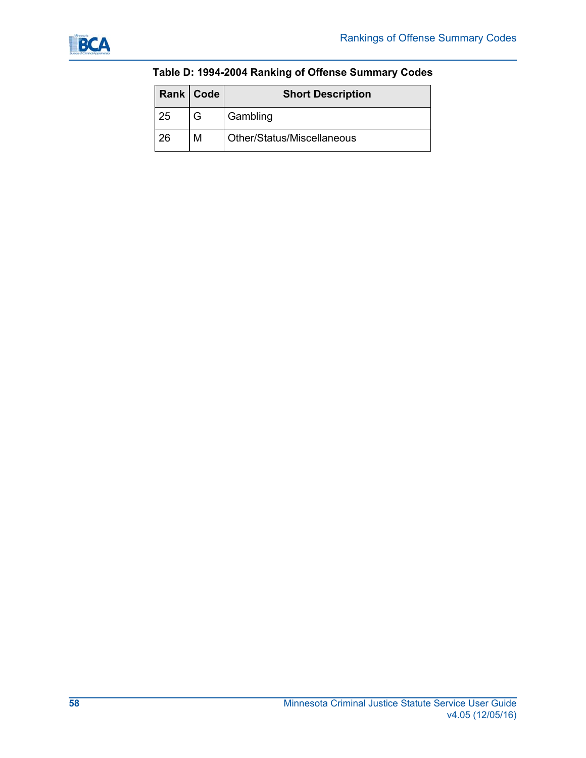

#### **Table D: 1994-2004 Ranking of Offense Summary Codes**

| Rank   Code |   | <b>Short Description</b>   |
|-------------|---|----------------------------|
| -25         |   | Gambling                   |
| 26          | м | Other/Status/Miscellaneous |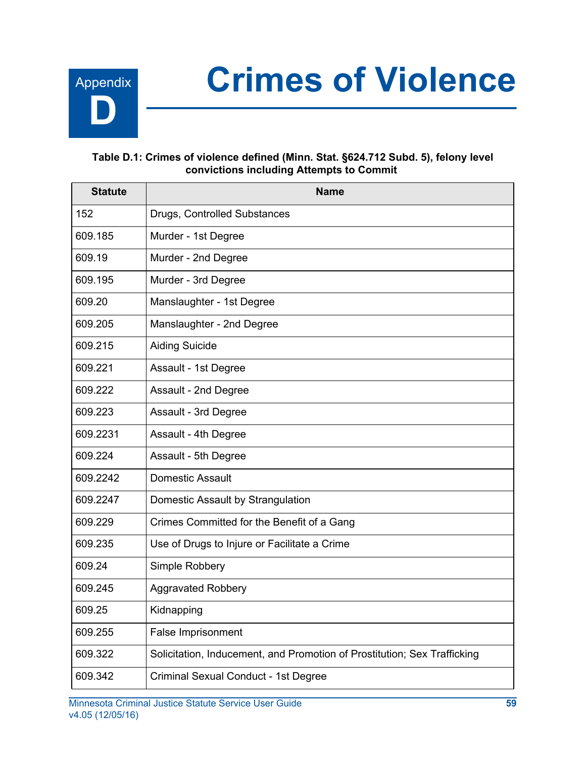

# **Crimes of Violence**

#### **Table D.1: Crimes of violence defined (Minn. Stat. §624.712 Subd. 5), felony level convictions including Attempts to Commit**

| <b>Statute</b> | <b>Name</b>                                                              |
|----------------|--------------------------------------------------------------------------|
| 152            | Drugs, Controlled Substances                                             |
| 609.185        | Murder - 1st Degree                                                      |
| 609.19         | Murder - 2nd Degree                                                      |
| 609.195        | Murder - 3rd Degree                                                      |
| 609.20         | Manslaughter - 1st Degree                                                |
| 609.205        | Manslaughter - 2nd Degree                                                |
| 609.215        | <b>Aiding Suicide</b>                                                    |
| 609.221        | Assault - 1st Degree                                                     |
| 609.222        | Assault - 2nd Degree                                                     |
| 609.223        | Assault - 3rd Degree                                                     |
| 609.2231       | Assault - 4th Degree                                                     |
| 609.224        | Assault - 5th Degree                                                     |
| 609.2242       | <b>Domestic Assault</b>                                                  |
| 609.2247       | Domestic Assault by Strangulation                                        |
| 609.229        | Crimes Committed for the Benefit of a Gang                               |
| 609.235        | Use of Drugs to Injure or Facilitate a Crime                             |
| 609.24         | Simple Robbery                                                           |
| 609.245        | <b>Aggravated Robbery</b>                                                |
| 609.25         | Kidnapping                                                               |
| 609.255        | False Imprisonment                                                       |
| 609.322        | Solicitation, Inducement, and Promotion of Prostitution; Sex Trafficking |
| 609.342        | Criminal Sexual Conduct - 1st Degree                                     |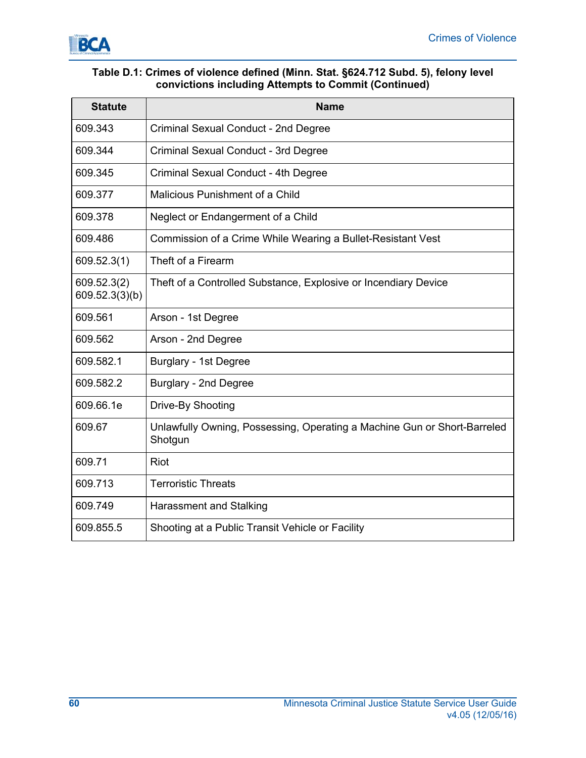

#### **Table D.1: Crimes of violence defined (Minn. Stat. §624.712 Subd. 5), felony level convictions including Attempts to Commit (Continued)**

| <b>Statute</b>                | <b>Name</b>                                                                         |
|-------------------------------|-------------------------------------------------------------------------------------|
| 609.343                       | Criminal Sexual Conduct - 2nd Degree                                                |
| 609.344                       | Criminal Sexual Conduct - 3rd Degree                                                |
| 609.345                       | Criminal Sexual Conduct - 4th Degree                                                |
| 609.377                       | Malicious Punishment of a Child                                                     |
| 609.378                       | Neglect or Endangerment of a Child                                                  |
| 609.486                       | Commission of a Crime While Wearing a Bullet-Resistant Vest                         |
| 609.52.3(1)                   | Theft of a Firearm                                                                  |
| 609.52.3(2)<br>609.52.3(3)(b) | Theft of a Controlled Substance, Explosive or Incendiary Device                     |
| 609.561                       | Arson - 1st Degree                                                                  |
| 609.562                       | Arson - 2nd Degree                                                                  |
| 609.582.1                     | Burglary - 1st Degree                                                               |
| 609.582.2                     | Burglary - 2nd Degree                                                               |
| 609.66.1e                     | Drive-By Shooting                                                                   |
| 609.67                        | Unlawfully Owning, Possessing, Operating a Machine Gun or Short-Barreled<br>Shotgun |
| 609.71                        | <b>Riot</b>                                                                         |
| 609.713                       | <b>Terroristic Threats</b>                                                          |
| 609.749                       | Harassment and Stalking                                                             |
| 609.855.5                     | Shooting at a Public Transit Vehicle or Facility                                    |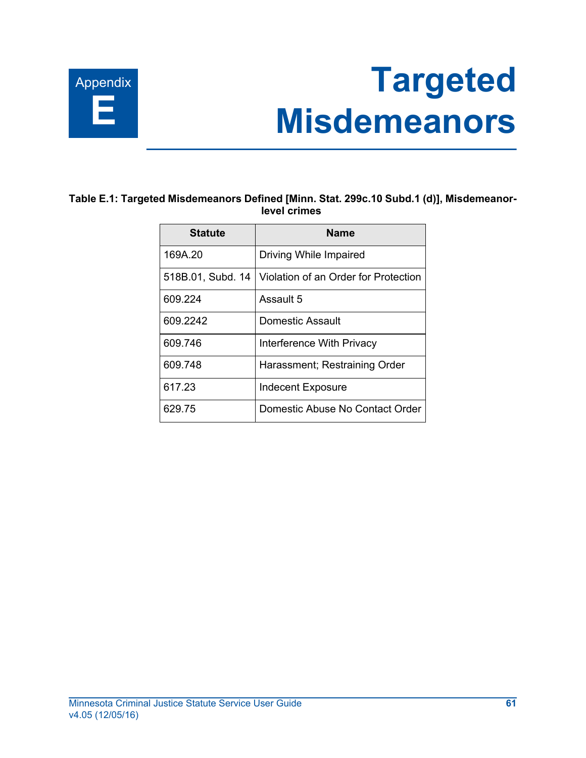

## **Targeted Misdemeanors**

#### **Table E.1: Targeted Misdemeanors Defined [Minn. Stat. 299c.10 Subd.1 (d)], Misdemeanorlevel crimes**

| <b>Statute</b>    | <b>Name</b>                          |
|-------------------|--------------------------------------|
| 169A.20           | Driving While Impaired               |
| 518B.01, Subd. 14 | Violation of an Order for Protection |
| 609.224           | Assault 5                            |
| 609.2242          | Domestic Assault                     |
| 609.746           | Interference With Privacy            |
| 609.748           | Harassment; Restraining Order        |
| 617.23            | <b>Indecent Exposure</b>             |
| 629.75            | Domestic Abuse No Contact Order      |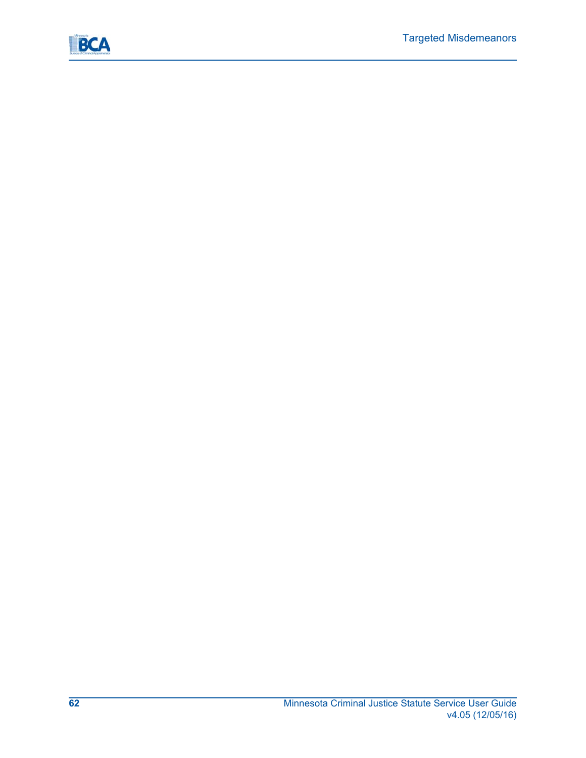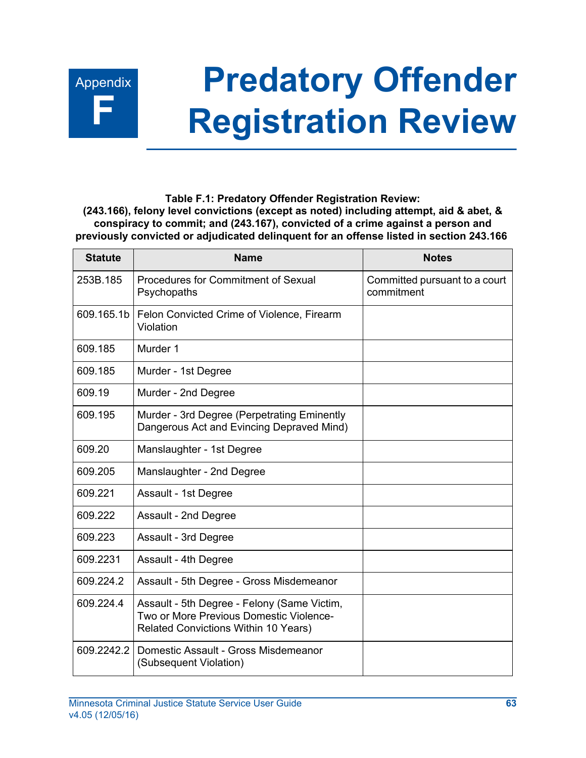

# **Predatory Offender Registration Review**

#### **Table F.1: Predatory Offender Registration Review:**

**(243.166), felony level convictions (except as noted) including attempt, aid & abet, & conspiracy to commit; and (243.167), convicted of a crime against a person and previously convicted or adjudicated delinquent for an offense listed in section 243.166**

| <b>Statute</b> | <b>Name</b>                                                                                                                    | <b>Notes</b>                                |
|----------------|--------------------------------------------------------------------------------------------------------------------------------|---------------------------------------------|
| 253B.185       | Procedures for Commitment of Sexual<br>Psychopaths                                                                             | Committed pursuant to a court<br>commitment |
| 609.165.1b     | Felon Convicted Crime of Violence, Firearm<br>Violation                                                                        |                                             |
| 609.185        | Murder 1                                                                                                                       |                                             |
| 609.185        | Murder - 1st Degree                                                                                                            |                                             |
| 609.19         | Murder - 2nd Degree                                                                                                            |                                             |
| 609.195        | Murder - 3rd Degree (Perpetrating Eminently<br>Dangerous Act and Evincing Depraved Mind)                                       |                                             |
| 609.20         | Manslaughter - 1st Degree                                                                                                      |                                             |
| 609.205        | Manslaughter - 2nd Degree                                                                                                      |                                             |
| 609.221        | Assault - 1st Degree                                                                                                           |                                             |
| 609.222        | Assault - 2nd Degree                                                                                                           |                                             |
| 609.223        | Assault - 3rd Degree                                                                                                           |                                             |
| 609.2231       | Assault - 4th Degree                                                                                                           |                                             |
| 609.224.2      | Assault - 5th Degree - Gross Misdemeanor                                                                                       |                                             |
| 609.224.4      | Assault - 5th Degree - Felony (Same Victim,<br>Two or More Previous Domestic Violence-<br>Related Convictions Within 10 Years) |                                             |
| 609.2242.2     | Domestic Assault - Gross Misdemeanor<br>(Subsequent Violation)                                                                 |                                             |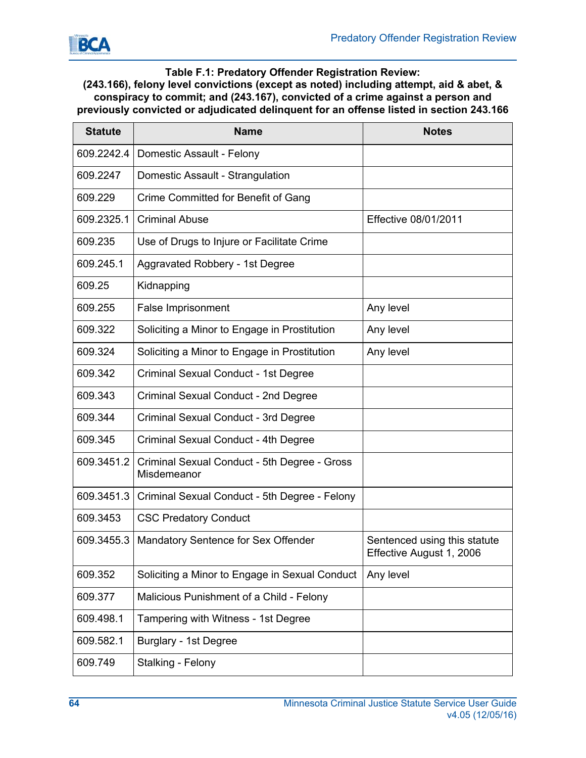

**Table F.1: Predatory Offender Registration Review:**

**(243.166), felony level convictions (except as noted) including attempt, aid & abet, & conspiracy to commit; and (243.167), convicted of a crime against a person and previously convicted or adjudicated delinquent for an offense listed in section 243.166** 

| <b>Statute</b> | <b>Name</b>                                                 | <b>Notes</b>                                             |
|----------------|-------------------------------------------------------------|----------------------------------------------------------|
| 609.2242.4     | Domestic Assault - Felony                                   |                                                          |
| 609.2247       | Domestic Assault - Strangulation                            |                                                          |
| 609.229        | Crime Committed for Benefit of Gang                         |                                                          |
| 609.2325.1     | <b>Criminal Abuse</b>                                       | Effective 08/01/2011                                     |
| 609.235        | Use of Drugs to Injure or Facilitate Crime                  |                                                          |
| 609.245.1      | Aggravated Robbery - 1st Degree                             |                                                          |
| 609.25         | Kidnapping                                                  |                                                          |
| 609.255        | False Imprisonment                                          | Any level                                                |
| 609.322        | Soliciting a Minor to Engage in Prostitution                | Any level                                                |
| 609.324        | Soliciting a Minor to Engage in Prostitution                | Any level                                                |
| 609.342        | Criminal Sexual Conduct - 1st Degree                        |                                                          |
| 609.343        | Criminal Sexual Conduct - 2nd Degree                        |                                                          |
| 609.344        | Criminal Sexual Conduct - 3rd Degree                        |                                                          |
| 609.345        | Criminal Sexual Conduct - 4th Degree                        |                                                          |
| 609.3451.2     | Criminal Sexual Conduct - 5th Degree - Gross<br>Misdemeanor |                                                          |
| 609.3451.3     | Criminal Sexual Conduct - 5th Degree - Felony               |                                                          |
| 609.3453       | <b>CSC Predatory Conduct</b>                                |                                                          |
| 609.3455.3     | Mandatory Sentence for Sex Offender                         | Sentenced using this statute<br>Effective August 1, 2006 |
| 609.352        | Soliciting a Minor to Engage in Sexual Conduct              | Any level                                                |
| 609.377        | Malicious Punishment of a Child - Felony                    |                                                          |
| 609.498.1      | Tampering with Witness - 1st Degree                         |                                                          |
| 609.582.1      | Burglary - 1st Degree                                       |                                                          |
| 609.749        | Stalking - Felony                                           |                                                          |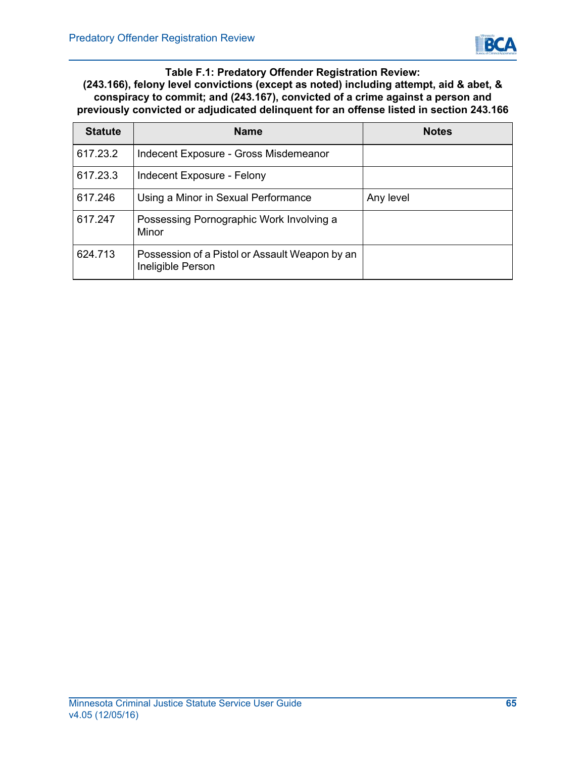

#### **Table F.1: Predatory Offender Registration Review:**

**(243.166), felony level convictions (except as noted) including attempt, aid & abet, & conspiracy to commit; and (243.167), convicted of a crime against a person and previously convicted or adjudicated delinquent for an offense listed in section 243.166** 

| <b>Statute</b> | <b>Name</b>                                                         | <b>Notes</b> |
|----------------|---------------------------------------------------------------------|--------------|
| 617.23.2       | Indecent Exposure - Gross Misdemeanor                               |              |
| 617.23.3       | Indecent Exposure - Felony                                          |              |
| 617.246        | Using a Minor in Sexual Performance                                 | Any level    |
| 617.247        | Possessing Pornographic Work Involving a<br>Minor                   |              |
| 624.713        | Possession of a Pistol or Assault Weapon by an<br>Ineligible Person |              |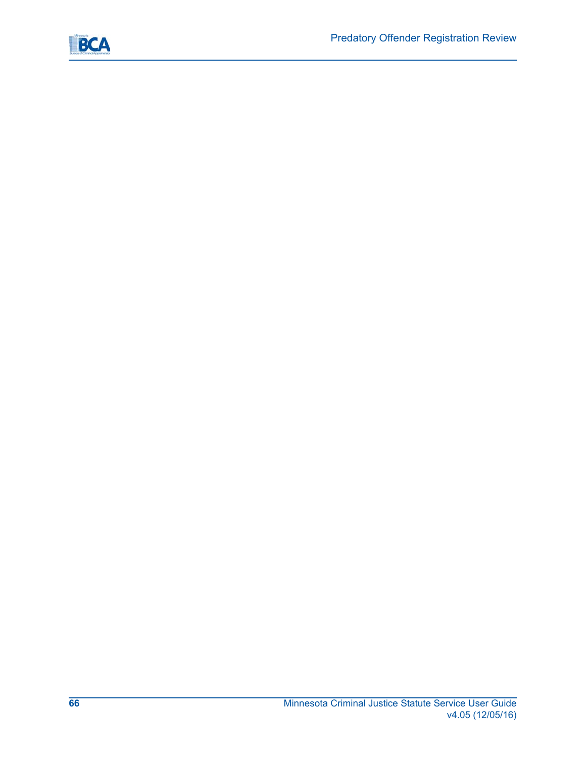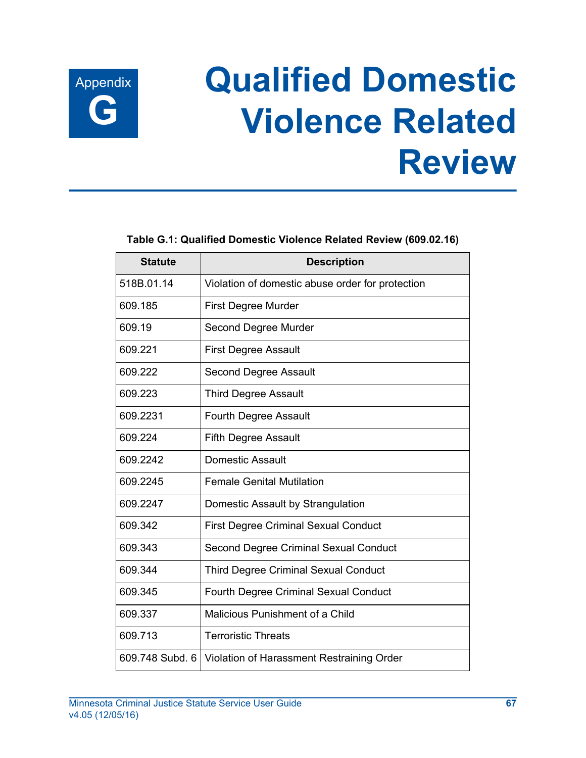

# **Qualified Domestic Violence Related Review**

### **Table G.1: Qualified Domestic Violence Related Review (609.02.16)**

| <b>Statute</b>  | <b>Description</b>                               |  |  |
|-----------------|--------------------------------------------------|--|--|
| 518B.01.14      | Violation of domestic abuse order for protection |  |  |
| 609.185         | <b>First Degree Murder</b>                       |  |  |
| 609.19          | Second Degree Murder                             |  |  |
| 609.221         | <b>First Degree Assault</b>                      |  |  |
| 609.222         | Second Degree Assault                            |  |  |
| 609.223         | <b>Third Degree Assault</b>                      |  |  |
| 609.2231        | <b>Fourth Degree Assault</b>                     |  |  |
| 609.224         | <b>Fifth Degree Assault</b>                      |  |  |
| 609.2242        | Domestic Assault                                 |  |  |
| 609.2245        | <b>Female Genital Mutilation</b>                 |  |  |
| 609.2247        | Domestic Assault by Strangulation                |  |  |
| 609.342         | <b>First Degree Criminal Sexual Conduct</b>      |  |  |
| 609.343         | Second Degree Criminal Sexual Conduct            |  |  |
| 609.344         | <b>Third Degree Criminal Sexual Conduct</b>      |  |  |
| 609.345         | Fourth Degree Criminal Sexual Conduct            |  |  |
| 609.337         | Malicious Punishment of a Child                  |  |  |
| 609.713         | <b>Terroristic Threats</b>                       |  |  |
| 609.748 Subd. 6 | Violation of Harassment Restraining Order        |  |  |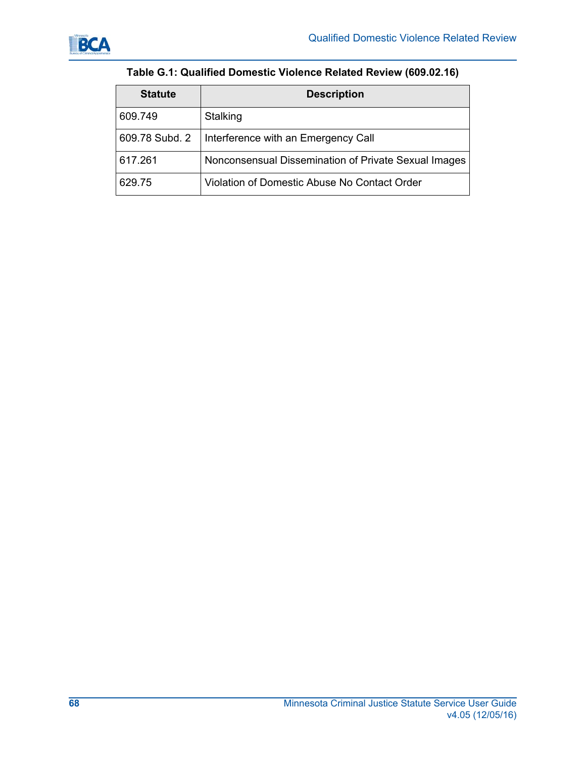

### **Table G.1: Qualified Domestic Violence Related Review (609.02.16)**

| <b>Statute</b> | <b>Description</b>                                   |
|----------------|------------------------------------------------------|
| 609.749        | Stalking                                             |
| 609.78 Subd. 2 | Interference with an Emergency Call                  |
| 617.261        | Nonconsensual Dissemination of Private Sexual Images |
| 629.75         | Violation of Domestic Abuse No Contact Order         |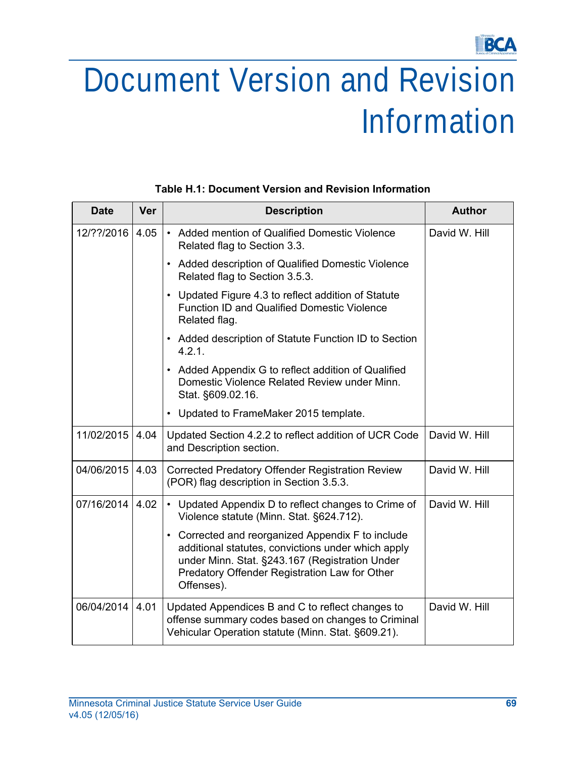## **BCA**

## Document Version and Revision Information

| <b>Date</b> | <b>Ver</b> | <b>Description</b>                                                                                                                                                                                                       | <b>Author</b> |
|-------------|------------|--------------------------------------------------------------------------------------------------------------------------------------------------------------------------------------------------------------------------|---------------|
| 12/??/2016  | 4.05       | • Added mention of Qualified Domestic Violence<br>Related flag to Section 3.3.                                                                                                                                           | David W. Hill |
|             |            | • Added description of Qualified Domestic Violence<br>Related flag to Section 3.5.3.                                                                                                                                     |               |
|             |            | • Updated Figure 4.3 to reflect addition of Statute<br><b>Function ID and Qualified Domestic Violence</b><br>Related flag.                                                                                               |               |
|             |            | Added description of Statute Function ID to Section<br>4.2.1.                                                                                                                                                            |               |
|             |            | • Added Appendix G to reflect addition of Qualified<br>Domestic Violence Related Review under Minn.<br>Stat. §609.02.16.                                                                                                 |               |
|             |            | Updated to FrameMaker 2015 template.<br>$\bullet$                                                                                                                                                                        |               |
| 11/02/2015  | 4.04       | Updated Section 4.2.2 to reflect addition of UCR Code<br>and Description section.                                                                                                                                        | David W. Hill |
| 04/06/2015  | 4.03       | <b>Corrected Predatory Offender Registration Review</b><br>(POR) flag description in Section 3.5.3.                                                                                                                      | David W. Hill |
| 07/16/2014  | 4.02       | • Updated Appendix D to reflect changes to Crime of<br>Violence statute (Minn. Stat. §624.712).                                                                                                                          | David W. Hill |
|             |            | • Corrected and reorganized Appendix F to include<br>additional statutes, convictions under which apply<br>under Minn. Stat. §243.167 (Registration Under<br>Predatory Offender Registration Law for Other<br>Offenses). |               |
| 06/04/2014  | 4.01       | Updated Appendices B and C to reflect changes to<br>offense summary codes based on changes to Criminal<br>Vehicular Operation statute (Minn. Stat. §609.21).                                                             | David W. Hill |

## **Table H.1: Document Version and Revision Information**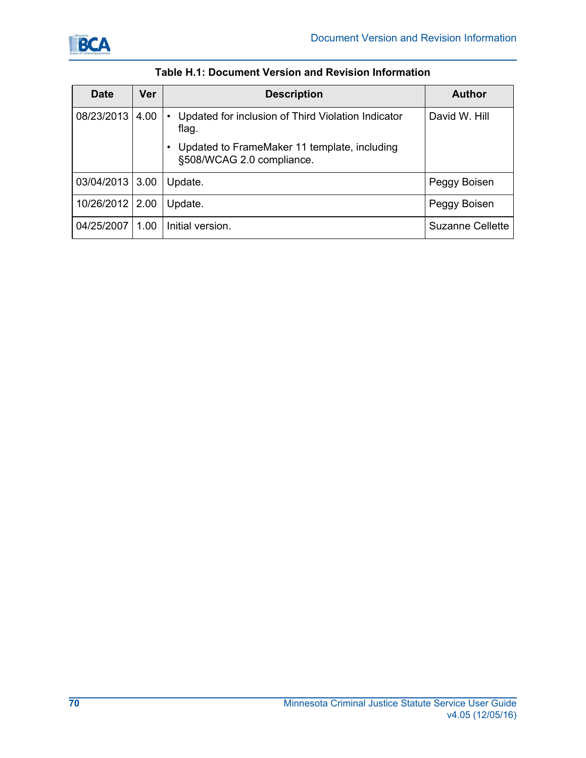

| Date       | Ver  | <b>Description</b>                                                        | Author           |
|------------|------|---------------------------------------------------------------------------|------------------|
| 08/23/2013 | 4.00 | Updated for inclusion of Third Violation Indicator<br>$\bullet$<br>flag.  | David W. Hill    |
|            |      | Updated to FrameMaker 11 template, including<br>§508/WCAG 2.0 compliance. |                  |
| 03/04/2013 | 3.00 | Update.                                                                   | Peggy Boisen     |
| 10/26/2012 | 2.00 | Update.                                                                   | Peggy Boisen     |
| 04/25/2007 | 1.00 | Initial version.                                                          | Suzanne Cellette |

| Table H.1: Document Version and Revision Information |  |  |  |
|------------------------------------------------------|--|--|--|
|------------------------------------------------------|--|--|--|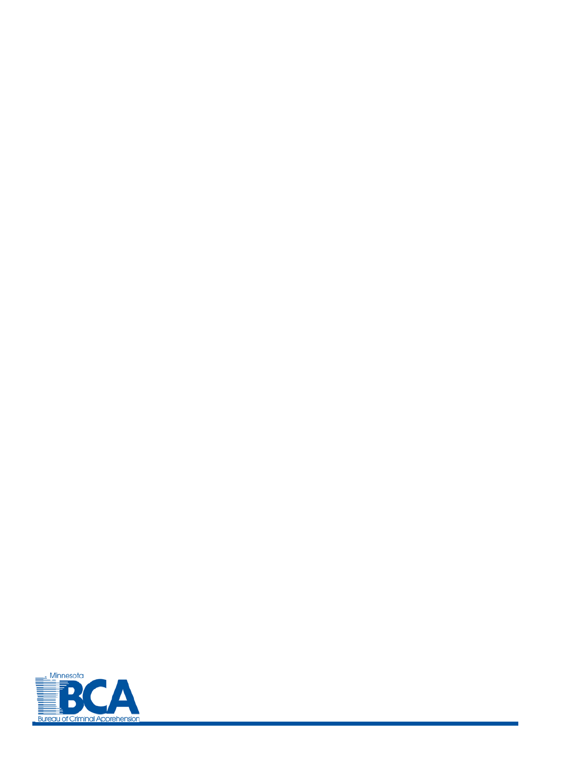